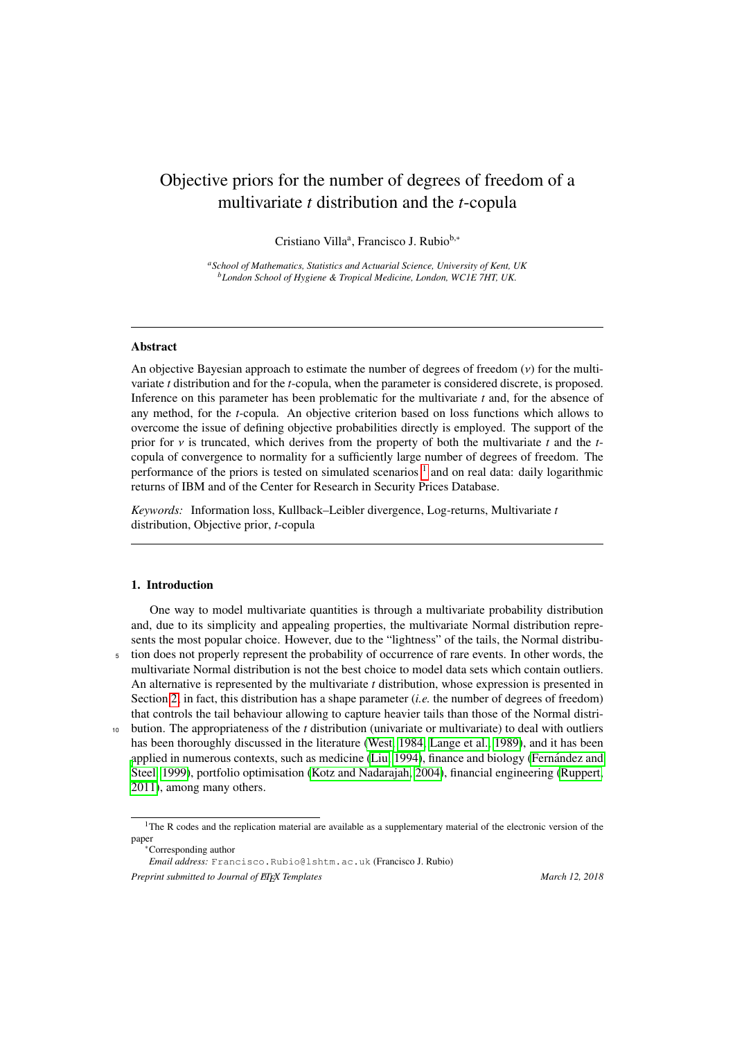# Objective priors for the number of degrees of freedom of a multivariate *t* distribution and the *t*-copula

Cristiano Villaª, Francisco J. Rubio<sup>b,∗</sup>

*<sup>a</sup>School of Mathematics, Statistics and Actuarial Science, University of Kent, UK <sup>b</sup>London School of Hygiene & Tropical Medicine, London, WC1E 7HT, UK.*

# Abstract

An objective Bayesian approach to estimate the number of degrees of freedom  $(v)$  for the multivariate *t* distribution and for the *t*-copula, when the parameter is considered discrete, is proposed. Inference on this parameter has been problematic for the multivariate *t* and, for the absence of any method, for the *t*-copula. An objective criterion based on loss functions which allows to overcome the issue of defining objective probabilities directly is employed. The support of the prior for  $\nu$  is truncated, which derives from the property of both the multivariate  $t$  and the  $t$ copula of convergence to normality for a sufficiently large number of degrees of freedom. The performance of the priors is tested on simulated scenarios <sup>[1](#page-0-0)</sup> and on real data: daily logarithmic returns of IBM and of the Center for Research in Security Prices Database.

*Keywords:* Information loss, Kullback–Leibler divergence, Log-returns, Multivariate *t* distribution, Objective prior, *t*-copula

### <span id="page-0-1"></span>1. Introduction

One way to model multivariate quantities is through a multivariate probability distribution and, due to its simplicity and appealing properties, the multivariate Normal distribution represents the most popular choice. However, due to the "lightness" of the tails, the Normal distribu-<sup>5</sup> tion does not properly represent the probability of occurrence of rare events. In other words, the multivariate Normal distribution is not the best choice to model data sets which contain outliers. An alternative is represented by the multivariate *t* distribution, whose expression is presented in Section [2;](#page-2-0) in fact, this distribution has a shape parameter (*i.e.* the number of degrees of freedom) that controls the tail behaviour allowing to capture heavier tails than those of the Normal distri-<sup>10</sup> bution. The appropriateness of the *t* distribution (univariate or multivariate) to deal with outliers has been thoroughly discussed in the literature [\(West, 1984;](#page-32-0) [Lange et al., 1989\)](#page-31-0), and it has been [a](#page-31-2)pplied in numerous contexts, such as medicine [\(Liu, 1994\)](#page-31-1), finance and biology [\(Fernandez and](#page-31-2) ´ [Steel, 1999\)](#page-31-2), portfolio optimisation [\(Kotz and Nadarajah, 2004\)](#page-31-3), financial engineering [\(Ruppert,](#page-31-4) [2011\)](#page-31-4), among many others.

<sup>∗</sup>Corresponding author

*Email address:* Francisco.Rubio@lshtm.ac.uk (Francisco J. Rubio) *Preprint submitted to Journal of EIFX Templates* March 12, 2018

<span id="page-0-0"></span><sup>&</sup>lt;sup>1</sup>The R codes and the replication material are available as a supplementary material of the electronic version of the paper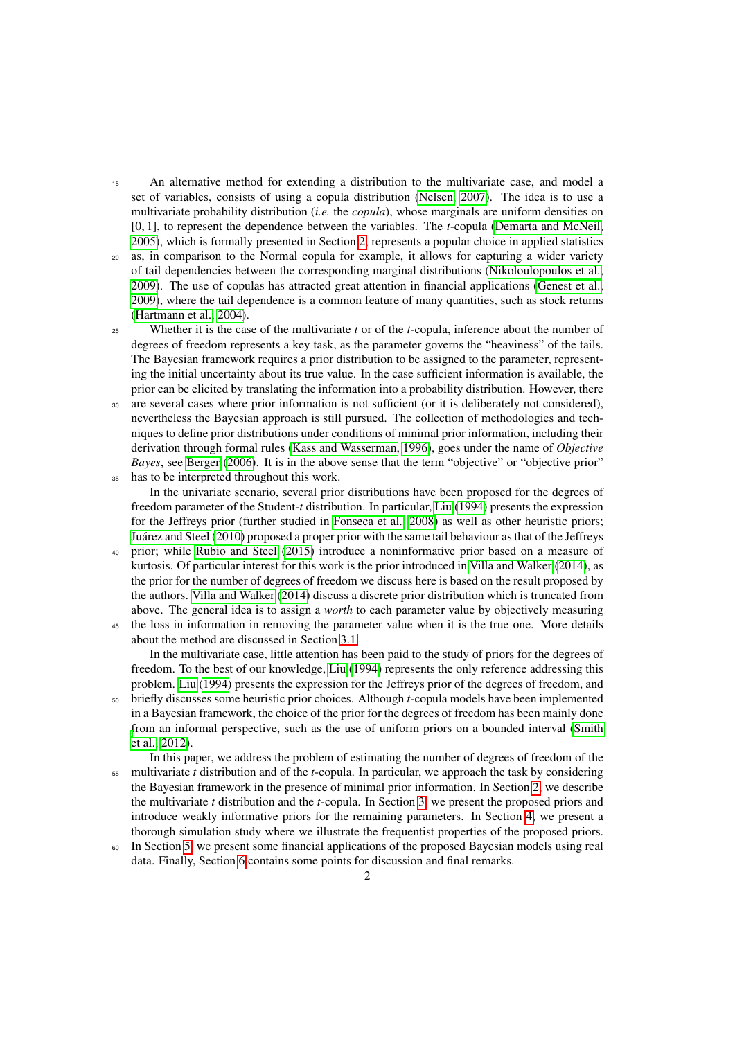- <sup>15</sup> An alternative method for extending a distribution to the multivariate case, and model a set of variables, consists of using a copula distribution [\(Nelsen, 2007\)](#page-31-5). The idea is to use a multivariate probability distribution (*i.e.* the *copula*), whose marginals are uniform densities on [0, 1], to represent the dependence between the variables. The *<sup>t</sup>*-copula [\(Demarta and McNeil,](#page-31-6) [2005\)](#page-31-6), which is formally presented in Section [2,](#page-2-0) represents a popular choice in applied statistics
- <sup>20</sup> as, in comparison to the Normal copula for example, it allows for capturing a wider variety of tail dependencies between the corresponding marginal distributions [\(Nikoloulopoulos et al.,](#page-31-7) [2009\)](#page-31-7). The use of copulas has attracted great attention in financial applications [\(Genest et al.,](#page-31-8) [2009\)](#page-31-8), where the tail dependence is a common feature of many quantities, such as stock returns [\(Hartmann et al., 2004\)](#page-31-9).
- <sup>25</sup> Whether it is the case of the multivariate *t* or of the *t*-copula, inference about the number of degrees of freedom represents a key task, as the parameter governs the "heaviness" of the tails. The Bayesian framework requires a prior distribution to be assigned to the parameter, representing the initial uncertainty about its true value. In the case sufficient information is available, the prior can be elicited by translating the information into a probability distribution. However, there
- are several cases where prior information is not sufficient (or it is deliberately not considered), nevertheless the Bayesian approach is still pursued. The collection of methodologies and techniques to define prior distributions under conditions of minimal prior information, including their derivation through formal rules [\(Kass and Wasserman, 1996\)](#page-31-10), goes under the name of *Objective Bayes*, see [Berger](#page-31-11) [\(2006\)](#page-31-11). It is in the above sense that the term "objective" or "objective prior" <sup>35</sup> has to be interpreted throughout this work.
	- In the univariate scenario, several prior distributions have been proposed for the degrees of freedom parameter of the Student-*t* distribution. In particular, [Liu](#page-31-1) [\(1994\)](#page-31-1) presents the expression for the Jeffreys prior (further studied in [Fonseca et al., 2008\)](#page-31-12) as well as other heuristic priors; [Juarez and Steel](#page-31-13) [\(2010\)](#page-31-13) proposed a proper prior with the same tail behaviour as that of the Jeffreys ´
- <sup>40</sup> prior; while [Rubio and Steel](#page-31-14) [\(2015\)](#page-31-14) introduce a noninformative prior based on a measure of kurtosis. Of particular interest for this work is the prior introduced in [Villa and Walker](#page-32-1) [\(2014\)](#page-32-1), as the prior for the number of degrees of freedom we discuss here is based on the result proposed by the authors. [Villa and Walker](#page-32-1) [\(2014\)](#page-32-1) discuss a discrete prior distribution which is truncated from above. The general idea is to assign a *worth* to each parameter value by objectively measuring
- <sup>45</sup> the loss in information in removing the parameter value when it is the true one. More details about the method are discussed in Section [3.1.](#page-3-0)

In the multivariate case, little attention has been paid to the study of priors for the degrees of freedom. To the best of our knowledge, [Liu](#page-31-1) [\(1994\)](#page-31-1) represents the only reference addressing this problem. [Liu](#page-31-1) [\(1994\)](#page-31-1) presents the expression for the Jeffreys prior of the degrees of freedom, and

- <sup>50</sup> briefly discusses some heuristic prior choices. Although *t*-copula models have been implemented in a Bayesian framework, the choice of the prior for the degrees of freedom has been mainly done [f](#page-31-15)rom an informal perspective, such as the use of uniform priors on a bounded interval [\(Smith](#page-31-15) [et al., 2012\)](#page-31-15).
- In this paper, we address the problem of estimating the number of degrees of freedom of the <sup>55</sup> multivariate *t* distribution and of the *t*-copula. In particular, we approach the task by considering the Bayesian framework in the presence of minimal prior information. In Section [2,](#page-2-0) we describe the multivariate *t* distribution and the *t*-copula. In Section [3,](#page-3-1) we present the proposed priors and introduce weakly informative priors for the remaining parameters. In Section [4,](#page-10-0) we present a thorough simulation study where we illustrate the frequentist properties of the proposed priors.
- <sup>60</sup> In Section [5,](#page-17-0) we present some financial applications of the proposed Bayesian models using real data. Finally, Section [6](#page-20-0) contains some points for discussion and final remarks.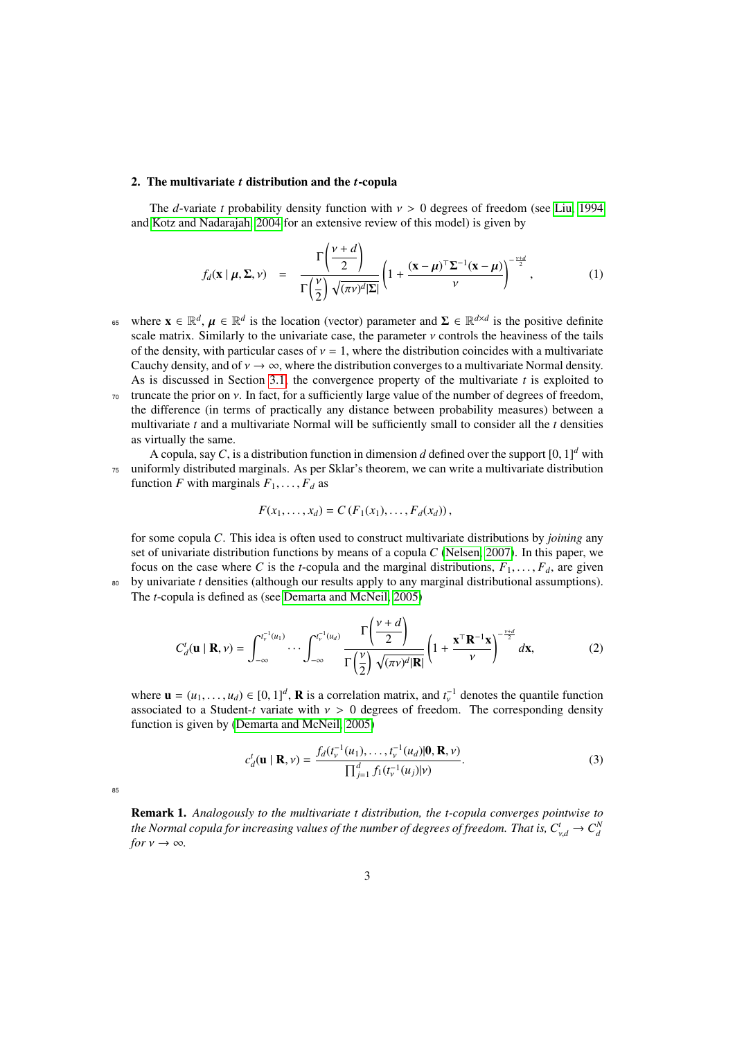#### <span id="page-2-0"></span>2. The multivariate *t* distribution and the *t*-copula

The *d*-variate *t* probability density function with  $v > 0$  degrees of freedom (see [Liu, 1994](#page-31-1)) and [Kotz and Nadarajah, 2004](#page-31-3) for an extensive review of this model) is given by

$$
f_d(\mathbf{x} \mid \boldsymbol{\mu}, \boldsymbol{\Sigma}, \nu) = \frac{\Gamma\left(\frac{\nu + d}{2}\right)}{\Gamma\left(\frac{\nu}{2}\right) \sqrt{(\pi \nu)^d |\boldsymbol{\Sigma}|}} \left(1 + \frac{(\mathbf{x} - \boldsymbol{\mu})^{\top} \boldsymbol{\Sigma}^{-1} (\mathbf{x} - \boldsymbol{\mu})}{\nu}\right)^{-\frac{\nu + d}{2}}, \quad (1)
$$

- where  $\mathbf{x} \in \mathbb{R}^d$ ,  $\mu \in \mathbb{R}^d$  is the location (vector) parameter and  $\Sigma \in \mathbb{R}^{d \times d}$  is the positive definite scale matrix. Similarly to the univariate case, the parameter *y* controls the heaviness of the ta scale matrix. Similarly to the univariate case, the parameter  $\nu$  controls the heaviness of the tails of the density, with particular cases of  $v = 1$ , where the distribution coincides with a multivariate Cauchy density, and of  $v \to \infty$ , where the distribution converges to a multivariate Normal density. As is discussed in Section [3.1,](#page-3-0) the convergence property of the multivariate *t* is exploited to
- $\pi$ <sup>0</sup> truncate the prior on *ν*. In fact, for a sufficiently large value of the number of degrees of freedom, the difference (in terms of practically any distance between probability measures) between a multivariate *t* and a multivariate Normal will be sufficiently small to consider all the *t* densities as virtually the same.
- A copula, say *C*, is a distribution function in dimension *d* defined over the support  $[0, 1]^d$  with <sup>75</sup> uniformly distributed marginals. As per Sklar's theorem, we can write a multivariate distribution function *F* with marginals  $F_1, \ldots, F_d$  as

$$
F(x_1,...,x_d) = C(F_1(x_1),...,F_d(x_d)),
$$

for some copula *C*. This idea is often used to construct multivariate distributions by *joining* any set of univariate distribution functions by means of a copula *C* [\(Nelsen, 2007\)](#page-31-5). In this paper, we focus on the case where C is the *t*-copula and the marginal distributions,  $F_1, \ldots, F_d$ , are given <sup>80</sup> by univariate *t* densities (although our results apply to any marginal distributional assumptions).

The *t*-copula is defined as (see [Demarta and McNeil, 2005\)](#page-31-6)

$$
C_d^t(\mathbf{u} \mid \mathbf{R}, \nu) = \int_{-\infty}^{t_v^{-1}(u_1)} \cdots \int_{-\infty}^{t_v^{-1}(u_d)} \frac{\Gamma\left(\frac{\nu+d}{2}\right)}{\Gamma\left(\frac{\nu}{2}\right) \sqrt{(\pi \nu)^d |\mathbf{R}|}} \left(1 + \frac{\mathbf{x}^\top \mathbf{R}^{-1} \mathbf{x}}{\nu}\right)^{-\frac{\nu+d}{2}} d\mathbf{x},\tag{2}
$$

where  $\mathbf{u} = (u_1, \dots, u_d) \in [0, 1]^d$ , **R** is a correlation matrix, and  $t_v^{-1}$  denotes the quantile function associated to a Student-t variate with  $v > 0$  degrees of freedom. The corresponding density associated to a Student-*t* variate with  $v > 0$  degrees of freedom. The corresponding density function is given by [\(Demarta and McNeil, 2005\)](#page-31-6)

$$
c_d^t(\mathbf{u} \mid \mathbf{R}, \nu) = \frac{f_d(t_v^{-1}(u_1), \dots, t_v^{-1}(u_d) | \mathbf{0}, \mathbf{R}, \nu)}{\prod_{j=1}^d f_1(t_v^{-1}(u_j) | \nu)}.
$$
(3)

85

Remark 1. *Analogously to the multivariate t distribution, the t-copula converges pointwise to the Normal copula for increasing values of the number of degrees of freedom. That is,*  $C_{v,d}^t \to C_d^N$ *<br>for*  $v \to \infty$ *for*  $v \rightarrow \infty$ *.*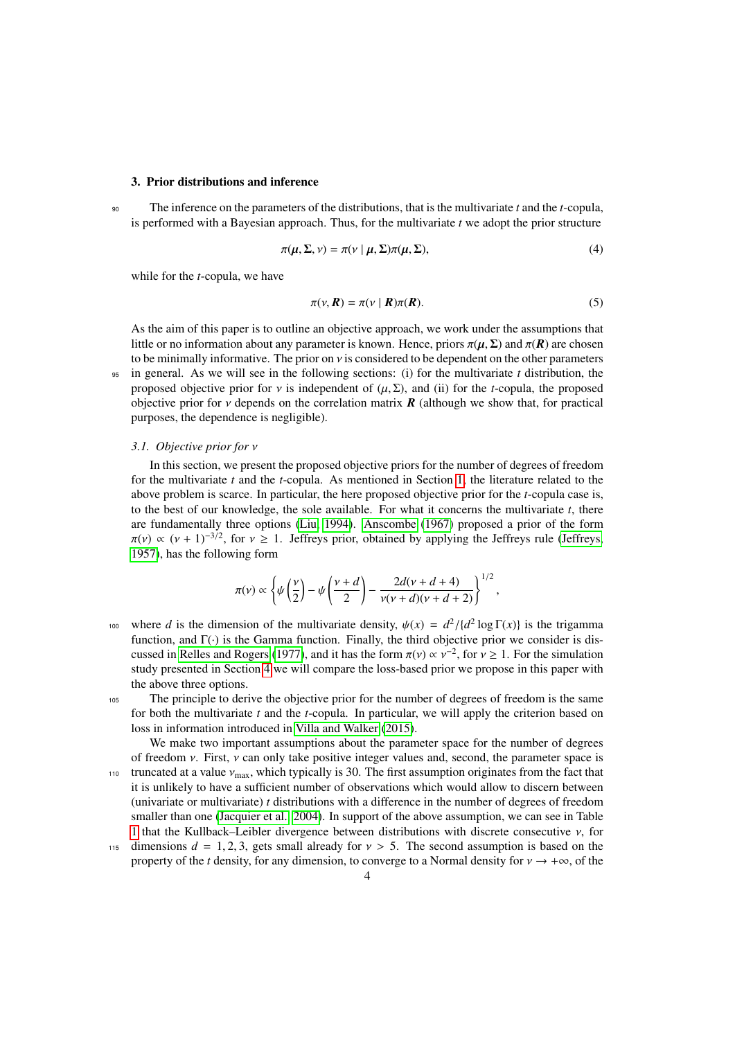### <span id="page-3-1"></span>3. Prior distributions and inference

<sup>90</sup> The inference on the parameters of the distributions, that is the multivariate *t* and the *t*-copula, is performed with a Bayesian approach. Thus, for the multivariate *t* we adopt the prior structure

<span id="page-3-3"></span><span id="page-3-2"></span>
$$
\pi(\mu, \Sigma, \nu) = \pi(\nu \mid \mu, \Sigma) \pi(\mu, \Sigma),\tag{4}
$$

while for the *t*-copula, we have

$$
\pi(\nu, R) = \pi(\nu \mid R)\pi(R). \tag{5}
$$

As the aim of this paper is to outline an objective approach, we work under the assumptions that little or no information about any parameter is known. Hence, priors  $\pi(\mu, \Sigma)$  and  $\pi(\mathbf{R})$  are chosen to be minimally informative. The prior on  $\nu$  is considered to be dependent on the other parameters <sup>95</sup> in general. As we will see in the following sections: (i) for the multivariate *t* distribution, the proposed objective prior for  $\nu$  is independent of  $(\mu, \Sigma)$ , and (ii) for the *t*-copula, the proposed objective prior for  $\nu$  depends on the correlation matrix  $\vec{R}$  (although we show that, for practical purposes, the dependence is negligible).

### <span id="page-3-0"></span>*3.1. Objective prior for* ν

In this section, we present the proposed objective priors for the number of degrees of freedom for the multivariate *t* and the *t*-copula. As mentioned in Section [1,](#page-0-1) the literature related to the above problem is scarce. In particular, the here proposed objective prior for the *t*-copula case is, to the best of our knowledge, the sole available. For what it concerns the multivariate *t*, there are fundamentally three options [\(Liu, 1994\)](#page-31-1). [Anscombe](#page-31-16) [\(1967\)](#page-31-16) proposed a prior of the form  $\pi(v) \propto (v+1)^{-3/2}$ , for  $v \ge 1$ . Jeffreys prior, obtained by applying the Jeffreys rule [\(Jeffreys,](#page-31-17) 1957) has the following form [1957\)](#page-31-17), has the following form

$$
\pi(v) \propto \left\{ \psi\left(\frac{v}{2}\right) - \psi\left(\frac{v+d}{2}\right) - \frac{2d(v+d+4)}{v(v+d)(v+d+2)} \right\}^{1/2},\,
$$

where *d* is the dimension of the multivariate density,  $\psi(x) = d^2/(d^2 \log \Gamma(x))$  is the trigamma<br>function and  $\Gamma(x)$  is the Gamma function. Finally, the third objective prior we consider is disfunction, and  $\Gamma(\cdot)$  is the Gamma function. Finally, the third objective prior we consider is dis-cussed in [Relles and Rogers](#page-31-18) [\(1977\)](#page-31-18), and it has the form  $\pi(\nu) \propto \nu^{-2}$ , for  $\nu \ge 1$ . For the simulation study presented in Section 4 we will compare the loss-based prior we propose in this paper with study presented in Section [4](#page-10-0) we will compare the loss-based prior we propose in this paper with the above three options.

<sup>105</sup> The principle to derive the objective prior for the number of degrees of freedom is the same for both the multivariate *t* and the *t*-copula. In particular, we will apply the criterion based on loss in information introduced in [Villa and Walker](#page-32-2) [\(2015\)](#page-32-2).

We make two important assumptions about the parameter space for the number of degrees of freedom  $\nu$ . First,  $\nu$  can only take positive integer values and, second, the parameter space is 110 truncated at a value  $v_{\text{max}}$ , which typically is 30. The first assumption originates from the fact that it is unlikely to have a sufficient number of observations which would allow to discern between (univariate or multivariate) *t* distributions with a difference in the number of degrees of freedom smaller than one [\(Jacquier et al., 2004\)](#page-31-19). In support of the above assumption, we can see in Table [1](#page-6-0) that the Kullback–Leibler divergence between distributions with discrete consecutive  $\nu$ , for

<sup>115</sup> dimensions  $d = 1, 2, 3$ , gets small already for  $v > 5$ . The second assumption is based on the property of the *t* density, for any dimension, to converge to a Normal density for  $v \rightarrow +\infty$ , of the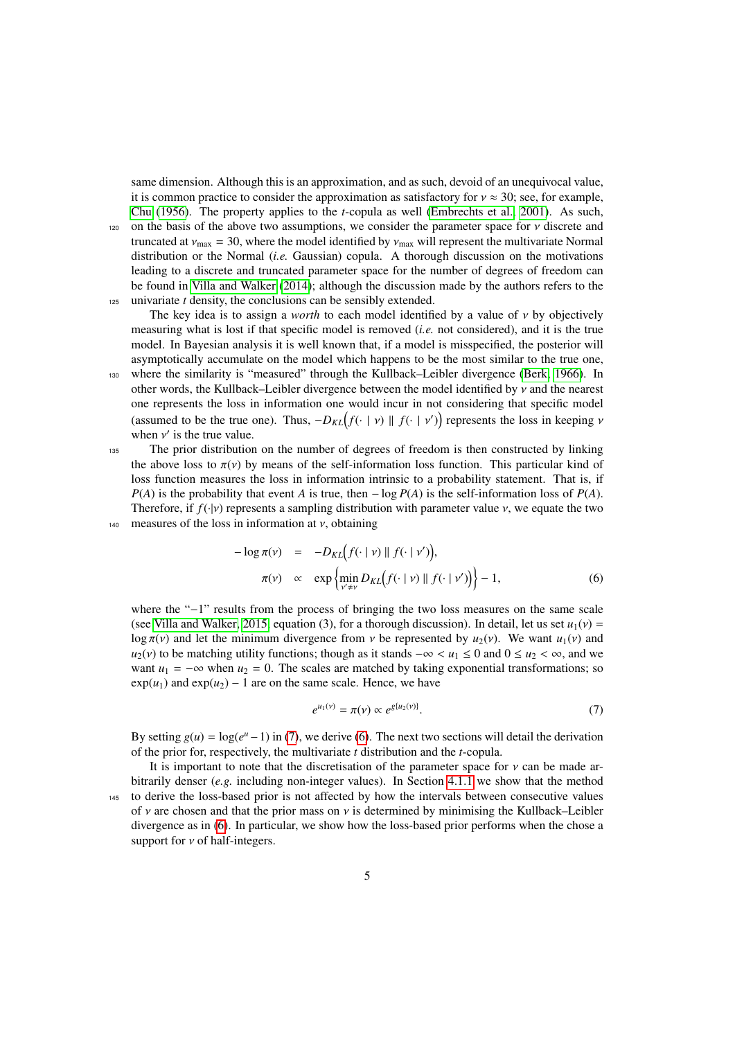same dimension. Although this is an approximation, and as such, devoid of an unequivocal value, it is common practice to consider the approximation as satisfactory for  $v \approx 30$ ; see, for example, [Chu](#page-31-20) [\(1956\)](#page-31-20). The property applies to the *t*-copula as well [\(Embrechts et al., 2001\)](#page-31-21). As such, 120 on the basis of the above two assumptions, we consider the parameter space for  $\nu$  discrete and truncated at  $v_{\text{max}} = 30$ , where the model identified by  $v_{\text{max}}$  will represent the multivariate Normal

distribution or the Normal (*i.e.* Gaussian) copula. A thorough discussion on the motivations leading to a discrete and truncated parameter space for the number of degrees of freedom can be found in [Villa and Walker](#page-32-1) [\(2014\)](#page-32-1); although the discussion made by the authors refers to the <sup>125</sup> univariate *t* density, the conclusions can be sensibly extended.

The key idea is to assign a *worth* to each model identified by a value of  $\nu$  by objectively measuring what is lost if that specific model is removed (*i.e.* not considered), and it is the true model. In Bayesian analysis it is well known that, if a model is misspecified, the posterior will asymptotically accumulate on the model which happens to be the most similar to the true one, <sup>130</sup> where the similarity is "measured" through the Kullback–Leibler divergence [\(Berk, 1966\)](#page-31-22). In

other words, the Kullback–Leibler divergence between the model identified by  $\nu$  and the nearest one represents the loss in information one would incur in not considering that specific model (assumed to be the true one). Thus,  $-D_{KL}(f(\cdot | v) || f(\cdot | v'))$  represents the loss in keeping *v* when *v'* is the true value when  $v'$  is the true value.<br>The prior distribution

<sup>135</sup> The prior distribution on the number of degrees of freedom is then constructed by linking the above loss to  $\pi(v)$  by means of the self-information loss function. This particular kind of loss function measures the loss in information intrinsic to a probability statement. That is, if  $P(A)$  is the probability that event *A* is true, then − log  $P(A)$  is the self-information loss of  $P(A)$ . Therefore, if  $f(\cdot|\nu)$  represents a sampling distribution with parameter value  $\nu$ , we equate the two 140 measures of the loss in information at  $\nu$ , obtaining

<span id="page-4-1"></span>
$$
-\log \pi(\nu) = -D_{KL}(f(\cdot | \nu) || f(\cdot | \nu'))
$$
\n
$$
\pi(\nu) \propto \exp\left\{\min_{\nu' \neq \nu} D_{KL}(f(\cdot | \nu) || f(\cdot | \nu'))\right\} - 1,\tag{6}
$$

where the "−1" results from the process of bringing the two loss measures on the same scale (see [Villa and Walker, 2015,](#page-32-2) equation (3), for a thorough discussion). In detail, let us set  $u_1(v)$  = log  $\pi(v)$  and let the minimum divergence from *v* be represented by  $u_2(v)$ . We want  $u_1(v)$  and  $u_2(v)$  to be matching utility functions; though as it stands  $-\infty < u_1 \le 0$  and  $0 \le u_2 < \infty$ , and we want  $u_1 = -\infty$  when  $u_2 = 0$ . The scales are matched by taking exponential transformations; so  $exp(u_1)$  and  $exp(u_2) - 1$  are on the same scale. Hence, we have

<span id="page-4-0"></span>
$$
e^{u_1(v)} = \pi(v) \propto e^{g\{u_2(v)\}}.
$$
 (7)

By setting  $g(u) = \log(e^u - 1)$  in [\(7\)](#page-4-0), we derive [\(6\)](#page-4-1). The next two sections will detail the derivation of the prior for, respectively, the multivariate *t* distribution and the *t*-copula.

It is important to note that the discretisation of the parameter space for  $\nu$  can be made arbitrarily denser (*e.g.* including non-integer values). In Section [4.1.1](#page-14-0) we show that the method <sup>145</sup> to derive the loss-based prior is not affected by how the intervals between consecutive values of  $\nu$  are chosen and that the prior mass on  $\nu$  is determined by minimising the Kullback–Leibler divergence as in [\(6\)](#page-4-1). In particular, we show how the loss-based prior performs when the chose a support for  $\nu$  of half-integers.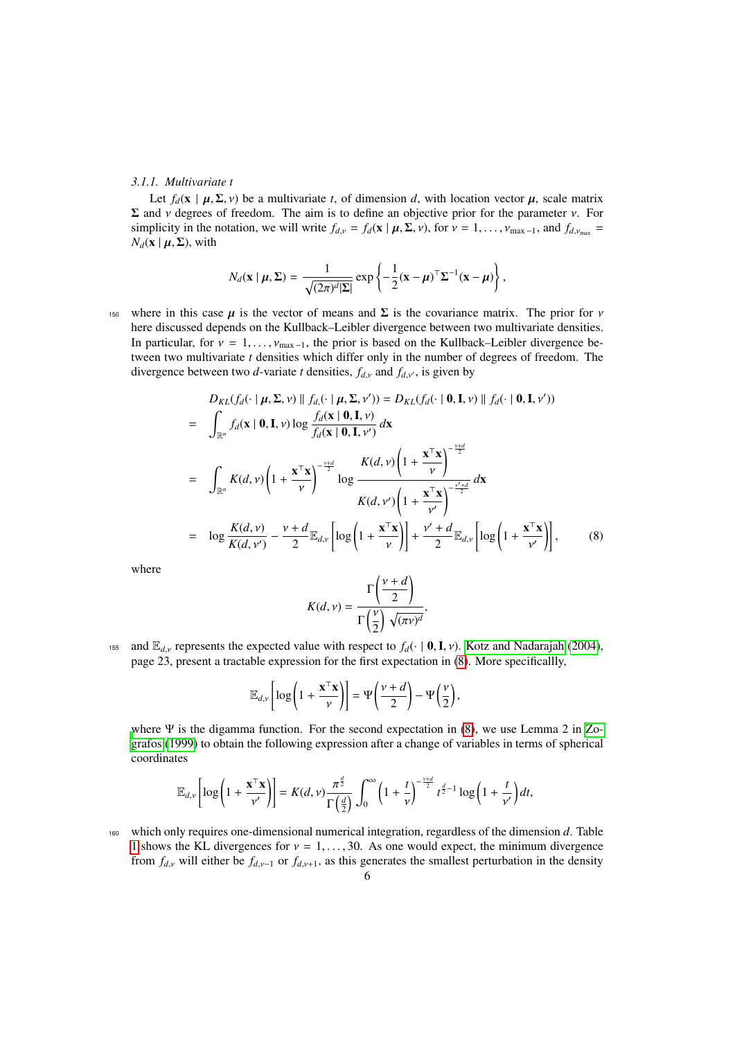# <span id="page-5-1"></span>*3.1.1. Multivariate t*

Let  $f_d$ ( $\mathbf{x} \mid \boldsymbol{\mu}, \boldsymbol{\Sigma}, \nu$ ) be a multivariate *t*, of dimension *d*, with location vector  $\boldsymbol{\mu}$ , scale matrix  $\Sigma$  and *ν* degrees of freedom. The aim is to define an objective prior for the parameter *ν*. For simplicity in the notation, we will write  $f_{d,v} = f_d(\mathbf{x} \mid \boldsymbol{\mu}, \boldsymbol{\Sigma}, v)$ , for  $v = 1, \ldots, v_{\text{max}-1}$ , and  $f_{d,v_{\text{max}}} =$  $N_d$ (**x** |  $\mu$ , **Σ**), with

$$
N_d(\mathbf{x} \mid \boldsymbol{\mu}, \boldsymbol{\Sigma}) = \frac{1}{\sqrt{(2\pi)^d |\boldsymbol{\Sigma}|}} \exp \left\{-\frac{1}{2}(\mathbf{x} - \boldsymbol{\mu})^{\top} \boldsymbol{\Sigma}^{-1}(\mathbf{x} - \boldsymbol{\mu})\right\},
$$

150 where in this case  $\mu$  is the vector of means and  $\Sigma$  is the covariance matrix. The prior for  $\nu$ here discussed depends on the Kullback–Leibler divergence between two multivariate densities. In particular, for  $v = 1, \ldots, v_{\text{max}-1}$ , the prior is based on the Kullback–Leibler divergence between two multivariate *t* densities which differ only in the number of degrees of freedom. The divergence between two *d*-variate *t* densities,  $f_{dx}$  and  $f_{dx}$ , is given by

<span id="page-5-0"></span>
$$
D_{KL}(f_d(\cdot | \boldsymbol{\mu}, \boldsymbol{\Sigma}, \nu) || f_d(\cdot | \boldsymbol{\mu}, \boldsymbol{\Sigma}, \nu')) = D_{KL}(f_d(\cdot | \boldsymbol{0}, \mathbf{I}, \nu) || f_d(\cdot | \boldsymbol{0}, \mathbf{I}, \nu'))
$$
  
\n
$$
= \int_{\mathbb{R}^n} f_d(\mathbf{x} | \boldsymbol{0}, \mathbf{I}, \nu) \log \frac{f_d(\mathbf{x} | \boldsymbol{0}, \mathbf{I}, \nu)}{f_d(\mathbf{x} | \boldsymbol{0}, \mathbf{I}, \nu')} d\mathbf{x}
$$
  
\n
$$
= \int_{\mathbb{R}^n} K(d, \nu) \left(1 + \frac{\mathbf{x}^\top \mathbf{x}}{\nu}\right)^{-\frac{\nu+d}{2}} \log \frac{K(d, \nu) \left(1 + \frac{\mathbf{x}^\top \mathbf{x}}{\nu}\right)^{-\frac{\nu+d}{2}}}{K(d, \nu') \left(1 + \frac{\mathbf{x}^\top \mathbf{x}}{\nu'}\right)^{-\frac{\nu'+d}{2}}} d\mathbf{x}
$$
  
\n
$$
= \log \frac{K(d, \nu)}{K(d, \nu')} - \frac{\nu + d}{2} \mathbb{E}_{d, \nu} \left[ \log \left(1 + \frac{\mathbf{x}^\top \mathbf{x}}{\nu}\right) \right] + \frac{\nu' + d}{2} \mathbb{E}_{d, \nu} \left[ \log \left(1 + \frac{\mathbf{x}^\top \mathbf{x}}{\nu'}\right) \right], \qquad (8)
$$

where

$$
K(d, v) = \frac{\Gamma\left(\frac{v + d}{2}\right)}{\Gamma\left(\frac{v}{2}\right) \sqrt{(\pi v)^d}},
$$

155 and  $\mathbb{E}_{d,v}$  represents the expected value with respect to  $f_d(\cdot \mid \mathbf{0}, \mathbf{I}, v)$ . [Kotz and Nadarajah](#page-31-3) [\(2004\)](#page-31-3), page 23, present a tractable expression for the first expectation in [\(8\)](#page-5-0). More specificallly,

$$
\mathbb{E}_{d,\nu}\left[\log\left(1+\frac{\mathbf{x}^{\top}\mathbf{x}}{\nu}\right)\right] = \Psi\left(\frac{\nu+d}{2}\right) - \Psi\left(\frac{\nu}{2}\right),\,
$$

[w](#page-32-3)here Ψ is the digamma function. For the second expectation in  $(8)$ , we use Lemma 2 in [Zo](#page-32-3)[grafos](#page-32-3) [\(1999\)](#page-32-3) to obtain the following expression after a change of variables in terms of spherical coordinates

$$
\mathbb{E}_{d,\nu}\left[\log\left(1+\frac{\mathbf{x}^\top\mathbf{x}}{\nu'}\right)\right] = K(d,\nu)\frac{\pi^{\frac{d}{2}}}{\Gamma\left(\frac{d}{2}\right)}\int_0^\infty \left(1+\frac{t}{\nu}\right)^{-\frac{\nu+d}{2}}t^{\frac{d}{2}-1}\log\left(1+\frac{t}{\nu'}\right)dt,
$$

<sup>160</sup> which only requires one-dimensional numerical integration, regardless of the dimension *d*. Table [1](#page-6-0) shows the KL divergences for  $v = 1, \ldots, 30$ . As one would expect, the minimum divergence from  $f_{d,v}$  will either be  $f_{d,v-1}$  or  $f_{d,v+1}$ , as this generates the smallest perturbation in the density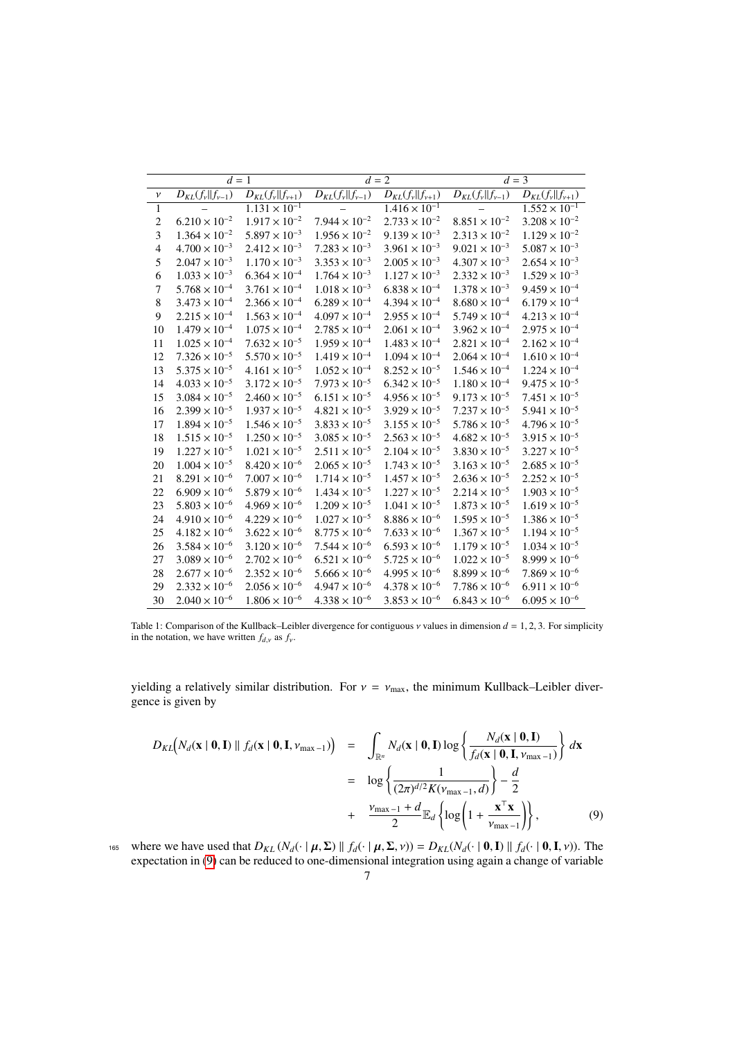<span id="page-6-0"></span>

|                    | $d=1$                        |                               |                              | $d=2$                        | $d = 3$                |                               |  |
|--------------------|------------------------------|-------------------------------|------------------------------|------------------------------|------------------------|-------------------------------|--|
| $\boldsymbol{\nu}$ | $D_{KL}(f_{\nu}  f_{\nu-1})$ | $D_{KL}(f_{\nu}   f_{\nu+1})$ | $D_{KL}(f_{\nu}  f_{\nu-1})$ | $D_{KL}(f_{\nu}  f_{\nu+1})$ | $D_{KL}(f_v  f_{v-1})$ | $D_{KL}(f_{\nu}   f_{\nu+1})$ |  |
| $\mathbf{1}$       |                              | $1.131 \times 10^{-1}$        |                              | $1.416 \times 10^{-1}$       |                        | $1.552 \times 10^{-1}$        |  |
| $\overline{c}$     | $6.210 \times 10^{-2}$       | $1.917 \times 10^{-2}$        | $7.944 \times 10^{-2}$       | $2.733 \times 10^{-2}$       | $8.851 \times 10^{-2}$ | $3.208 \times 10^{-2}$        |  |
| 3                  | $1.364 \times 10^{-2}$       | $5.897 \times 10^{-3}$        | $1.956 \times 10^{-2}$       | $9.139 \times 10^{-3}$       | $2.313 \times 10^{-2}$ | $1.129 \times 10^{-2}$        |  |
| 4                  | $4.700 \times 10^{-3}$       | $2.412 \times 10^{-3}$        | $7.283 \times 10^{-3}$       | $3.961 \times 10^{-3}$       | $9.021 \times 10^{-3}$ | $5.087 \times 10^{-3}$        |  |
| 5                  | $2.047 \times 10^{-3}$       | $1.170 \times 10^{-3}$        | $3.353 \times 10^{-3}$       | $2.005 \times 10^{-3}$       | $4.307 \times 10^{-3}$ | $2.654 \times 10^{-3}$        |  |
| 6                  | $1.033 \times 10^{-3}$       | $6.364 \times 10^{-4}$        | $1.764 \times 10^{-3}$       | $1.127 \times 10^{-3}$       | $2.332 \times 10^{-3}$ | $1.529\times10^{-3}$          |  |
| 7                  | $5.768 \times 10^{-4}$       | $3.761 \times 10^{-4}$        | $1.018\times10^{-3}$         | $6.838 \times 10^{-4}$       | $1.378 \times 10^{-3}$ | $9.459 \times 10^{-4}$        |  |
| 8                  | $3.473 \times 10^{-4}$       | $2.366 \times 10^{-4}$        | $6.289 \times 10^{-4}$       | $4.394 \times 10^{-4}$       | $8.680 \times 10^{-4}$ | $6.179 \times 10^{-4}$        |  |
| 9                  | $2.215 \times 10^{-4}$       | $1.563 \times 10^{-4}$        | $4.097 \times 10^{-4}$       | $2.955 \times 10^{-4}$       | $5.749 \times 10^{-4}$ | $4.213 \times 10^{-4}$        |  |
| 10                 | $1.479\times10^{-4}$         | $1.075 \times 10^{-4}$        | $2.785 \times 10^{-4}$       | $2.061 \times 10^{-4}$       | $3.962 \times 10^{-4}$ | $2.975 \times 10^{-4}$        |  |
| 11                 | $1.025 \times 10^{-4}$       | $7.632 \times 10^{-5}$        | $1.959 \times 10^{-4}$       | $1.483 \times 10^{-4}$       | $2.821 \times 10^{-4}$ | $2.162 \times 10^{-4}$        |  |
| 12                 | $7.326 \times 10^{-5}$       | $5.570 \times 10^{-5}$        | $1.419 \times 10^{-4}$       | $1.094 \times 10^{-4}$       | $2.064 \times 10^{-4}$ | $1.610 \times 10^{-4}$        |  |
| 13                 | $5.375 \times 10^{-5}$       | $4.161 \times 10^{-5}$        | $1.052 \times 10^{-4}$       | $8.252 \times 10^{-5}$       | $1.546 \times 10^{-4}$ | $1.224 \times 10^{-4}$        |  |
| 14                 | $4.033 \times 10^{-5}$       | $3.172 \times 10^{-5}$        | $7.973 \times 10^{-5}$       | $6.342 \times 10^{-5}$       | $1.180 \times 10^{-4}$ | $9.475 \times 10^{-5}$        |  |
| 15                 | $3.084 \times 10^{-5}$       | $2.460 \times 10^{-5}$        | $6.151 \times 10^{-5}$       | $4.956 \times 10^{-5}$       | $9.173 \times 10^{-5}$ | $7.451 \times 10^{-5}$        |  |
| 16                 | $2.399 \times 10^{-5}$       | $1.937 \times 10^{-5}$        | $4.821 \times 10^{-5}$       | $3.929 \times 10^{-5}$       | $7.237 \times 10^{-5}$ | $5.941 \times 10^{-5}$        |  |
| 17                 | $1.894 \times 10^{-5}$       | $1.546 \times 10^{-5}$        | $3.833 \times 10^{-5}$       | $3.155 \times 10^{-5}$       | $5.786 \times 10^{-5}$ | $4.796 \times 10^{-5}$        |  |
| 18                 | $1.515 \times 10^{-5}$       | $1.250 \times 10^{-5}$        | $3.085 \times 10^{-5}$       | $2.563 \times 10^{-5}$       | $4.682 \times 10^{-5}$ | $3.915 \times 10^{-5}$        |  |
| 19                 | $1.227 \times 10^{-5}$       | $1.021 \times 10^{-5}$        | $2.511 \times 10^{-5}$       | $2.104 \times 10^{-5}$       | $3.830 \times 10^{-5}$ | $3.227 \times 10^{-5}$        |  |
| 20                 | $1.004 \times 10^{-5}$       | $8.420 \times 10^{-6}$        | $2.065 \times 10^{-5}$       | $1.743 \times 10^{-5}$       | $3.163 \times 10^{-5}$ | $2.685 \times 10^{-5}$        |  |
| 21                 | $8.291 \times 10^{-6}$       | $7.007 \times 10^{-6}$        | $1.714 \times 10^{-5}$       | $1.457 \times 10^{-5}$       | $2.636 \times 10^{-5}$ | $2.252 \times 10^{-5}$        |  |
| 22                 | $6.909 \times 10^{-6}$       | $5.879 \times 10^{-6}$        | $1.434 \times 10^{-5}$       | $1.227 \times 10^{-5}$       | $2.214 \times 10^{-5}$ | $1.903 \times 10^{-5}$        |  |
| 23                 | $5.803 \times 10^{-6}$       | $4.969 \times 10^{-6}$        | $1.209 \times 10^{-5}$       | $1.041 \times 10^{-5}$       | $1.873 \times 10^{-5}$ | $1.619 \times 10^{-5}$        |  |
| 24                 | $4.910 \times 10^{-6}$       | $4.229 \times 10^{-6}$        | $1.027 \times 10^{-5}$       | $8.886 \times 10^{-6}$       | $1.595 \times 10^{-5}$ | $1.386 \times 10^{-5}$        |  |
| 25                 | $4.182 \times 10^{-6}$       | $3.622 \times 10^{-6}$        | $8.775 \times 10^{-6}$       | $7.633 \times 10^{-6}$       | $1.367 \times 10^{-5}$ | $1.194 \times 10^{-5}$        |  |
| 26                 | $3.584 \times 10^{-6}$       | $3.120 \times 10^{-6}$        | $7.544 \times 10^{-6}$       | $6.593 \times 10^{-6}$       | $1.179 \times 10^{-5}$ | $1.034 \times 10^{-5}$        |  |
| 27                 | $3.089 \times 10^{-6}$       | $2.702 \times 10^{-6}$        | $6.521 \times 10^{-6}$       | $5.725 \times 10^{-6}$       | $1.022 \times 10^{-5}$ | $8.999 \times 10^{-6}$        |  |
| 28                 | $2.677 \times 10^{-6}$       | $2.352 \times 10^{-6}$        | $5.666 \times 10^{-6}$       | $4.995 \times 10^{-6}$       | $8.899 \times 10^{-6}$ | $7.869 \times 10^{-6}$        |  |
| 29                 | $2.332 \times 10^{-6}$       | $2.056 \times 10^{-6}$        | $4.947 \times 10^{-6}$       | $4.378 \times 10^{-6}$       | $7.786 \times 10^{-6}$ | $6.911 \times 10^{-6}$        |  |
| 30                 | $2.040 \times 10^{-6}$       | $1.806 \times 10^{-6}$        | $4.338 \times 10^{-6}$       | $3.853 \times 10^{-6}$       | $6.843 \times 10^{-6}$ | $6.095 \times 10^{-6}$        |  |

Table 1: Comparison of the Kullback–Leibler divergence for contiguous  $\nu$  values in dimension  $d = 1, 2, 3$ . For simplicity in the notation, we have written  $f_{d,v}$  as  $f_v$ .

yielding a relatively similar distribution. For  $v = v_{\text{max}}$ , the minimum Kullback–Leibler divergence is given by

<span id="page-6-1"></span>
$$
D_{KL}(N_d(\mathbf{x} \mid \mathbf{0}, \mathbf{I}) \parallel f_d(\mathbf{x} \mid \mathbf{0}, \mathbf{I}, \nu_{\text{max}-1})) = \int_{\mathbb{R}^n} N_d(\mathbf{x} \mid \mathbf{0}, \mathbf{I}) \log \left\{ \frac{N_d(\mathbf{x} \mid \mathbf{0}, \mathbf{I})}{f_d(\mathbf{x} \mid \mathbf{0}, \mathbf{I}, \nu_{\text{max}-1})} \right\} d\mathbf{x}
$$
  
\n
$$
= \log \left\{ \frac{1}{(2\pi)^{d/2} K(\nu_{\text{max}-1}, d)} \right\} - \frac{d}{2}
$$
  
\n
$$
+ \frac{\nu_{\text{max}-1} + d}{2} \mathbb{E}_d \left\{ \log \left( 1 + \frac{\mathbf{x}^\top \mathbf{x}}{\nu_{\text{max}-1}} \right) \right\}, \tag{9}
$$

165 where we have used that  $D_{KL}(N_d(\cdot | \mu, \Sigma) || f_d(\cdot | \mu, \Sigma, \nu)) = D_{KL}(N_d(\cdot | 0, \mathbf{I}) || f_d(\cdot | 0, \mathbf{I}, \nu))$ . The expectation in [\(9\)](#page-6-1) can be reduced to one-dimensional integration using again a change of variable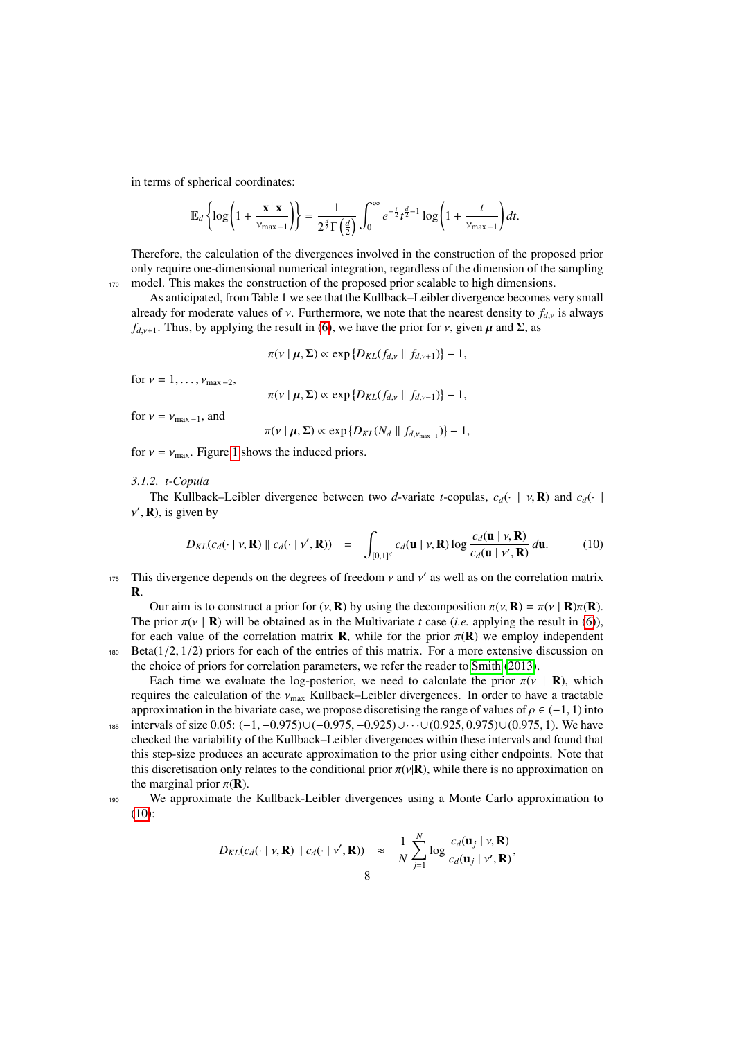in terms of spherical coordinates:

$$
\mathbb{E}_d\left\{\log\left(1+\frac{\mathbf{x}^\top\mathbf{x}}{\nu_{\max-1}}\right)\right\}=\frac{1}{2^{\frac{d}{2}}\Gamma\left(\frac{d}{2}\right)}\int_0^\infty e^{-\frac{t}{2}}t^{\frac{d}{2}-1}\log\left(1+\frac{t}{\nu_{\max-1}}\right)dt.
$$

Therefore, the calculation of the divergences involved in the construction of the proposed prior only require one-dimensional numerical integration, regardless of the dimension of the sampling <sup>170</sup> model. This makes the construction of the proposed prior scalable to high dimensions.

As anticipated, from Table 1 we see that the Kullback–Leibler divergence becomes very small already for moderate values of v. Furthermore, we note that the nearest density to  $f_{dx}$  is always  $f_{d,v+1}$ . Thus, by applying the result in [\(6\)](#page-4-1), we have the prior for v, given  $\mu$  and  $\Sigma$ , as

<span id="page-7-0"></span>
$$
\pi(\nu \mid \boldsymbol{\mu}, \boldsymbol{\Sigma}) \propto \exp\left\{D_{KL}(f_{d,\nu} \parallel f_{d,\nu+1})\right\} - 1,
$$

for  $v = 1, \ldots, v_{\text{max}-2}$ ,

$$
\pi(\nu \mid \boldsymbol{\mu}, \boldsymbol{\Sigma}) \propto \exp\{D_{KL}(f_{d,\nu} \parallel f_{d,\nu-1})\} - 1,
$$

for  $v = v_{\text{max}-1}$ , and

$$
\pi(\nu \mid \boldsymbol{\mu}, \boldsymbol{\Sigma}) \propto \exp\{D_{KL}(N_d \mid \mid f_{d, \nu_{\text{max}-1}})\} - 1,
$$

for  $v = v_{\text{max}}$ . Figure [1](#page-8-0) shows the induced priors.

### <span id="page-7-1"></span>*3.1.2. t-Copula*

The Kullback–Leibler divergence between two *d*-variate *t*-copulas,  $c_d(\cdot | v, \mathbf{R})$  and  $c_d(\cdot |$  $\prime$ , **R**), is given by

$$
D_{KL}(c_d(\cdot \mid \nu, \mathbf{R}) \parallel c_d(\cdot \mid \nu', \mathbf{R})) = \int_{[0,1]^d} c_d(\mathbf{u} \mid \nu, \mathbf{R}) \log \frac{c_d(\mathbf{u} \mid \nu, \mathbf{R})}{c_d(\mathbf{u} \mid \nu', \mathbf{R})} d\mathbf{u}.
$$
 (10)

This divergence depends on the degrees of freedom  $\nu$  and  $\nu'$  as well as on the correlation matrix R.

Our aim is to construct a prior for  $(v, \mathbf{R})$  by using the decomposition  $\pi(v, \mathbf{R}) = \pi(v | \mathbf{R})\pi(\mathbf{R})$ . The prior  $\pi(\nu \mid \mathbf{R})$  will be obtained as in the Multivariate *t* case (*i.e.* applying the result in [\(6\)](#page-4-1)), for each value of the correlation matrix **R**, while for the prior  $\pi(\mathbf{R})$  we employ independent 180 Beta( $1/2$ ,  $1/2$ ) priors for each of the entries of this matrix. For a more extensive discussion on the choice of priors for correlation parameters, we refer the reader to [Smith](#page-31-23) [\(2013\)](#page-31-23).

Each time we evaluate the log-posterior, we need to calculate the prior  $\pi(\nu \mid \mathbf{R})$ , which requires the calculation of the  $v_{\text{max}}$  Kullback–Leibler divergences. In order to have a tractable approximation in the bivariate case, we propose discretising the range of values of  $\rho \in (-1, 1)$  into

- <sup>185</sup> intervals of size <sup>0</sup>.05: (−1, <sup>−</sup>0.975)∪(−0.975, <sup>−</sup>0.925)∪· · ·∪(0.925, <sup>0</sup>.975)∪(0.975, 1). We have checked the variability of the Kullback–Leibler divergences within these intervals and found that this step-size produces an accurate approximation to the prior using either endpoints. Note that this discretisation only relates to the conditional prior  $\pi(\nu|\mathbf{R})$ , while there is no approximation on the marginal prior  $\pi(\mathbf{R})$ .
- <sup>190</sup> We approximate the Kullback-Leibler divergences using a Monte Carlo approximation to [\(10\)](#page-7-0):

$$
D_{KL}(c_d(\cdot \mid \nu, \mathbf{R}) \parallel c_d(\cdot \mid \nu', \mathbf{R})) \approx \frac{1}{N} \sum_{j=1}^N \log \frac{c_d(\mathbf{u}_j \mid \nu, \mathbf{R})}{c_d(\mathbf{u}_j \mid \nu', \mathbf{R})},
$$

*N*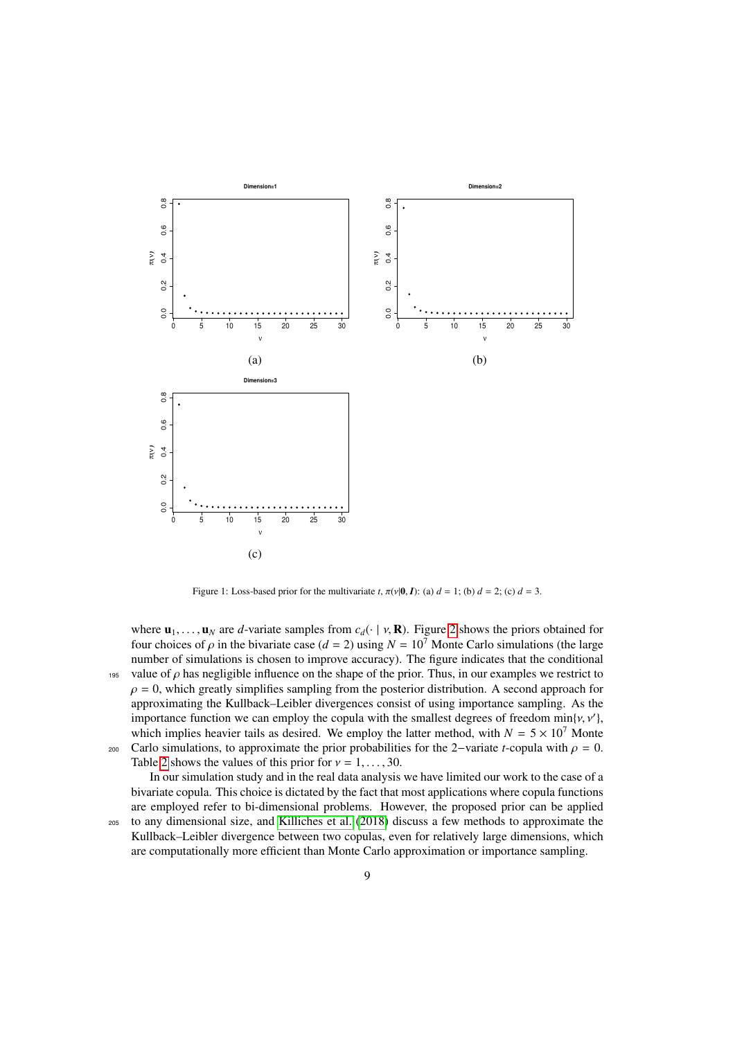

Figure 1: Loss-based prior for the multivariate *t*,  $\pi(v|0, I)$ : (a)  $d = 1$ ; (b)  $d = 2$ ; (c)  $d = 3$ .

<span id="page-8-0"></span>where  $\mathbf{u}_1, \ldots, \mathbf{u}_N$  are *d*-variate samples from  $c_d(\cdot \mid v, \mathbf{R})$ . Figure [2](#page-9-0) shows the priors obtained for four choices of  $\rho$  in the bivariate case ( $d = 2$ ) using  $N = 10^7$  Monte Carlo simulations (the large number of simulations is chosen to improve accuracy). The figure indicates that the conditional 195 value of  $\rho$  has negligible influence on the shape of the prior. Thus, in our examples we restrict to  $\rho = 0$ , which greatly simplifies sampling from the posterior distribution. A second approach for approximating the Kullback–Leibler divergences consist of using importance sampling. As the importance function we can employ the copula with the smallest degrees of freedom  $\min\{v, v'\}$ , which implies heavier tails as desired. We employ the latter method, with  $N = 5 \times 10^7$  Monte which implies heavier tails as desired. We employ the latter method, with  $N = 5 \times 10^7$  Monte

200 Carlo simulations, to approximate the prior probabilities for the 2–variate *t*-copula with  $\rho = 0$ . Table [2](#page-10-1) shows the values of this prior for  $v = 1, \ldots, 30$ .

In our simulation study and in the real data analysis we have limited our work to the case of a bivariate copula. This choice is dictated by the fact that most applications where copula functions are employed refer to bi-dimensional problems. However, the proposed prior can be applied

<sup>205</sup> to any dimensional size, and [Killiches et al.](#page-31-24) [\(2018\)](#page-31-24) discuss a few methods to approximate the Kullback–Leibler divergence between two copulas, even for relatively large dimensions, which are computationally more efficient than Monte Carlo approximation or importance sampling.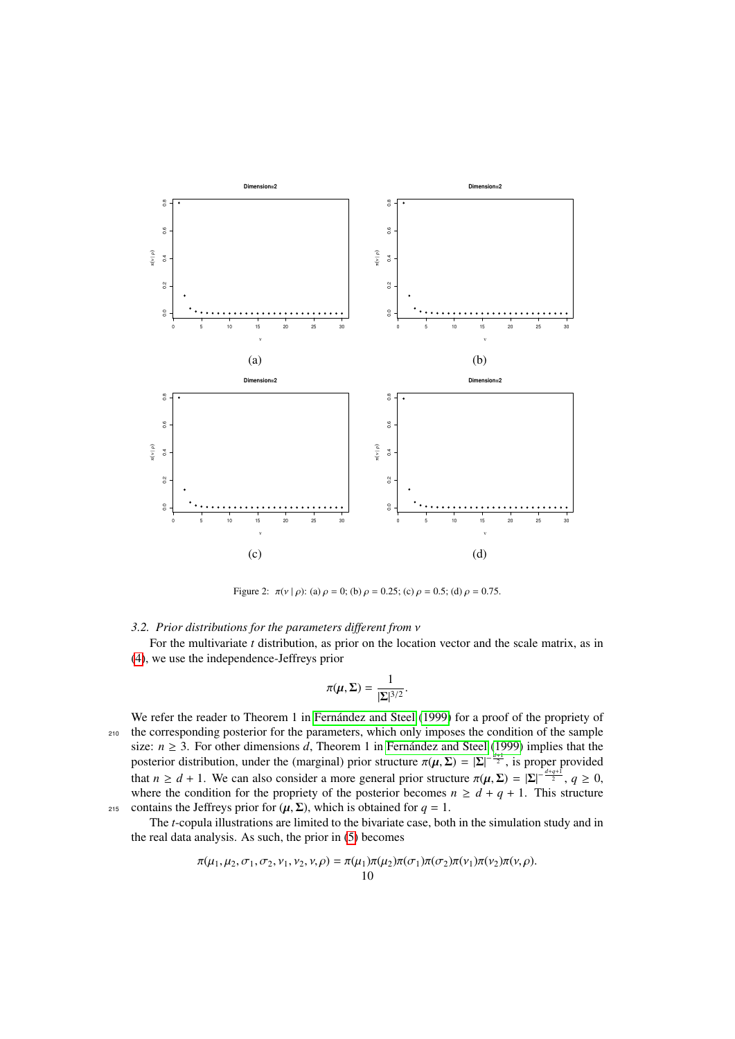

Figure 2:  $\pi(v \mid \rho)$ : (a)  $\rho = 0$ ; (b)  $\rho = 0.25$ ; (c)  $\rho = 0.5$ ; (d)  $\rho = 0.75$ .

<span id="page-9-1"></span><span id="page-9-0"></span>*3.2. Prior distributions for the parameters different from* ν

For the multivariate *t* distribution, as prior on the location vector and the scale matrix, as in [\(4\)](#page-3-2), we use the independence-Jeffreys prior

$$
\pi(\boldsymbol{\mu}, \boldsymbol{\Sigma}) = \frac{1}{|\boldsymbol{\Sigma}|^{3/2}}.
$$

We refer the reader to Theorem 1 in Fernández and Steel [\(1999\)](#page-31-2) for a proof of the propriety of <sup>210</sup> the corresponding posterior for the parameters, which only imposes the condition of the sample size:  $n \geq 3$ . For other dimensions *d*, Theorem 1 in [Fernandez and Steel](#page-31-2) [\(1999\)](#page-31-2) implies that the posterior distribution, under the (marginal) prior structure  $\pi(\mu, \Sigma) = |\Sigma|^{-\frac{d+1}{2}}$ , is proper provided<br>that  $\mu > d + 1$ . We see also someidag a mage general prior structure  $\pi(\mu, \Sigma) = |\Sigma|^{-\frac{d+q+1}{2}} \approx 2.0$ that  $n \ge d + 1$ . We can also consider a more general prior structure  $\pi(\mu, \Sigma) = |\Sigma|^{-\frac{d+q+1}{2}}$ ,  $q \ge 0$ , where the condition for the propriety of the posterior becomes  $n \ge d + q + 1$ . This structure where the condition for the propriety of the posterior becomes  $n \geq d + q + 1$ . This structure 215 contains the Jeffreys prior for  $(\mu, \Sigma)$ , which is obtained for  $q = 1$ .

The *t*-copula illustrations are limited to the bivariate case, both in the simulation study and in the real data analysis. As such, the prior in [\(5\)](#page-3-3) becomes

$$
\pi(\mu_1, \mu_2, \sigma_1, \sigma_2, \nu_1, \nu_2, \nu, \rho) = \pi(\mu_1)\pi(\mu_2)\pi(\sigma_1)\pi(\sigma_2)\pi(\nu_1)\pi(\nu_2)\pi(\nu, \rho).
$$
  
10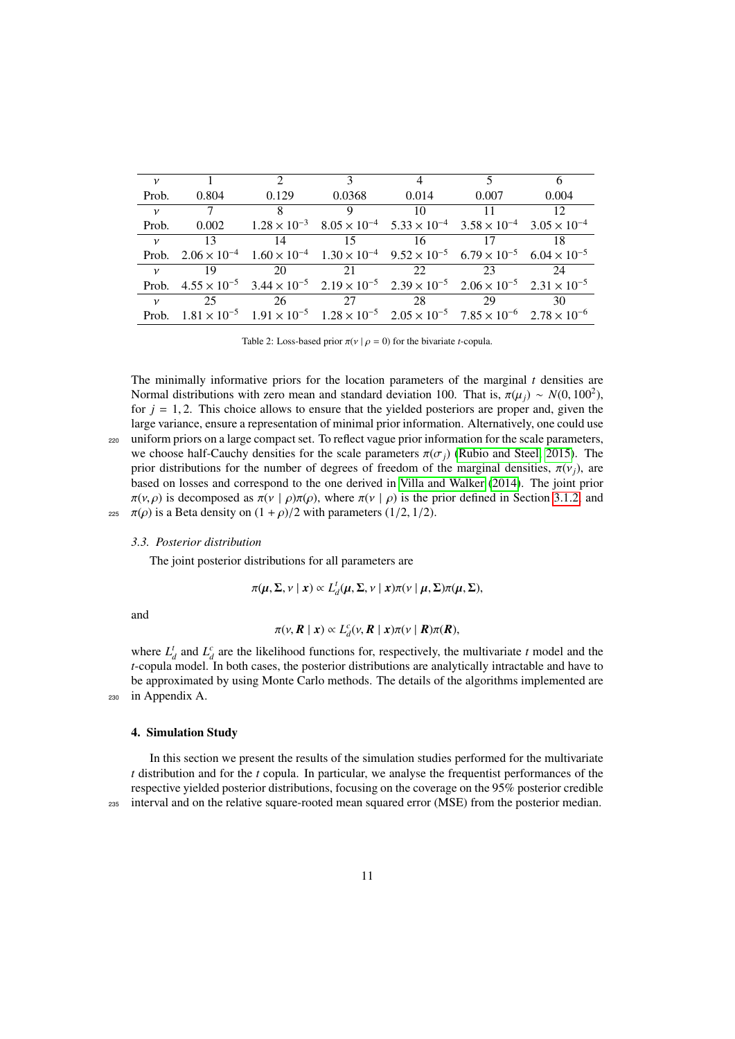| $\mathcal V$  |       | $\mathcal{L}$                                                                                                                             | 3               | $\overline{4}$ | 5     | 6               |
|---------------|-------|-------------------------------------------------------------------------------------------------------------------------------------------|-----------------|----------------|-------|-----------------|
| Prob.         | 0.804 | 0.129                                                                                                                                     | 0.0368          | 0.014          | 0.007 | 0.004           |
| $\mathcal V$  |       | 8 <sup>8</sup>                                                                                                                            | 9               | 10             | 11    | 12 <sup>°</sup> |
| Prob.         |       | $0.002$ $1.28 \times 10^{-3}$ $8.05 \times 10^{-4}$ $5.33 \times 10^{-4}$ $3.58 \times 10^{-4}$ $3.05 \times 10^{-4}$                     |                 |                |       |                 |
| $\mathcal{V}$ | 13    | 14                                                                                                                                        | $\overline{15}$ | 16             | -17   | 18              |
|               |       | Prob. $2.06 \times 10^{-4}$ $1.60 \times 10^{-4}$ $1.30 \times 10^{-4}$ $9.52 \times 10^{-5}$ $6.79 \times 10^{-5}$ $6.04 \times 10^{-5}$ |                 |                |       |                 |
| $\mathcal V$  | 19    | 20                                                                                                                                        | 2.1             | 22             | 23    | 24              |
|               |       | Prob. $4.55 \times 10^{-5}$ $3.44 \times 10^{-5}$ $2.19 \times 10^{-5}$ $2.39 \times 10^{-5}$ $2.06 \times 10^{-5}$ $2.31 \times 10^{-5}$ |                 |                |       |                 |
| $\mathcal V$  | 25    | 26                                                                                                                                        | 27              | 28             | 29    | 30              |
|               |       | Prob. $1.81 \times 10^{-5}$ $1.91 \times 10^{-5}$ $1.28 \times 10^{-5}$ $2.05 \times 10^{-5}$ $7.85 \times 10^{-6}$ $2.78 \times 10^{-6}$ |                 |                |       |                 |
|               |       |                                                                                                                                           |                 |                |       |                 |

<span id="page-10-1"></span>Table 2: Loss-based prior  $\pi(v \mid \rho = 0)$  for the bivariate *t*-copula.

The minimally informative priors for the location parameters of the marginal *t* densities are Normal distributions with zero mean and standard deviation 100. That is,  $\pi(\mu_j) \sim N(0, 100^2)$ , for  $i = 1, 2$ . This choice allows to ensure that the vielded posteriors are proper and given the for  $j = 1, 2$ . This choice allows to ensure that the yielded posteriors are proper and, given the large variance, ensure a representation of minimal prior information. Alternatively, one could use <sup>220</sup> uniform priors on a large compact set. To reflect vague prior information for the scale parameters, we choose half-Cauchy densities for the scale parameters  $\pi(\sigma_i)$  [\(Rubio and Steel, 2015\)](#page-31-14). The prior distributions for the number of degrees of freedom of the marginal densities,  $\pi(v_i)$ , are based on losses and correspond to the one derived in [Villa and Walker](#page-32-1) [\(2014\)](#page-32-1). The joint prior  $\pi(v, \rho)$  is decomposed as  $\pi(v \mid \rho)\pi(\rho)$ , where  $\pi(v \mid \rho)$  is the prior defined in Section [3.1.2,](#page-7-1) and 225  $\pi(\rho)$  is a Beta density on  $(1+\rho)/2$  with parameters (1/2, 1/2).

#### <span id="page-10-2"></span>*3.3. Posterior distribution*

The joint posterior distributions for all parameters are

$$
\pi(\mu, \Sigma, \nu \mid x) \propto L_d^t(\mu, \Sigma, \nu \mid x) \pi(\nu \mid \mu, \Sigma) \pi(\mu, \Sigma),
$$

and

$$
\pi(\nu, R \mid x) \propto L_d^c(\nu, R \mid x) \pi(\nu \mid R) \pi(R),
$$

where  $L_d^t$  and  $L_d^c$  are the likelihood functions for, respectively, the multivariate *t* model and the *t*-copula model. In both cases, the posterior distributions are analytically intractable and have to be approximated by using Monte Carlo methods. The details of the algorithms implemented are <sup>230</sup> in Appendix A.

### <span id="page-10-0"></span>4. Simulation Study

In this section we present the results of the simulation studies performed for the multivariate *t* distribution and for the *t* copula. In particular, we analyse the frequentist performances of the respective yielded posterior distributions, focusing on the coverage on the 95% posterior credible <sup>235</sup> interval and on the relative square-rooted mean squared error (MSE) from the posterior median.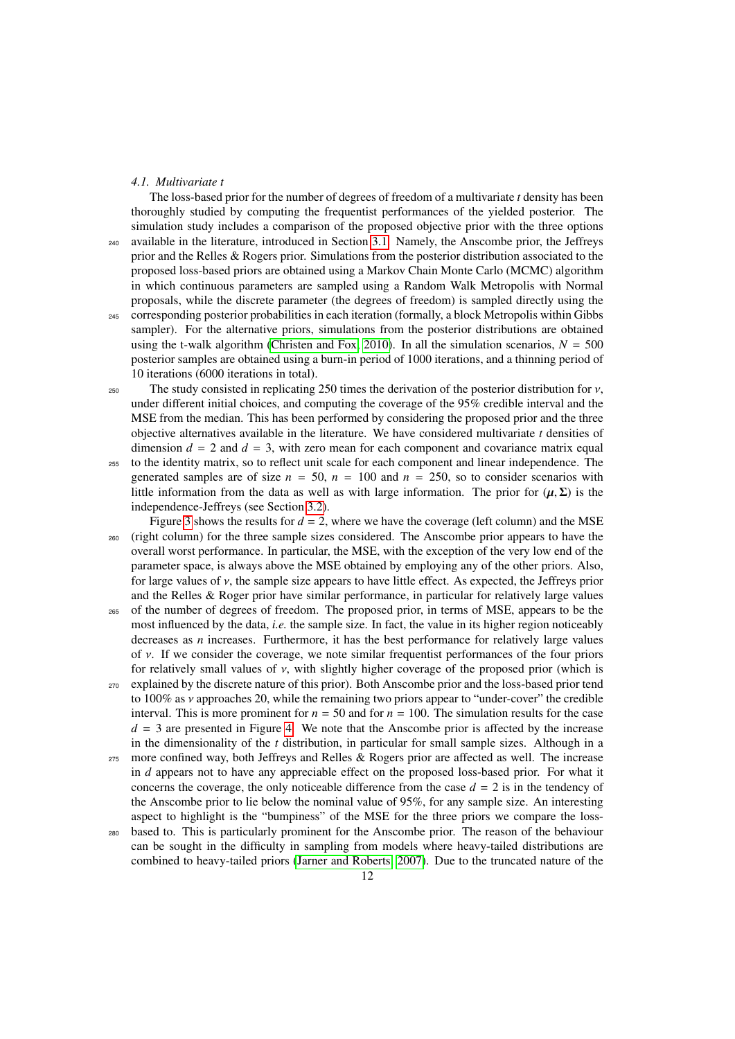### <span id="page-11-0"></span>*4.1. Multivariate t*

The loss-based prior for the number of degrees of freedom of a multivariate *t* density has been thoroughly studied by computing the frequentist performances of the yielded posterior. The simulation study includes a comparison of the proposed objective prior with the three options available in the literature, introduced in Section [3.1.](#page-3-0) Namely, the Anscombe prior, the Jeffreys prior and the Relles & Rogers prior. Simulations from the posterior distribution associated to the proposed loss-based priors are obtained using a Markov Chain Monte Carlo (MCMC) algorithm in which continuous parameters are sampled using a Random Walk Metropolis with Normal proposals, while the discrete parameter (the degrees of freedom) is sampled directly using the <sup>245</sup> corresponding posterior probabilities in each iteration (formally, a block Metropolis within Gibbs sampler). For the alternative priors, simulations from the posterior distributions are obtained using the t-walk algorithm [\(Christen and Fox, 2010\)](#page-31-25). In all the simulation scenarios,  $N = 500$ posterior samples are obtained using a burn-in period of 1000 iterations, and a thinning period of 10 iterations (6000 iterations in total).

250 The study consisted in replicating 250 times the derivation of the posterior distribution for  $v$ , under different initial choices, and computing the coverage of the 95% credible interval and the MSE from the median. This has been performed by considering the proposed prior and the three objective alternatives available in the literature. We have considered multivariate *t* densities of dimension  $d = 2$  and  $d = 3$ , with zero mean for each component and covariance matrix equal

<sup>255</sup> to the identity matrix, so to reflect unit scale for each component and linear independence. The generated samples are of size  $n = 50$ ,  $n = 100$  and  $n = 250$ , so to consider scenarios with little information from the data as well as with large information. The prior for  $(\mu, \Sigma)$  is the independence-Jeffreys (see Section [3.2\)](#page-9-1).

Figure [3](#page-12-0) shows the results for  $d = 2$ , where we have the coverage (left column) and the MSE <sup>260</sup> (right column) for the three sample sizes considered. The Anscombe prior appears to have the overall worst performance. In particular, the MSE, with the exception of the very low end of the parameter space, is always above the MSE obtained by employing any of the other priors. Also, for large values of  $\nu$ , the sample size appears to have little effect. As expected, the Jeffreys prior and the Relles & Roger prior have similar performance, in particular for relatively large values

- <sup>265</sup> of the number of degrees of freedom. The proposed prior, in terms of MSE, appears to be the most influenced by the data, *i.e.* the sample size. In fact, the value in its higher region noticeably decreases as *n* increases. Furthermore, it has the best performance for relatively large values of  $\nu$ . If we consider the coverage, we note similar frequentist performances of the four priors for relatively small values of  $\nu$ , with slightly higher coverage of the proposed prior (which is
- <sup>270</sup> explained by the discrete nature of this prior). Both Anscombe prior and the loss-based prior tend to  $100\%$  as  $\nu$  approaches 20, while the remaining two priors appear to "under-cover" the credible interval. This is more prominent for  $n = 50$  and for  $n = 100$ . The simulation results for the case  $d = 3$  are presented in Figure [4.](#page-13-0) We note that the Anscombe prior is affected by the increase in the dimensionality of the *t* distribution, in particular for small sample sizes. Although in a
- <sup>275</sup> more confined way, both Jeffreys and Relles & Rogers prior are affected as well. The increase in *d* appears not to have any appreciable effect on the proposed loss-based prior. For what it concerns the coverage, the only noticeable difference from the case  $d = 2$  is in the tendency of the Anscombe prior to lie below the nominal value of 95%, for any sample size. An interesting aspect to highlight is the "bumpiness" of the MSE for the three priors we compare the loss-
- <sup>280</sup> based to. This is particularly prominent for the Anscombe prior. The reason of the behaviour can be sought in the difficulty in sampling from models where heavy-tailed distributions are combined to heavy-tailed priors [\(Jarner and Roberts, 2007\)](#page-31-26). Due to the truncated nature of the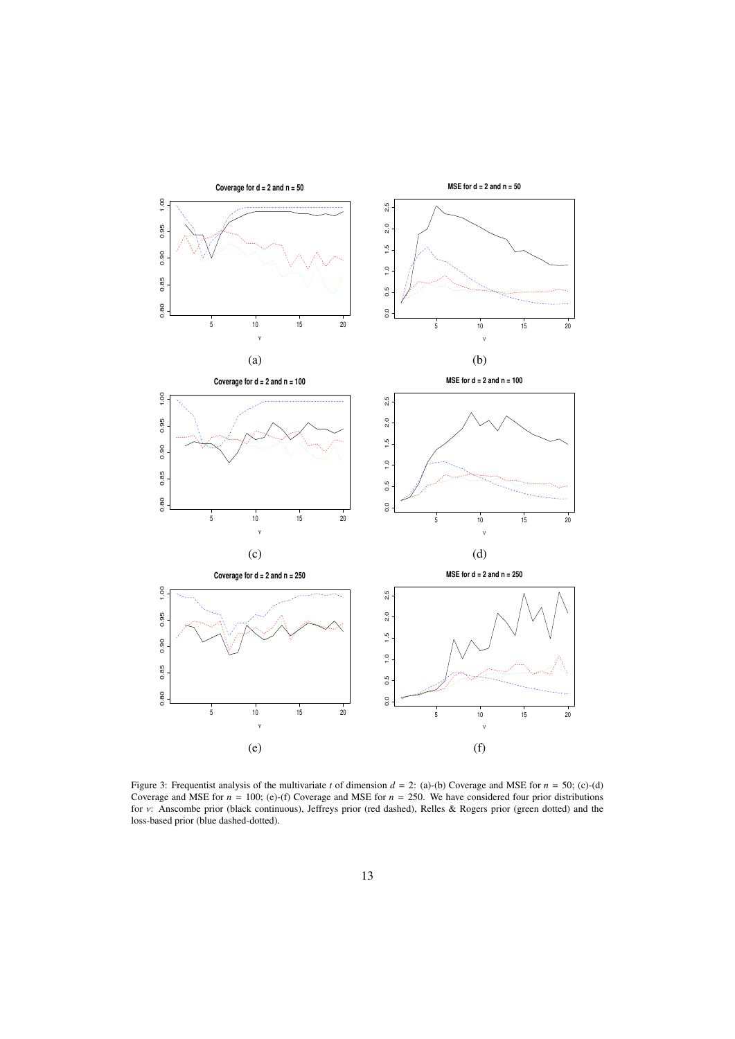

<span id="page-12-0"></span>Figure 3: Frequentist analysis of the multivariate *t* of dimension  $d = 2$ : (a)-(b) Coverage and MSE for  $n = 50$ ; (c)-(d) Coverage and MSE for  $n = 100$ ; (e)-(f) Coverage and MSE for  $n = 250$ . We have considered four prior distributions for ν: Anscombe prior (black continuous), Jeffreys prior (red dashed), Relles & Rogers prior (green dotted) and the<br>loss-based prior (blue dashed-dotted) loss-based prior (blue dashed-dotted).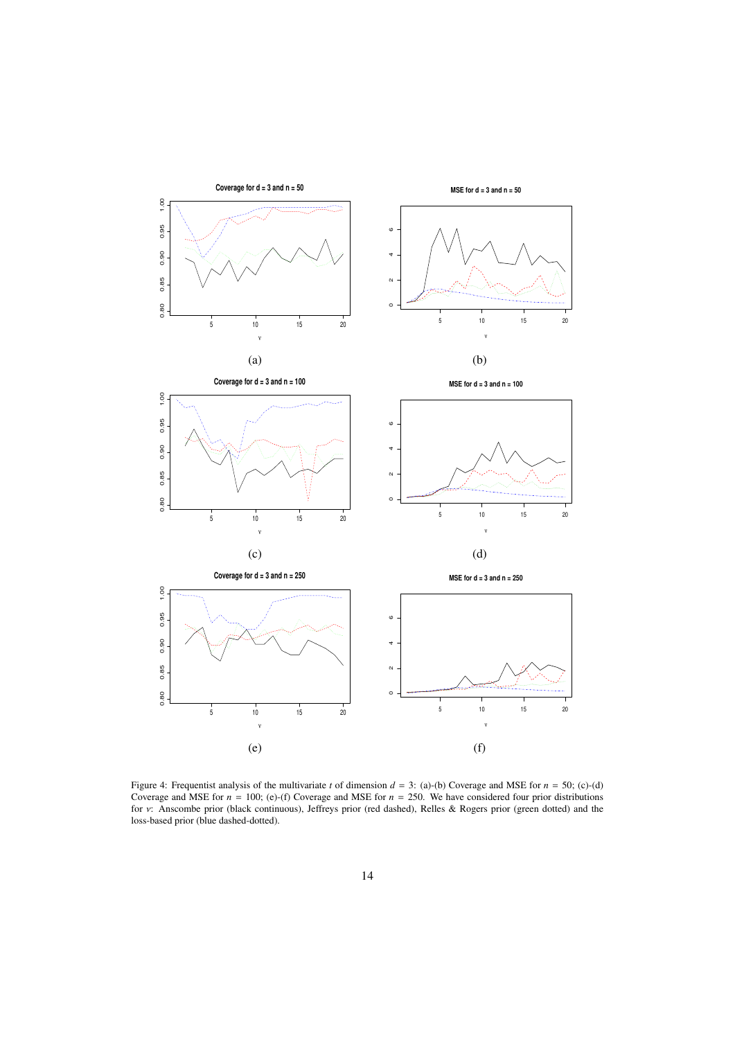

<span id="page-13-0"></span>Figure 4: Frequentist analysis of the multivariate *t* of dimension  $d = 3$ : (a)-(b) Coverage and MSE for  $n = 50$ ; (c)-(d) Coverage and MSE for  $n = 100$ ; (e)-(f) Coverage and MSE for  $n = 250$ . We have considered four prior distributions for ν: Anscombe prior (black continuous), Jeffreys prior (red dashed), Relles & Rogers prior (green dotted) and the<br>loss-based prior (blue dashed-dotted) loss-based prior (blue dashed-dotted).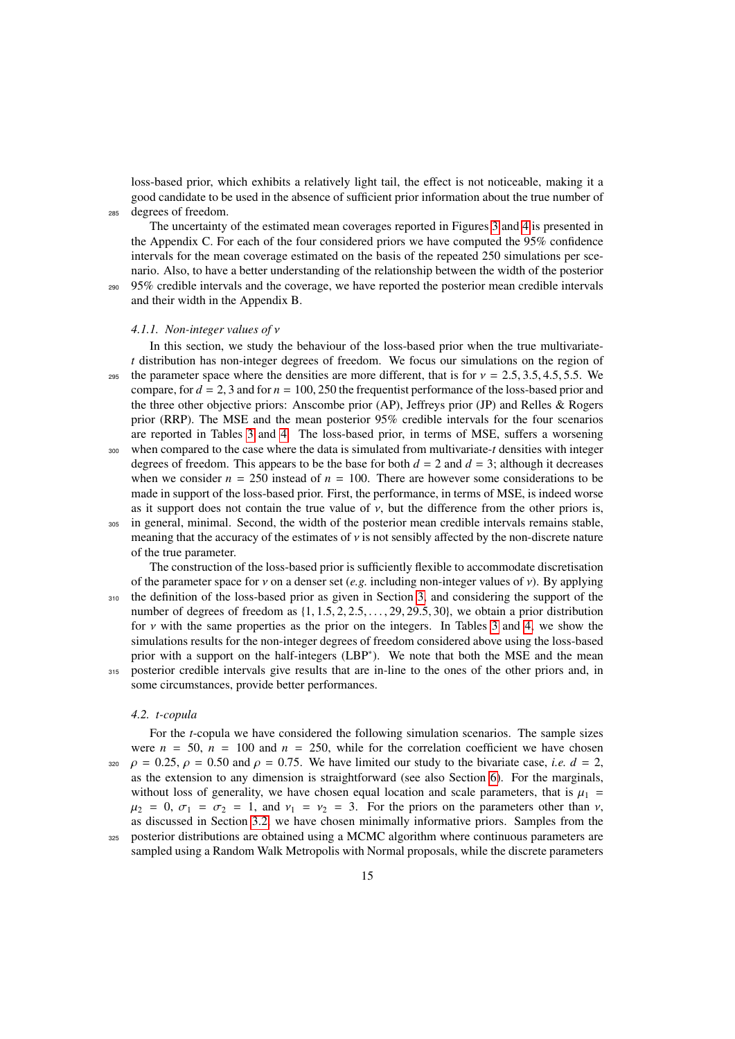loss-based prior, which exhibits a relatively light tail, the effect is not noticeable, making it a good candidate to be used in the absence of sufficient prior information about the true number of <sup>285</sup> degrees of freedom.

The uncertainty of the estimated mean coverages reported in Figures [3](#page-12-0) and [4](#page-13-0) is presented in the Appendix C. For each of the four considered priors we have computed the 95% confidence intervals for the mean coverage estimated on the basis of the repeated 250 simulations per scenario. Also, to have a better understanding of the relationship between the width of the posterior <sup>290</sup> 95% credible intervals and the coverage, we have reported the posterior mean credible intervals

# <span id="page-14-0"></span>*4.1.1. Non-integer values of* ν

and their width in the Appendix B.

In this section, we study the behaviour of the loss-based prior when the true multivariate*t* distribution has non-integer degrees of freedom. We focus our simulations on the region of 295 the parameter space where the densities are more different, that is for  $v = 2.5, 3.5, 4.5, 5.5$ . We compare, for  $d = 2$ , 3 and for  $n = 100$ , 250 the frequentist performance of the loss-based prior and the three other objective priors: Anscombe prior (AP), Jeffreys prior (JP) and Relles & Rogers prior (RRP). The MSE and the mean posterior 95% credible intervals for the four scenarios are reported in Tables [3](#page-15-0) and [4.](#page-15-1) The loss-based prior, in terms of MSE, suffers a worsening <sup>300</sup> when compared to the case where the data is simulated from multivariate-*t* densities with integer

degrees of freedom. This appears to be the base for both  $d = 2$  and  $d = 3$ ; although it decreases when we consider  $n = 250$  instead of  $n = 100$ . There are however some considerations to be made in support of the loss-based prior. First, the performance, in terms of MSE, is indeed worse as it support does not contain the true value of  $v$ , but the difference from the other priors is, <sup>305</sup> in general, minimal. Second, the width of the posterior mean credible intervals remains stable, meaning that the accuracy of the estimates of  $\nu$  is not sensibly affected by the non-discrete nature of the true parameter.

The construction of the loss-based prior is sufficiently flexible to accommodate discretisation of the parameter space for  $\nu$  on a denser set (*e.g.* including non-integer values of  $\nu$ ). By applying <sup>310</sup> the definition of the loss-based prior as given in Section [3,](#page-3-1) and considering the support of the number of degrees of freedom as  $\{1, 1.5, 2, 2.5, \ldots, 29, 29.5, 30\}$ , we obtain a prior distribution for  $\nu$  with the same properties as the prior on the integers. In Tables [3](#page-15-0) and [4,](#page-15-1) we show the simulations results for the non-integer degrees of freedom considered above using the loss-based prior with a support on the half-integers (LBP<sup>\*</sup>). We note that both the MSE and the mean <sup>315</sup> posterior credible intervals give results that are in-line to the ones of the other priors and, in some circumstances, provide better performances.

#### *4.2. t-copula*

For the *t*-copula we have considered the following simulation scenarios. The sample sizes were  $n = 50$ ,  $n = 100$  and  $n = 250$ , while for the correlation coefficient we have chosen  $\beta$  = 0.25,  $\rho$  = 0.50 and  $\rho$  = 0.75. We have limited our study to the bivariate case, *i.e.*  $d = 2$ , as the extension to any dimension is straightforward (see also Section [6\)](#page-20-0). For the marginals, without loss of generality, we have chosen equal location and scale parameters, that is  $\mu_1$  =  $\mu_2 = 0$ ,  $\sigma_1 = \sigma_2 = 1$ , and  $\nu_1 = \nu_2 = 3$ . For the priors on the parameters other than  $\nu$ , as discussed in Section [3.2,](#page-9-1) we have chosen minimally informative priors. Samples from the <sup>325</sup> posterior distributions are obtained using a MCMC algorithm where continuous parameters are sampled using a Random Walk Metropolis with Normal proposals, while the discrete parameters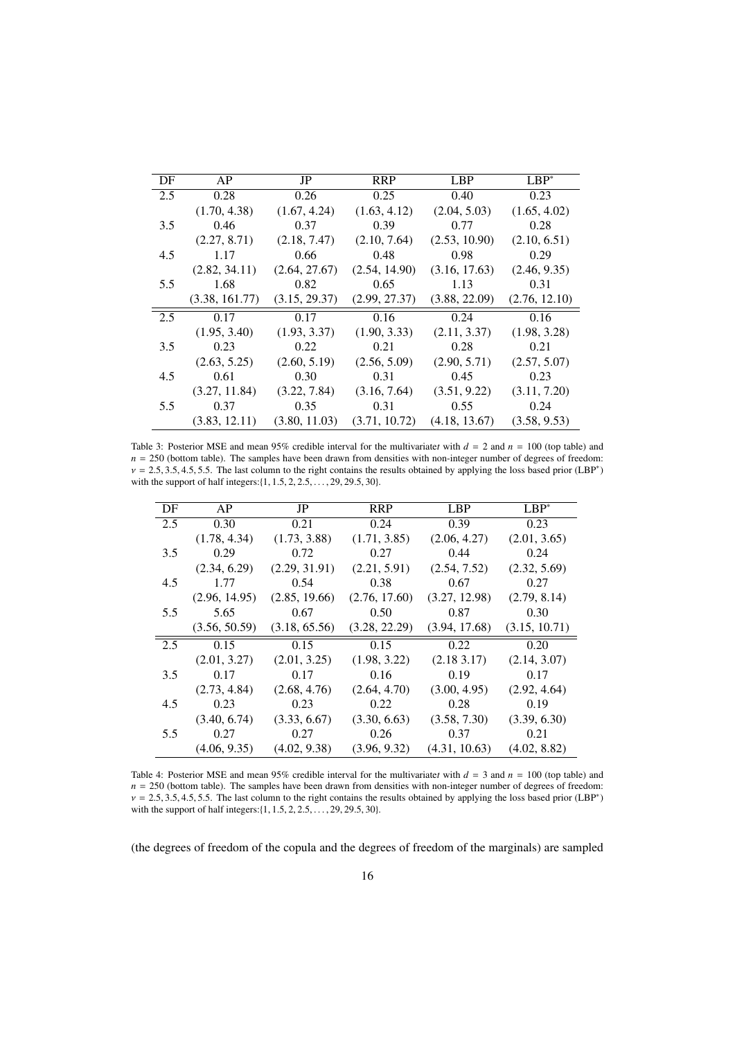<span id="page-15-0"></span>

| DF  | AP             | JP            | <b>RRP</b>    | <b>LBP</b>    | $LBP^*$       |
|-----|----------------|---------------|---------------|---------------|---------------|
| 2.5 | 0.28           | 0.26          | 0.25          | 0.40          | 0.23          |
|     | (1.70, 4.38)   | (1.67, 4.24)  | (1.63, 4.12)  | (2.04, 5.03)  | (1.65, 4.02)  |
| 3.5 | 0.46           | 0.37          | 0.39          | 0.77          | 0.28          |
|     | (2.27, 8.71)   | (2.18, 7.47)  | (2.10, 7.64)  | (2.53, 10.90) | (2.10, 6.51)  |
| 4.5 | 1.17           | 0.66          | 0.48          | 0.98          | 0.29          |
|     | (2.82, 34.11)  | (2.64, 27.67) | (2.54, 14.90) | (3.16, 17.63) | (2.46, 9.35)  |
| 5.5 | 1.68           | 0.82          | 0.65          | 1.13          | 0.31          |
|     | (3.38, 161.77) | (3.15, 29.37) | (2.99, 27.37) | (3.88, 22.09) | (2.76, 12.10) |
| 2.5 | 0.17           | 0.17          | 0.16          | 0.24          | 0.16          |
|     | (1.95, 3.40)   | (1.93, 3.37)  | (1.90, 3.33)  | (2.11, 3.37)  | (1.98, 3.28)  |
| 3.5 | 0.23           | 0.22          | 0.21          | 0.28          | 0.21          |
|     | (2.63, 5.25)   | (2.60, 5.19)  | (2.56, 5.09)  | (2.90, 5.71)  | (2.57, 5.07)  |
| 4.5 | 0.61           | 0.30          | 0.31          | 0.45          | 0.23          |
|     | (3.27, 11.84)  | (3.22, 7.84)  | (3.16, 7.64)  | (3.51, 9.22)  | (3.11, 7.20)  |
| 5.5 | 0.37           | 0.35          | 0.31          | 0.55          | 0.24          |
|     | (3.83, 12.11)  | (3.80, 11.03) | (3.71, 10.72) | (4.18, 13.67) | (3.58, 9.53)  |

Table 3: Posterior MSE and mean 95% credible interval for the multivariate*t* with  $d = 2$  and  $n = 100$  (top table) and  $n = 250$  (bottom table). The samples have been drawn from densities with non-integer number of degrees of freedom:  $v = 2.5, 3.5, 4.5, 5.5$ . The last column to the right contains the results obtained by applying the loss based prior (LBP<sup>∗</sup>) with the support of half integers:  $(1 \t 1 \t 5 \t 2 \t 2 \t 5 \t 20 \t 20 \t 5 \t 30)$ with the support of half integers: $\{1, 1.5, 2, 2.5, \ldots, 29, 29.5, 30\}$ .

<span id="page-15-1"></span>

| DF  | AP            | JP            | <b>RRP</b>    | LBP           | $LBP^*$       |
|-----|---------------|---------------|---------------|---------------|---------------|
| 2.5 | 0.30          | 0.21          | 0.24          | 0.39          | 0.23          |
|     | (1.78, 4.34)  | (1.73, 3.88)  | (1.71, 3.85)  | (2.06, 4.27)  | (2.01, 3.65)  |
| 3.5 | 0.29          | 0.72          | 0.27          | 0.44          | 0.24          |
|     | (2.34, 6.29)  | (2.29, 31.91) | (2.21, 5.91)  | (2.54, 7.52)  | (2.32, 5.69)  |
| 4.5 | 1.77          | 0.54          | 0.38          | 0.67          | 0.27          |
|     | (2.96, 14.95) | (2.85, 19.66) | (2.76, 17.60) | (3.27, 12.98) | (2.79, 8.14)  |
| 5.5 | 5.65          | 0.67          | 0.50          | 0.87          | 0.30          |
|     | (3.56, 50.59) | (3.18, 65.56) | (3.28, 22.29) | (3.94, 17.68) | (3.15, 10.71) |
| 2.5 | 0.15          | 0.15          | 0.15          | 0.22          | 0.20          |
|     | (2.01, 3.27)  | (2.01, 3.25)  | (1.98, 3.22)  | (2.183.17)    | (2.14, 3.07)  |
| 3.5 | 0.17          | 0.17          | 0.16          | 0.19          | 0.17          |
|     | (2.73, 4.84)  | (2.68, 4.76)  | (2.64, 4.70)  | (3.00, 4.95)  | (2.92, 4.64)  |
| 4.5 | 0.23          | 0.23          | 0.22          | 0.28          | 0.19          |
|     | (3.40, 6.74)  | (3.33, 6.67)  | (3.30, 6.63)  | (3.58, 7.30)  | (3.39, 6.30)  |
| 5.5 | 0.27          | 0.27          | 0.26          | 0.37          | 0.21          |
|     | (4.06, 9.35)  | (4.02, 9.38)  | (3.96, 9.32)  | (4.31, 10.63) | (4.02, 8.82)  |

Table 4: Posterior MSE and mean 95% credible interval for the multivariate*t* with *d* = 3 and *n* = 100 (top table) and  $n = 250$  (bottom table). The samples have been drawn from densities with non-integer number of degrees of freedom:  $v = 2.5, 3.5, 4.5, 5.5$ . The last column to the right contains the results obtained by applying the loss based prior (LBP<sup>∗</sup>) with the support of half integers:  $\{1, 1, 5, 2, 2, 5, 20, 20, 5, 30\}$ with the support of half integers: {1, 1.5, 2, 2.5, . . . , 29, 29.5, 30}.

(the degrees of freedom of the copula and the degrees of freedom of the marginals) are sampled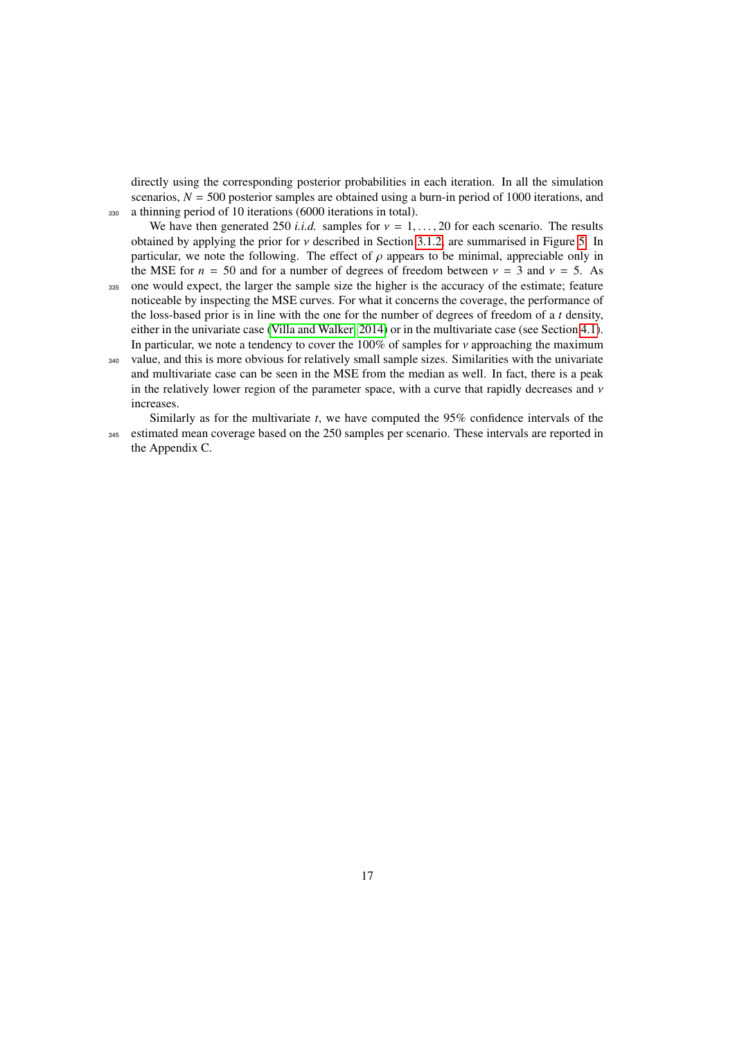directly using the corresponding posterior probabilities in each iteration. In all the simulation scenarios,  $N = 500$  posterior samples are obtained using a burn-in period of 1000 iterations, and <sup>330</sup> a thinning period of 10 iterations (6000 iterations in total).

We have then generated 250 *i.i.d.* samples for  $v = 1, \ldots, 20$  for each scenario. The results obtained by applying the prior for ν described in Section [3.1.2,](#page-7-1) are summarised in Figure [5.](#page-17-1) In particular, we note the following. The effect of  $\rho$  appears to be minimal, appreciable only in the MSE for  $n = 50$  and for a number of degrees of freedom between  $v = 3$  and  $v = 5$ . As

- <sup>335</sup> one would expect, the larger the sample size the higher is the accuracy of the estimate; feature noticeable by inspecting the MSE curves. For what it concerns the coverage, the performance of the loss-based prior is in line with the one for the number of degrees of freedom of a *t* density, either in the univariate case [\(Villa and Walker, 2014\)](#page-32-1) or in the multivariate case (see Section [4.1\)](#page-11-0). In particular, we note a tendency to cover the 100% of samples for  $\nu$  approaching the maximum
- <sup>340</sup> value, and this is more obvious for relatively small sample sizes. Similarities with the univariate and multivariate case can be seen in the MSE from the median as well. In fact, there is a peak in the relatively lower region of the parameter space, with a curve that rapidly decreases and  $\nu$ increases.

Similarly as for the multivariate *t*, we have computed the 95% confidence intervals of the <sup>345</sup> estimated mean coverage based on the 250 samples per scenario. These intervals are reported in the Appendix C.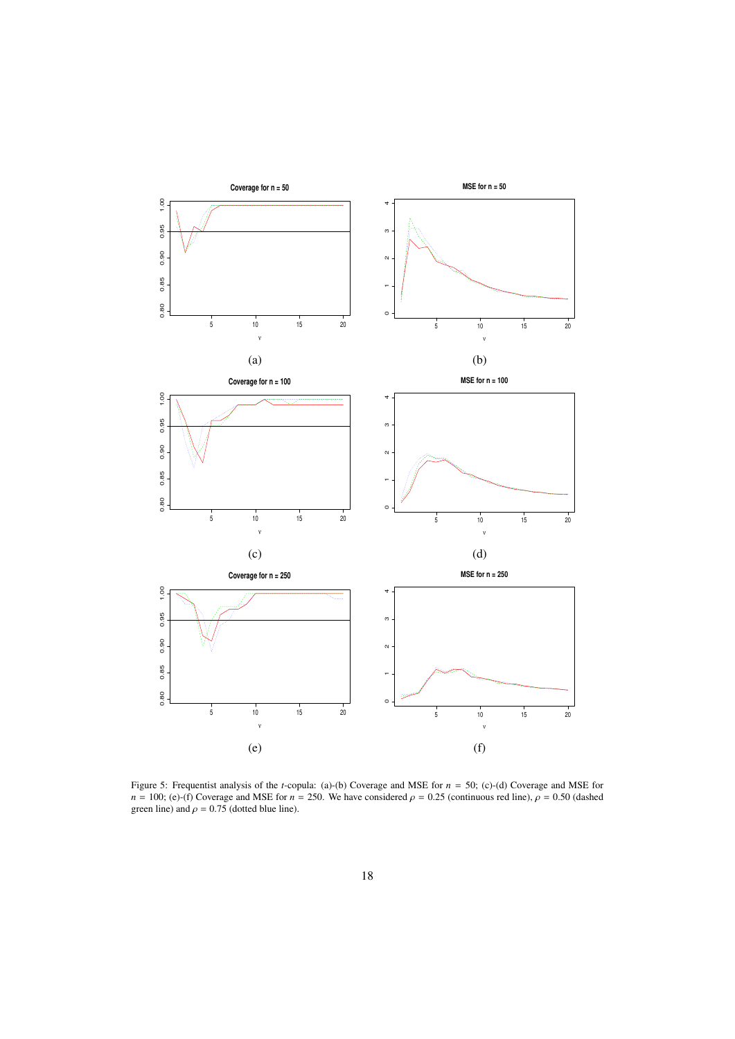

<span id="page-17-1"></span><span id="page-17-0"></span>Figure 5: Frequentist analysis of the *t*-copula: (a)-(b) Coverage and MSE for *n* = 50; (c)-(d) Coverage and MSE for *n* = 100; (e)-(f) Coverage and MSE for *n* = 250. We have considered  $\rho$  = 0.25 (continuous red line),  $\rho$  = 0.50 (dashed green line) and  $\rho = 0.75$  (dotted blue line).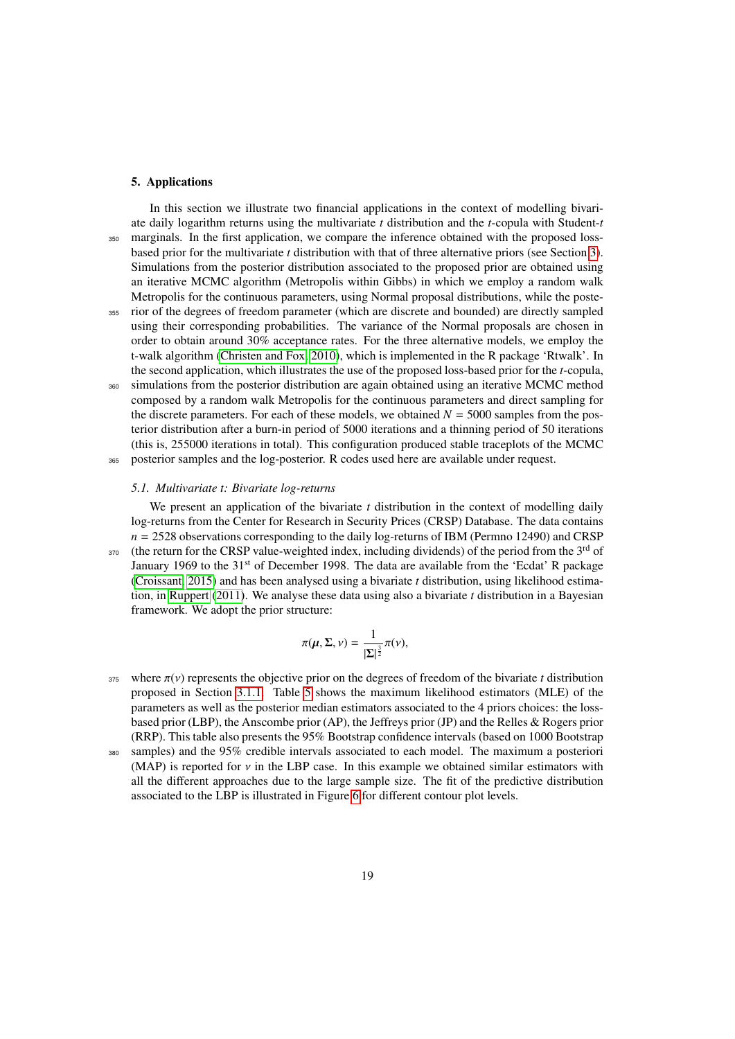### 5. Applications

In this section we illustrate two financial applications in the context of modelling bivariate daily logarithm returns using the multivariate *t* distribution and the *t*-copula with Student-*t* <sup>350</sup> marginals. In the first application, we compare the inference obtained with the proposed lossbased prior for the multivariate *t* distribution with that of three alternative priors (see Section [3\)](#page-3-1). Simulations from the posterior distribution associated to the proposed prior are obtained using an iterative MCMC algorithm (Metropolis within Gibbs) in which we employ a random walk Metropolis for the continuous parameters, using Normal proposal distributions, while the poste-<sup>355</sup> rior of the degrees of freedom parameter (which are discrete and bounded) are directly sampled using their corresponding probabilities. The variance of the Normal proposals are chosen in order to obtain around 30% acceptance rates. For the three alternative models, we employ the t-walk algorithm [\(Christen and Fox, 2010\)](#page-31-25), which is implemented in the R package 'Rtwalk'. In the second application, which illustrates the use of the proposed loss-based prior for the *t*-copula, <sup>360</sup> simulations from the posterior distribution are again obtained using an iterative MCMC method composed by a random walk Metropolis for the continuous parameters and direct sampling for the discrete parameters. For each of these models, we obtained  $N = 5000$  samples from the posterior distribution after a burn-in period of 5000 iterations and a thinning period of 50 iterations (this is, 255000 iterations in total). This configuration produced stable traceplots of the MCMC

<sup>365</sup> posterior samples and the log-posterior. R codes used here are available under request.

#### *5.1. Multivariate t: Bivariate log-returns*

We present an application of the bivariate *t* distribution in the context of modelling daily log-returns from the Center for Research in Security Prices (CRSP) Database. The data contains *n* = 2528 observations corresponding to the daily log-returns of IBM (Permno 12490) and CRSP 370 (the return for the CRSP value-weighted index, including dividends) of the period from the  $3<sup>rd</sup>$  of January 1969 to the 31<sup>st</sup> of December 1998. The data are available from the 'Ecdat' R package [\(Croissant, 2015\)](#page-31-27) and has been analysed using a bivariate *t* distribution, using likelihood estimation, in [Ruppert](#page-31-4) [\(2011\)](#page-31-4). We analyse these data using also a bivariate *t* distribution in a Bayesian framework. We adopt the prior structure:

$$
\pi(\mu, \Sigma, \nu) = \frac{1}{|\Sigma|^{\frac{3}{2}}} \pi(\nu),
$$

- $375$  where  $\pi(v)$  represents the objective prior on the degrees of freedom of the bivariate *t* distribution proposed in Section [3.1.1.](#page-5-1) Table [5](#page-19-0) shows the maximum likelihood estimators (MLE) of the parameters as well as the posterior median estimators associated to the 4 priors choices: the lossbased prior (LBP), the Anscombe prior (AP), the Jeffreys prior (JP) and the Relles & Rogers prior (RRP). This table also presents the 95% Bootstrap confidence intervals (based on 1000 Bootstrap <sup>380</sup> samples) and the 95% credible intervals associated to each model. The maximum a posteriori (MAP) is reported for  $\nu$  in the LBP case. In this example we obtained similar estimators with
- all the different approaches due to the large sample size. The fit of the predictive distribution associated to the LBP is illustrated in Figure [6](#page-20-1) for different contour plot levels.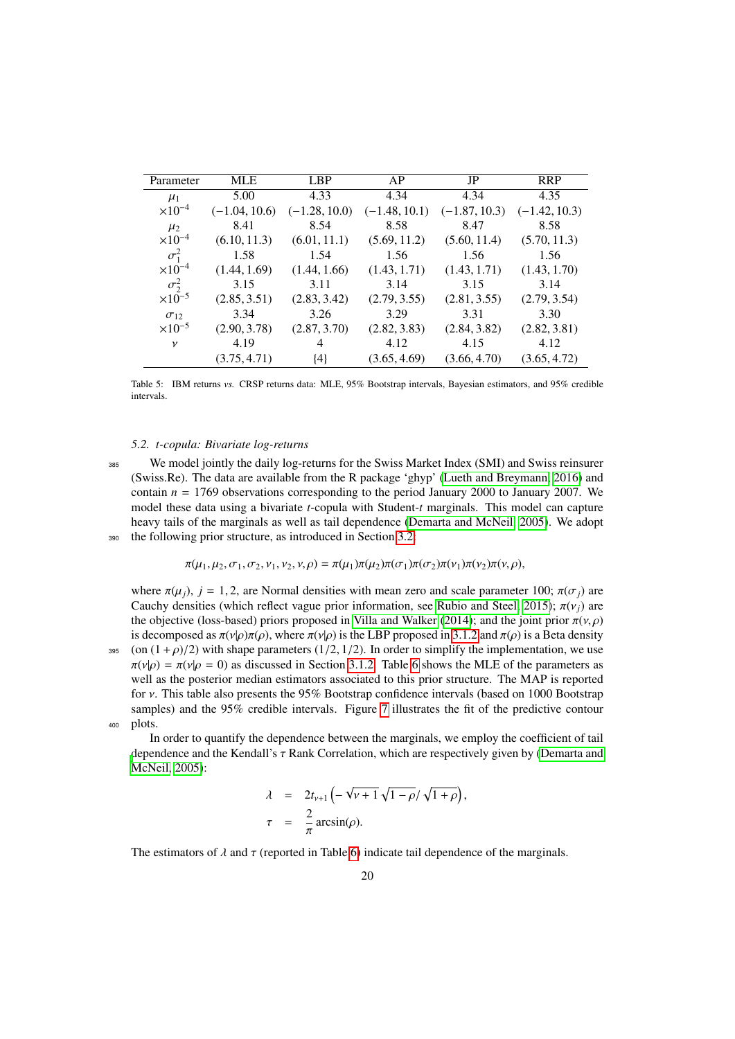<span id="page-19-0"></span>

| Parameter        | MLE             | LBP             | AP              | JP              | <b>RRP</b>      |
|------------------|-----------------|-----------------|-----------------|-----------------|-----------------|
| $\mu_1$          | 5.00            | 4.33            | 4.34            | 4.34            | 4.35            |
| $\times 10^{-4}$ | $(-1.04, 10.6)$ | $(-1.28, 10.0)$ | $(-1.48, 10.1)$ | $(-1.87, 10.3)$ | $(-1.42, 10.3)$ |
| $\mu_2$          | 8.41            | 8.54            | 8.58            | 8.47            | 8.58            |
| $\times 10^{-4}$ | (6.10, 11.3)    | (6.01, 11.1)    | (5.69, 11.2)    | (5.60, 11.4)    | (5.70, 11.3)    |
| $\sigma_1^2$     | 1.58            | 1.54            | 1.56            | 1.56            | 1.56            |
| $\times 10^{-4}$ | (1.44, 1.69)    | (1.44, 1.66)    | (1.43, 1.71)    | (1.43, 1.71)    | (1.43, 1.70)    |
| $\sigma^2$       | 3.15            | 3.11            | 3.14            | 3.15            | 3.14            |
| $\times 10^{-5}$ | (2.85, 3.51)    | (2.83, 3.42)    | (2.79, 3.55)    | (2.81, 3.55)    | (2.79, 3.54)    |
| $\sigma_{12}$    | 3.34            | 3.26            | 3.29            | 3.31            | 3.30            |
| $\times 10^{-5}$ | (2.90, 3.78)    | (2.87, 3.70)    | (2.82, 3.83)    | (2.84, 3.82)    | (2.82, 3.81)    |
| $\mathcal V$     | 4.19            | 4               | 4.12            | 4.15            | 4.12            |
|                  | (3.75, 4.71)    | ${4}$           | (3.65, 4.69)    | (3.66, 4.70)    | (3.65, 4.72)    |

Table 5: IBM returns *vs.* CRSP returns data: MLE, 95% Bootstrap intervals, Bayesian estimators, and 95% credible intervals.

#### <span id="page-19-1"></span>*5.2. t-copula: Bivariate log-returns*

<sup>385</sup> We model jointly the daily log-returns for the Swiss Market Index (SMI) and Swiss reinsurer (Swiss.Re). The data are available from the R package 'ghyp' [\(Lueth and Breymann, 2016\)](#page-31-28) and contain  $n = 1769$  observations corresponding to the period January 2000 to January 2007. We model these data using a bivariate *t*-copula with Student-*t* marginals. This model can capture heavy tails of the marginals as well as tail dependence [\(Demarta and McNeil, 2005\)](#page-31-6). We adopt <sup>390</sup> the following prior structure, as introduced in Section [3.2:](#page-9-1)

$$
\pi(\mu_1, \mu_2, \sigma_1, \sigma_2, \nu_1, \nu_2, \nu, \rho) = \pi(\mu_1)\pi(\mu_2)\pi(\sigma_1)\pi(\sigma_2)\pi(\nu_1)\pi(\nu_2)\pi(\nu, \rho),
$$

where  $\pi(\mu_i)$ ,  $j = 1, 2$ , are Normal densities with mean zero and scale parameter 100;  $\pi(\sigma_i)$  are Cauchy densities (which reflect vague prior information, see [Rubio and Steel, 2015\)](#page-31-14);  $\pi(v_i)$  are the objective (loss-based) priors proposed in [Villa and Walker](#page-32-1) [\(2014\)](#page-32-1); and the joint prior  $\pi(v, \rho)$ is decomposed as  $\pi(v|\rho)\pi(\rho)$ , where  $\pi(v|\rho)$  is the LBP proposed in [3.1.2](#page-7-1) and  $\pi(\rho)$  is a Beta density 395 (on  $(1 + \rho)/2$ ) with shape parameters  $(1/2, 1/2)$ . In order to simplify the implementation, we use  $\pi(v|\rho) = \pi(v|\rho = 0)$  as discussed in Section [3.1.2.](#page-7-1) Table [6](#page-21-0) shows the MLE of the parameters as well as the posterior median estimators associated to this prior structure. The MAP is reported for ν. This table also presents the 95% Bootstrap confidence intervals (based on 1000 Bootstrap samples) and the 95% credible intervals. Figure [7](#page-22-0) illustrates the fit of the predictive contour <sup>400</sup> plots.

In order to quantify the dependence between the marginals, we employ the coefficient of tail [d](#page-31-6)ependence and the Kendall's τ Rank Correlation, which are respectively given by [\(Demarta and](#page-31-6) [McNeil, 2005\)](#page-31-6):

$$
\lambda = 2t_{\nu+1} \left( -\sqrt{\nu+1} \sqrt{1-\rho} / \sqrt{1+\rho} \right),
$$
  
\n
$$
\tau = \frac{2}{\pi} \arcsin(\rho).
$$

The estimators of  $\lambda$  and  $\tau$  (reported in Table [6\)](#page-21-0) indicate tail dependence of the marginals.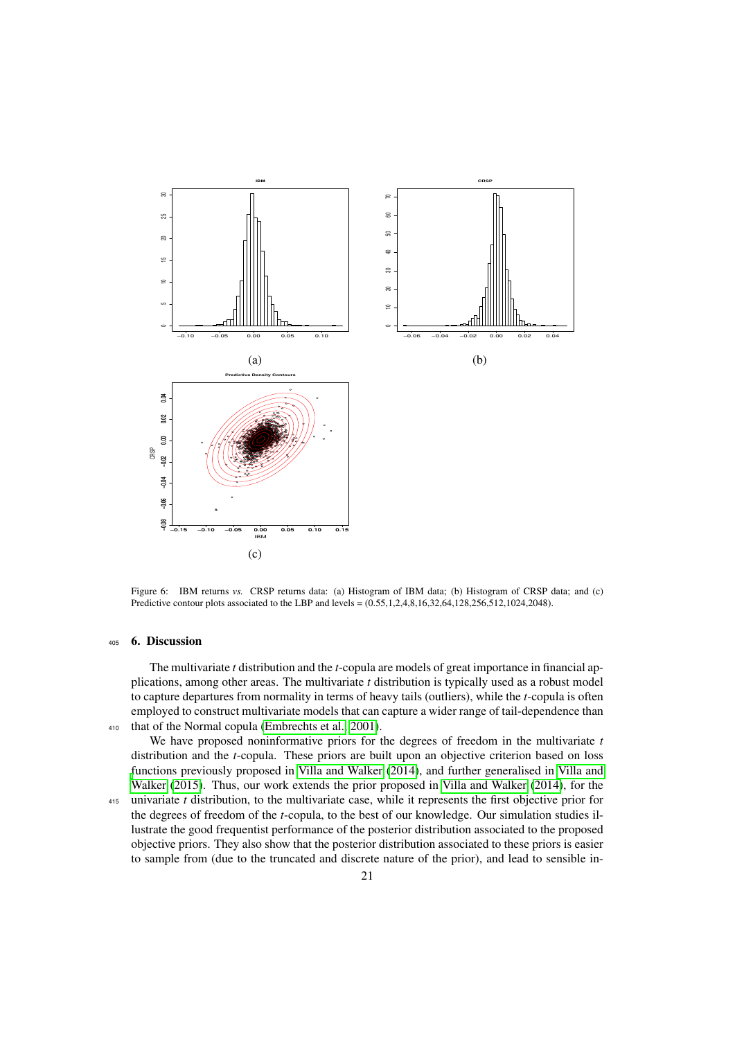

<span id="page-20-1"></span>Figure 6: IBM returns *vs.* CRSP returns data: (a) Histogram of IBM data; (b) Histogram of CRSP data; and (c) Predictive contour plots associated to the LBP and levels = (0.55,1,2,4,8,16,32,64,128,256,512,1024,2048).

# <span id="page-20-0"></span><sup>405</sup> 6. Discussion

The multivariate *t* distribution and the *t*-copula are models of great importance in financial applications, among other areas. The multivariate *t* distribution is typically used as a robust model to capture departures from normality in terms of heavy tails (outliers), while the *t*-copula is often employed to construct multivariate models that can capture a wider range of tail-dependence than <sup>410</sup> that of the Normal copula [\(Embrechts et al., 2001\)](#page-31-21).

We have proposed noninformative priors for the degrees of freedom in the multivariate *t* distribution and the *t*-copula. These priors are built upon an objective criterion based on loss [f](#page-32-2)unctions previously proposed in [Villa and Walker](#page-32-1) [\(2014\)](#page-32-1), and further generalised in [Villa and](#page-32-2) [Walker](#page-32-2) [\(2015\)](#page-32-2). Thus, our work extends the prior proposed in [Villa and Walker](#page-32-1) [\(2014\)](#page-32-1), for the

<sup>415</sup> univariate *t* distribution, to the multivariate case, while it represents the first objective prior for the degrees of freedom of the *t*-copula, to the best of our knowledge. Our simulation studies illustrate the good frequentist performance of the posterior distribution associated to the proposed objective priors. They also show that the posterior distribution associated to these priors is easier to sample from (due to the truncated and discrete nature of the prior), and lead to sensible in-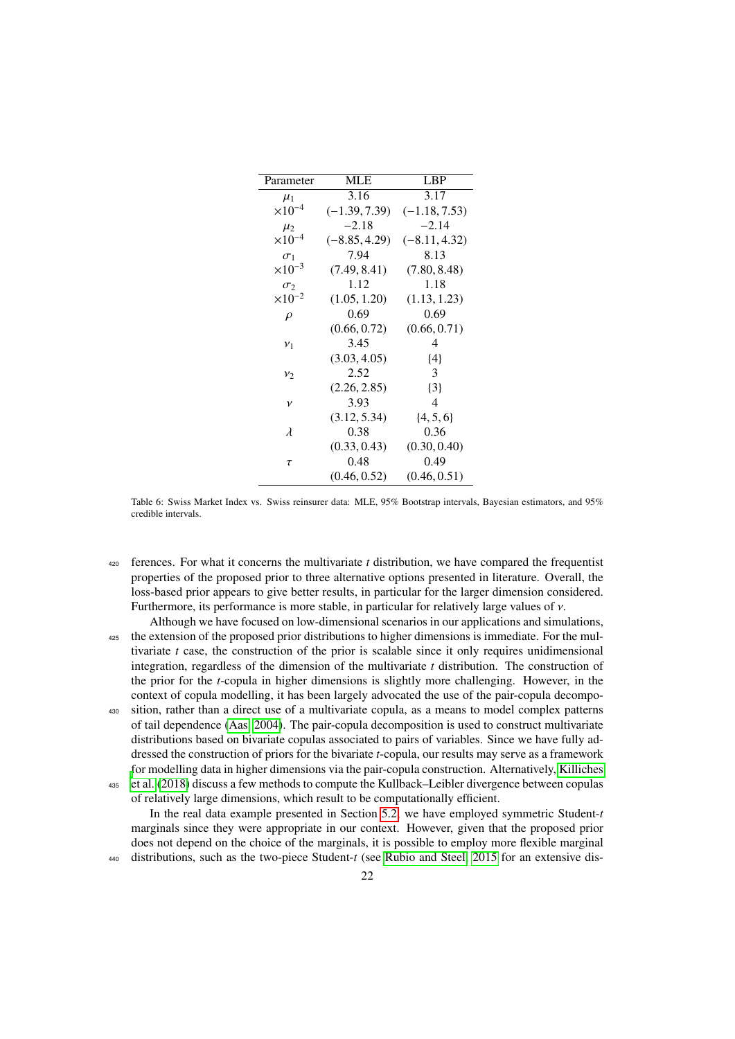<span id="page-21-0"></span>

| Parameter                 | <b>MLE</b>      | <b>LBP</b>      |
|---------------------------|-----------------|-----------------|
| $\mu_1$                   | 3.16            | 3.17            |
| $\times$ 10 <sup>-4</sup> | $(-1.39, 7.39)$ | $(-1.18, 7.53)$ |
| $\mu_2$                   | $-2.18$         | $-2.14$         |
| $\times 10^{-4}$          | $(-8.85, 4.29)$ | $(-8.11, 4.32)$ |
| $\sigma_1$                | 7.94            | 8.13            |
| $\times 10^{-3}$          | (7.49, 8.41)    | (7.80, 8.48)    |
| $\sigma_2$                | 1.12            | 1.18            |
| $\times 10^{-2}$          | (1.05, 1.20)    | (1.13, 1.23)    |
| $\rho$                    | 0.69            | 0.69            |
|                           | (0.66, 0.72)    | (0.66, 0.71)    |
| v <sub>1</sub>            | 3.45            | 4               |
|                           | (3.03, 4.05)    | {4}             |
| $v_2$                     | 2.52            | 3               |
|                           | (2.26, 2.85)    | $\{3\}$         |
| $\mathcal V$              | 3.93            | 4               |
|                           | (3.12, 5.34)    | $\{4, 5, 6\}$   |
| $\lambda$                 | 0.38            | 0.36            |
|                           | (0.33, 0.43)    | (0.30, 0.40)    |
| τ                         | 0.48            | 0.49            |
|                           | (0.46, 0.52)    | (0.46, 0.51)    |
|                           |                 |                 |

Table 6: Swiss Market Index vs. Swiss reinsurer data: MLE, 95% Bootstrap intervals, Bayesian estimators, and 95% credible intervals.

- <sup>420</sup> ferences. For what it concerns the multivariate *t* distribution, we have compared the frequentist properties of the proposed prior to three alternative options presented in literature. Overall, the loss-based prior appears to give better results, in particular for the larger dimension considered. Furthermore, its performance is more stable, in particular for relatively large values of  $\nu$ .
- Although we have focused on low-dimensional scenarios in our applications and simulations, <sup>425</sup> the extension of the proposed prior distributions to higher dimensions is immediate. For the multivariate *t* case, the construction of the prior is scalable since it only requires unidimensional integration, regardless of the dimension of the multivariate *t* distribution. The construction of the prior for the *t*-copula in higher dimensions is slightly more challenging. However, in the context of copula modelling, it has been largely advocated the use of the pair-copula decompo-<sup>430</sup> sition, rather than a direct use of a multivariate copula, as a means to model complex patterns
- of tail dependence [\(Aas, 2004\)](#page-31-29). The pair-copula decomposition is used to construct multivariate distributions based on bivariate copulas associated to pairs of variables. Since we have fully addressed the construction of priors for the bivariate *t*-copula, our results may serve as a framework [f](#page-31-24)or modelling data in higher dimensions via the pair-copula construction. Alternatively, [Killiches](#page-31-24) <sup>435</sup> [et al.](#page-31-24) [\(2018\)](#page-31-24) discuss a few methods to compute the Kullback–Leibler divergence between copulas

of relatively large dimensions, which result to be computationally efficient.

In the real data example presented in Section [5.2,](#page-19-1) we have employed symmetric Student-*t* marginals since they were appropriate in our context. However, given that the proposed prior does not depend on the choice of the marginals, it is possible to employ more flexible marginal <sup>440</sup> distributions, such as the two-piece Student-*t* (see [Rubio and Steel, 2015](#page-31-14) for an extensive dis-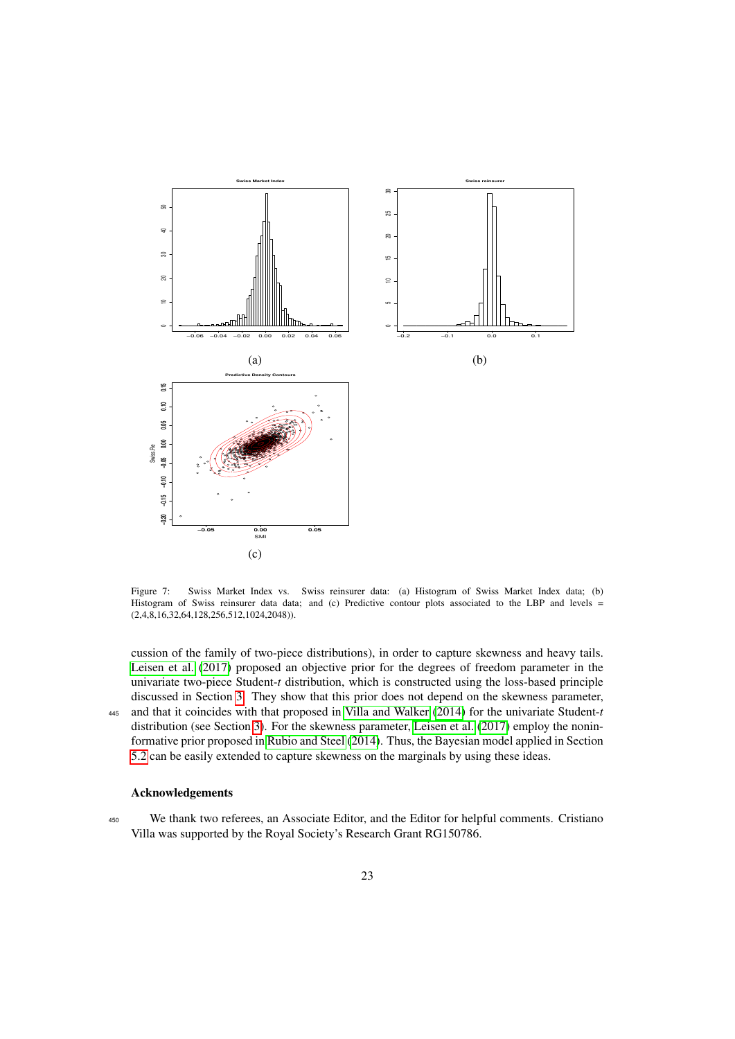

<span id="page-22-0"></span>Figure 7: Swiss Market Index vs. Swiss reinsurer data: (a) Histogram of Swiss Market Index data; (b) Histogram of Swiss reinsurer data data; and (c) Predictive contour plots associated to the LBP and levels  $=$ (2,4,8,16,32,64,128,256,512,1024,2048)).

cussion of the family of two-piece distributions), in order to capture skewness and heavy tails. [Leisen et al.](#page-31-30) [\(2017\)](#page-31-30) proposed an objective prior for the degrees of freedom parameter in the univariate two-piece Student-*t* distribution, which is constructed using the loss-based principle discussed in Section [3.](#page-3-1) They show that this prior does not depend on the skewness parameter, <sup>445</sup> and that it coincides with that proposed in [Villa and Walker](#page-32-1) [\(2014\)](#page-32-1) for the univariate Student-*t* distribution (see Section [3\)](#page-3-1). For the skewness parameter, [Leisen et al.](#page-31-30) [\(2017\)](#page-31-30) employ the noninformative prior proposed in [Rubio and Steel](#page-31-31) [\(2014\)](#page-31-31). Thus, the Bayesian model applied in Section [5.2](#page-19-1) can be easily extended to capture skewness on the marginals by using these ideas.

# Acknowledgements

<sup>450</sup> We thank two referees, an Associate Editor, and the Editor for helpful comments. Cristiano Villa was supported by the Royal Society's Research Grant RG150786.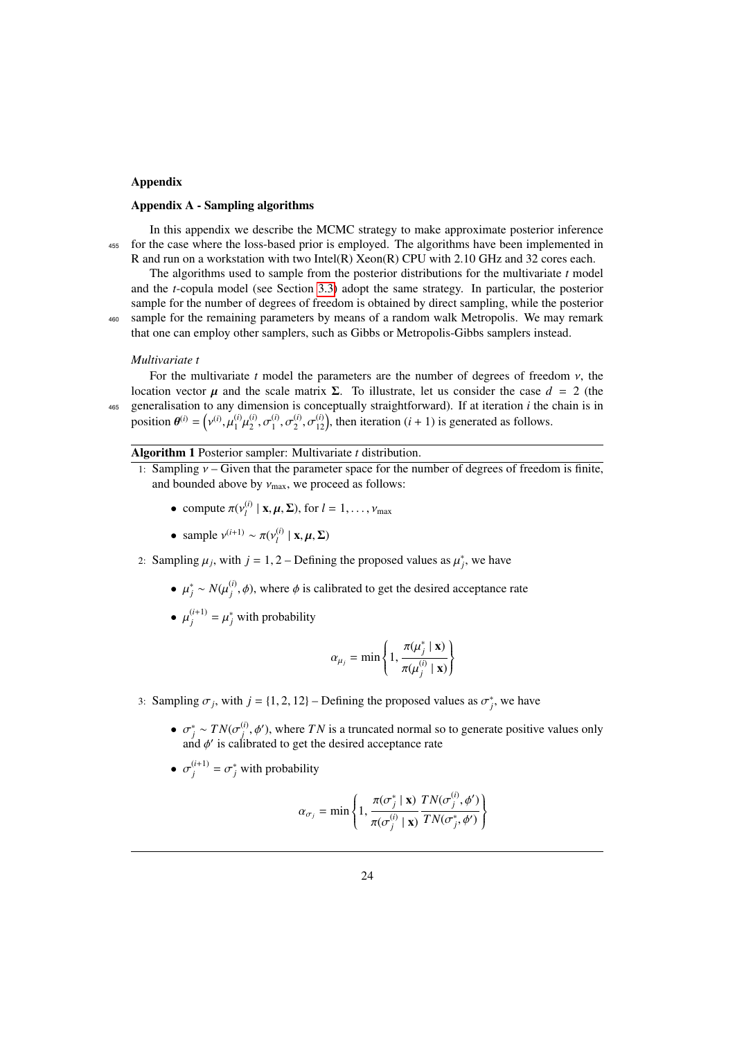# Appendix

### Appendix A - Sampling algorithms

In this appendix we describe the MCMC strategy to make approximate posterior inference <sup>455</sup> for the case where the loss-based prior is employed. The algorithms have been implemented in R and run on a workstation with two Intel(R) Xeon(R) CPU with 2.10 GHz and 32 cores each.

The algorithms used to sample from the posterior distributions for the multivariate *t* model and the *t*-copula model (see Section [3.3\)](#page-10-2) adopt the same strategy. In particular, the posterior sample for the number of degrees of freedom is obtained by direct sampling, while the posterior <sup>460</sup> sample for the remaining parameters by means of a random walk Metropolis. We may remark that one can employ other samplers, such as Gibbs or Metropolis-Gibbs samplers instead.

### *Multivariate t*

For the multivariate  $t$  model the parameters are the number of degrees of freedom  $\nu$ , the location vector *μ* and the scale matrix Σ. To illustrate, let us consider the case  $d = 2$  (the <sup>465</sup> generalisation to any dimension is conceptually straightforward). If at iteration *i* the chain is in position  $\theta^{(i)} =$  ( (*i*)  $\sum_{i=1}^{n}$ (*i*)  $\mathfrak{p}$ (*i*)  $2, 0$ (*i*)  $\mathfrak{g}$ ,  $\mathfrak{g}$ (*i*)  $2, 0$  $\binom{i}{12}$ , then iteration  $(i + 1)$  is generated as follows.

# Algorithm 1 Posterior sampler: Multivariate *t* distribution.

- 1: Sampling  $v -$  Given that the parameter space for the number of degrees of freedom is finite, and bounded above by  $v_{\text{max}}$ , we proceed as follows:
	- compute  $\pi(v_i^{(i)})$  $\mathcal{L}_l^{(l)}$  | **x**,  $\boldsymbol{\mu}, \boldsymbol{\Sigma}$ ), for  $l = 1, \ldots, \nu_{\text{max}}$
	- sample  $v^{(i+1)} \sim \pi(v_l^{(i)})$  $\mu_l^{(l)} | \mathbf{x}, \mu, \Sigma)$
- 2: Sampling  $\mu_j$ , with  $j = 1, 2$  Defining the proposed values as  $\mu_j^*$ , we have
	- $\mu_j^* \sim N(\mu_j^{(i)}, \phi)$ , where  $\phi$  is calibrated to get the desired acceptance rate
	- $\mu_j^{(i+1)} = \mu_j^*$  with probability

$$
\alpha_{\mu_j} = \min\left\{1, \frac{\pi(\mu_j^* \mid \mathbf{x})}{\pi(\mu_j^{(i)} \mid \mathbf{x})}\right\}
$$

- 3: Sampling  $\sigma_j$ , with  $j = \{1, 2, 12\}$  Defining the proposed values as  $\sigma_j^*$ , we have
	- $\sigma_j^* \sim TN(\sigma_j^{(i)}, \phi')$ , where *TN* is a truncated normal so to generate positive values only and  $\phi'$  is calibrated to get the desired accentance rate and  $\phi'$  is calibrated to get the desired acceptance rate
	- $\sigma_j^{(i+1)} = \sigma_j^*$  with probability

$$
\alpha_{\sigma_j} = \min \left\{ 1, \frac{\pi(\sigma_j^* \mid \mathbf{x})}{\pi(\sigma_j^{(i)} \mid \mathbf{x})} \frac{TN(\sigma_j^{(i)}, \phi')}{TN(\sigma_j^*, \phi')} \right\}
$$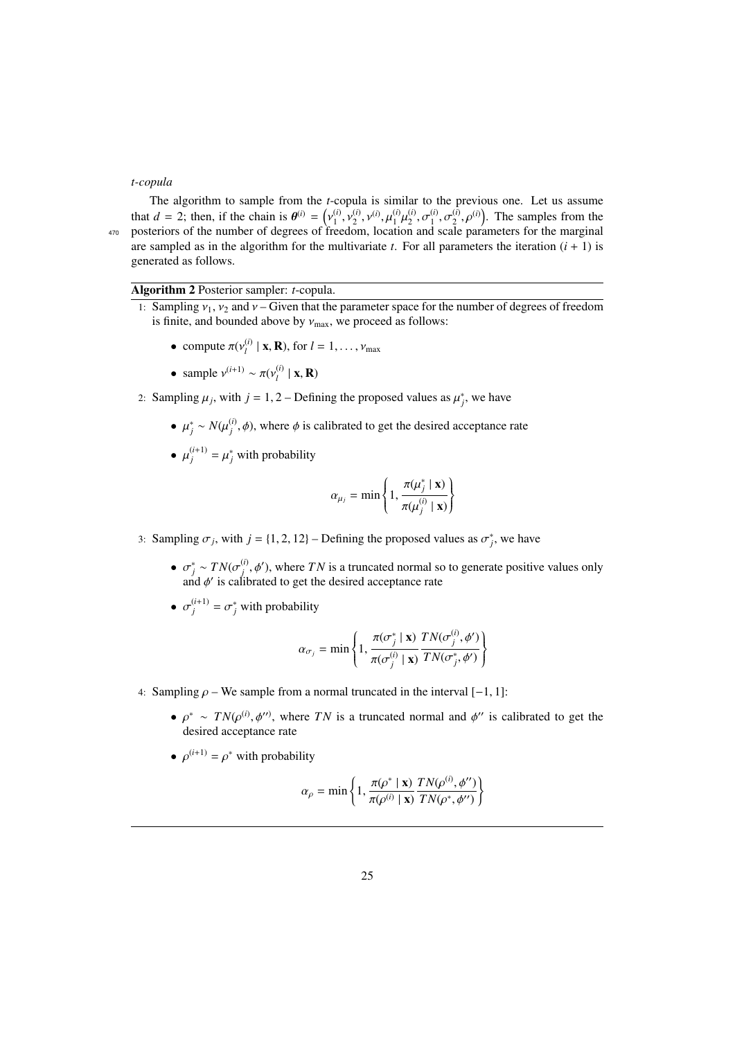# *t-copula*

The algorithm to sample from the *t*-copula is similar to the previous one. Let us assume that  $d = 2$ ; then, if the chain is  $\theta^{(i)} = \begin{pmatrix} 1 & 0 \\ 0 & 1 \end{pmatrix}$ ։<br>Բո (*i*) ر د 1<br>نامون (*i*)  $^{(i)}_{2}$ ,  $\nu^{(i)}$ , μ (*i*)  $\frac{1}{1}$ (*i*)  $2, 0$ <br>n and (*i*)  $\frac{1}{1}$ ,  $\frac{0}{1}$ (*i*)  $\binom{(i)}{2}$ ,  $\rho^{(i)}$ ). The samples from the <sup>470</sup> posteriors of the number of degrees of freedom, location and scale parameters for the marginal are sampled as in the algorithm for the multivariate  $t$ . For all parameters the iteration  $(i + 1)$  is generated as follows.

# Algorithm 2 Posterior sampler: *t*-copula.

- 1: Sampling  $v_1$ ,  $v_2$  and  $v$  Given that the parameter space for the number of degrees of freedom is finite, and bounded above by  $v_{\text{max}}$ , we proceed as follows:
	- compute  $\pi(v_i^{(i)})$  $\mathbf{X}_l^{(l)} | \mathbf{x}, \mathbf{R}$ , for  $l = 1, \ldots, \nu_{\text{max}}$
	- sample  $v^{(i+1)} \sim \pi(v_l^{(i)})$  $\binom{l}{l} | \mathbf{x}, \mathbf{R}$
- 2: Sampling  $\mu_j$ , with  $j = 1, 2$  Defining the proposed values as  $\mu_j^*$ , we have
	- $\mu_j^* \sim N(\mu_j^{(i)}, \phi)$ , where  $\phi$  is calibrated to get the desired acceptance rate
	- $\mu_j^{(i+1)} = \mu_j^*$  with probability

$$
\alpha_{\mu_j} = \min\left\{1, \frac{\pi(\mu_j^* \mid \mathbf{x})}{\pi(\mu_j^{(i)} \mid \mathbf{x})}\right\}
$$

- 3: Sampling  $\sigma_j$ , with  $j = \{1, 2, 12\}$  Defining the proposed values as  $\sigma_j^*$ , we have
	- $\sigma_j^* \sim TN(\sigma_j^{(i)}, \phi')$ , where *TN* is a truncated normal so to generate positive values only and  $\phi'$  is calibrated to get the desired acceptance rate and  $\phi'$  is calibrated to get the desired acceptance rate
	- $\sigma_j^{(i+1)} = \sigma_j^*$  with probability

$$
\alpha_{\sigma_j} = \min \left\{ 1, \frac{\pi(\sigma_j^* \mid \mathbf{x})}{\pi(\sigma_j^{(i)} \mid \mathbf{x})} \frac{TN(\sigma_j^{(i)}, \phi')}{TN(\sigma_j^*, \phi')} \right\}
$$

- 4: Sampling  $\rho$  We sample from a normal truncated in the interval [−1, 1]:
	- $\rho^* \sim TN(\rho^{(i)}, \phi'')$ , where *TN* is a truncated normal and  $\phi''$  is calibrated to get the desired accentance rate desired acceptance rate
	- $\rho^{(i+1)} = \rho^*$  with probability

$$
\alpha_{\rho} = \min \left\{ 1, \frac{\pi(\rho^* \mid \mathbf{x})}{\pi(\rho^{(i)} \mid \mathbf{x})} \frac{TN(\rho^{(i)}, \phi'')}{TN(\rho^*, \phi'')} \right\}
$$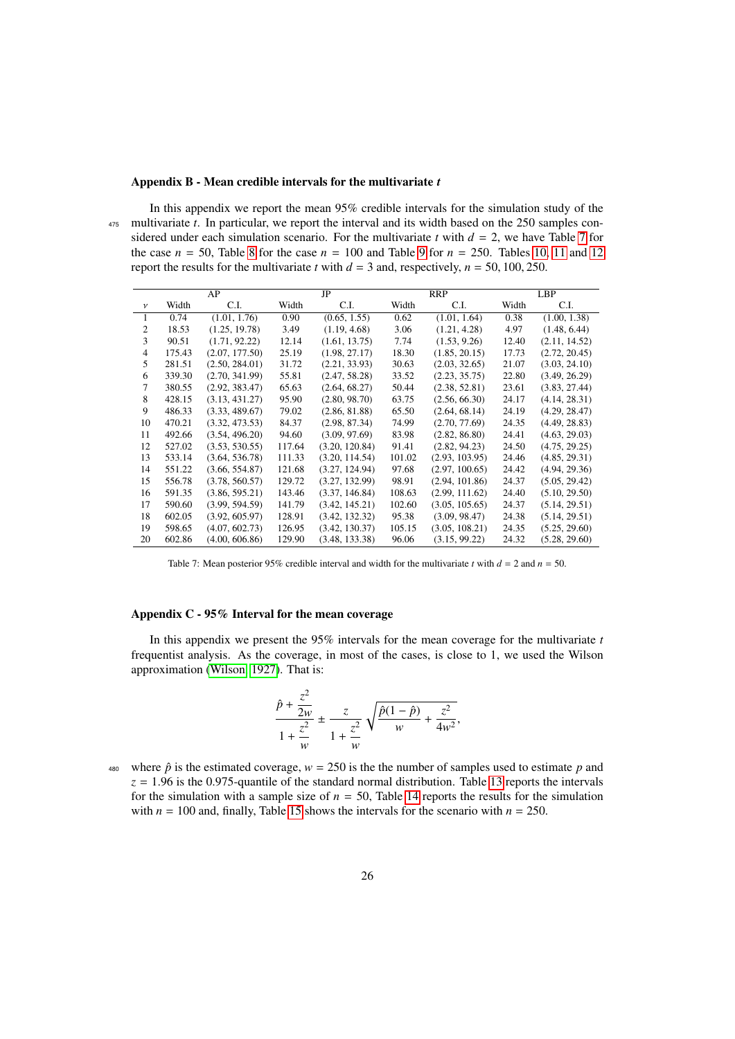# Appendix B - Mean credible intervals for the multivariate *t*

In this appendix we report the mean 95% credible intervals for the simulation study of the <sup>475</sup> multivariate *t*. In particular, we report the interval and its width based on the 250 samples considered under each simulation scenario. For the multivariate *t* with  $d = 2$ , we have Table [7](#page-25-0) for the case  $n = 50$ , Table [8](#page-26-0) for the case  $n = 100$  and Table [9](#page-26-1) for  $n = 250$ . Tables [10,](#page-27-0) [11](#page-27-1) and [12](#page-28-0) report the results for the multivariate *t* with  $d = 3$  and, respectively,  $n = 50, 100, 250$ .

|                |        | AP             |        | JP             | <b>RRP</b> |                |       | <b>LBP</b>    |  |
|----------------|--------|----------------|--------|----------------|------------|----------------|-------|---------------|--|
| $\mathcal{V}$  | Width  | C.I.           | Width  | C.I.           | Width      | C.I.           | Width | C.I.          |  |
| 1              | 0.74   | (1.01, 1.76)   | 0.90   | (0.65, 1.55)   | 0.62       | (1.01, 1.64)   | 0.38  | (1.00, 1.38)  |  |
| 2              | 18.53  | (1.25, 19.78)  | 3.49   | (1.19, 4.68)   | 3.06       | (1.21, 4.28)   | 4.97  | (1.48, 6.44)  |  |
| 3              | 90.51  | (1.71, 92.22)  | 12.14  | (1.61, 13.75)  | 7.74       | (1.53, 9.26)   | 12.40 | (2.11, 14.52) |  |
| $\overline{4}$ | 175.43 | (2.07, 177.50) | 25.19  | (1.98, 27.17)  | 18.30      | (1.85, 20.15)  | 17.73 | (2.72, 20.45) |  |
| 5              | 281.51 | (2.50, 284.01) | 31.72  | (2.21, 33.93)  | 30.63      | (2.03, 32.65)  | 21.07 | (3.03, 24.10) |  |
| 6              | 339.30 | (2.70, 341.99) | 55.81  | (2.47, 58.28)  | 33.52      | (2.23, 35.75)  | 22.80 | (3.49, 26.29) |  |
| 7              | 380.55 | (2.92, 383.47) | 65.63  | (2.64, 68.27)  | 50.44      | (2.38, 52.81)  | 23.61 | (3.83, 27.44) |  |
| 8              | 428.15 | (3.13, 431.27) | 95.90  | (2.80, 98.70)  | 63.75      | (2.56, 66.30)  | 24.17 | (4.14, 28.31) |  |
| 9              | 486.33 | (3.33, 489.67) | 79.02  | (2.86, 81.88)  | 65.50      | (2.64, 68.14)  | 24.19 | (4.29, 28.47) |  |
| 10             | 470.21 | (3.32, 473.53) | 84.37  | (2.98, 87.34)  | 74.99      | (2.70, 77.69)  | 24.35 | (4.49, 28.83) |  |
| 11             | 492.66 | (3.54, 496.20) | 94.60  | (3.09, 97.69)  | 83.98      | (2.82, 86.80)  | 24.41 | (4.63, 29.03) |  |
| 12             | 527.02 | (3.53, 530.55) | 117.64 | (3.20, 120.84) | 91.41      | (2.82, 94.23)  | 24.50 | (4.75, 29.25) |  |
| 13             | 533.14 | (3.64, 536.78) | 111.33 | (3.20, 114.54) | 101.02     | (2.93, 103.95) | 24.46 | (4.85, 29.31) |  |
| 14             | 551.22 | (3.66, 554.87) | 121.68 | (3.27, 124.94) | 97.68      | (2.97, 100.65) | 24.42 | (4.94, 29.36) |  |
| 15             | 556.78 | (3.78, 560.57) | 129.72 | (3.27, 132.99) | 98.91      | (2.94, 101.86) | 24.37 | (5.05, 29.42) |  |
| 16             | 591.35 | (3.86, 595.21) | 143.46 | (3.37, 146.84) | 108.63     | (2.99, 111.62) | 24.40 | (5.10, 29.50) |  |
| 17             | 590.60 | (3.99, 594.59) | 141.79 | (3.42, 145.21) | 102.60     | (3.05, 105.65) | 24.37 | (5.14, 29.51) |  |
| 18             | 602.05 | (3.92, 605.97) | 128.91 | (3.42, 132.32) | 95.38      | (3.09, 98.47)  | 24.38 | (5.14, 29.51) |  |
| 19             | 598.65 | (4.07, 602.73) | 126.95 | (3.42, 130.37) | 105.15     | (3.05, 108.21) | 24.35 | (5.25, 29.60) |  |
| 20             | 602.86 | (4.00, 606.86) | 129.90 | (3.48, 133.38) | 96.06      | (3.15, 99.22)  | 24.32 | (5.28, 29.60) |  |

Table 7: Mean posterior 95% credible interval and width for the multivariate *t* with  $d = 2$  and  $n = 50$ .

# Appendix C - 95% Interval for the mean coverage

In this appendix we present the 95% intervals for the mean coverage for the multivariate *t* frequentist analysis. As the coverage, in most of the cases, is close to 1, we used the Wilson approximation [\(Wilson, 1927\)](#page-32-4). That is:

<span id="page-25-0"></span>
$$
\frac{\hat{p} + \frac{z^2}{2w}}{1 + \frac{z^2}{w}} \pm \frac{z}{1 + \frac{z^2}{w}} \sqrt{\frac{\hat{p}(1-\hat{p})}{w} + \frac{z^2}{4w^2}},
$$

480 where  $\hat{p}$  is the estimated coverage,  $w = 250$  is the the number of samples used to estimate p and  $z = 1.96$  is the 0.975-quantile of the standard normal distribution. Table [13](#page-28-1) reports the intervals for the simulation with a sample size of  $n = 50$ , Table [14](#page-29-0) reports the results for the simulation with  $n = 100$  and, finally, Table [15](#page-29-1) shows the intervals for the scenario with  $n = 250$ .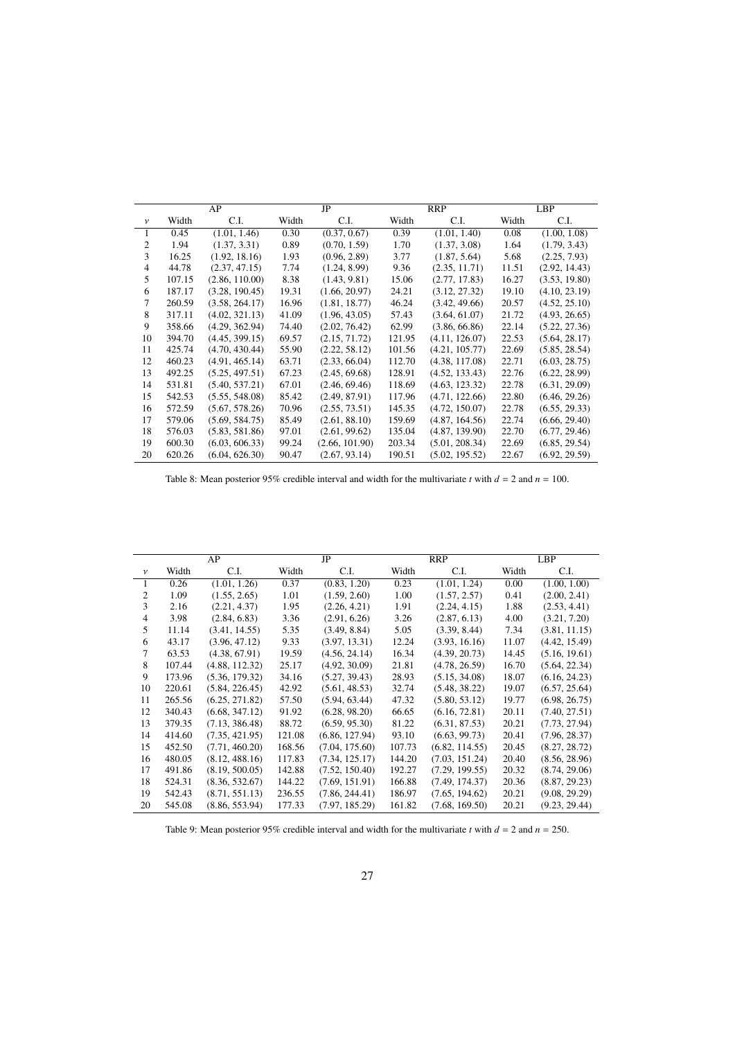|              |        | AP             |       | JP             |        | <b>RRP</b>     |       | <b>LBP</b>    |
|--------------|--------|----------------|-------|----------------|--------|----------------|-------|---------------|
| $\mathcal V$ | Width  | C.I.           | Width | C.I.           | Width  | C.I.           | Width | C.I.          |
| 1            | 0.45   | (1.01, 1.46)   | 0.30  | (0.37, 0.67)   | 0.39   | (1.01, 1.40)   | 0.08  | (1.00, 1.08)  |
| 2            | 1.94   | (1.37, 3.31)   | 0.89  | (0.70, 1.59)   | 1.70   | (1.37, 3.08)   | 1.64  | (1.79, 3.43)  |
| 3            | 16.25  | (1.92, 18.16)  | 1.93  | (0.96, 2.89)   | 3.77   | (1.87, 5.64)   | 5.68  | (2.25, 7.93)  |
| 4            | 44.78  | (2.37, 47.15)  | 7.74  | (1.24, 8.99)   | 9.36   | (2.35, 11.71)  | 11.51 | (2.92, 14.43) |
| 5            | 107.15 | (2.86, 110.00) | 8.38  | (1.43, 9.81)   | 15.06  | (2.77, 17.83)  | 16.27 | (3.53, 19.80) |
| 6            | 187.17 | (3.28, 190.45) | 19.31 | (1.66, 20.97)  | 24.21  | (3.12, 27.32)  | 19.10 | (4.10, 23.19) |
| 7            | 260.59 | (3.58, 264.17) | 16.96 | (1.81, 18.77)  | 46.24  | (3.42, 49.66)  | 20.57 | (4.52, 25.10) |
| 8            | 317.11 | (4.02, 321.13) | 41.09 | (1.96, 43.05)  | 57.43  | (3.64, 61.07)  | 21.72 | (4.93, 26.65) |
| 9            | 358.66 | (4.29, 362.94) | 74.40 | (2.02, 76.42)  | 62.99  | (3.86, 66.86)  | 22.14 | (5.22, 27.36) |
| 10           | 394.70 | (4.45, 399.15) | 69.57 | (2.15, 71.72)  | 121.95 | (4.11, 126.07) | 22.53 | (5.64, 28.17) |
| 11           | 425.74 | (4.70, 430.44) | 55.90 | (2.22, 58.12)  | 101.56 | (4.21, 105.77) | 22.69 | (5.85, 28.54) |
| 12           | 460.23 | (4.91, 465.14) | 63.71 | (2.33, 66.04)  | 112.70 | (4.38, 117.08) | 22.71 | (6.03, 28.75) |
| 13           | 492.25 | (5.25, 497.51) | 67.23 | (2.45, 69.68)  | 128.91 | (4.52, 133.43) | 22.76 | (6.22, 28.99) |
| 14           | 531.81 | (5.40, 537.21) | 67.01 | (2.46, 69.46)  | 118.69 | (4.63, 123.32) | 22.78 | (6.31, 29.09) |
| 15           | 542.53 | (5.55, 548.08) | 85.42 | (2.49, 87.91)  | 117.96 | (4.71, 122.66) | 22.80 | (6.46, 29.26) |
| 16           | 572.59 | (5.67, 578.26) | 70.96 | (2.55, 73.51)  | 145.35 | (4.72, 150.07) | 22.78 | (6.55, 29.33) |
| 17           | 579.06 | (5.69, 584.75) | 85.49 | (2.61, 88.10)  | 159.69 | (4.87, 164.56) | 22.74 | (6.66, 29.40) |
| 18           | 576.03 | (5.83, 581.86) | 97.01 | (2.61, 99.62)  | 135.04 | (4.87, 139.90) | 22.70 | (6.77, 29.46) |
| 19           | 600.30 | (6.03, 606.33) | 99.24 | (2.66, 101.90) | 203.34 | (5.01, 208.34) | 22.69 | (6.85, 29.54) |
| 20           | 620.26 | (6.04, 626.30) | 90.47 | (2.67, 93.14)  | 190.51 | (5.02, 195.52) | 22.67 | (6.92, 29.59) |

<span id="page-26-0"></span>Table 8: Mean posterior 95% credible interval and width for the multivariate *t* with  $d = 2$  and  $n = 100$ .

|                | AP     |                |        | JP             |        | RRP            |       | LBP           |  |
|----------------|--------|----------------|--------|----------------|--------|----------------|-------|---------------|--|
| $\mathcal V$   | Width  | C.I.           | Width  | C.I.           | Width  | C.I.           | Width | C.I.          |  |
| $\mathbf{1}$   | 0.26   | (1.01, 1.26)   | 0.37   | (0.83, 1.20)   | 0.23   | (1.01, 1.24)   | 0.00  | (1.00, 1.00)  |  |
| $\overline{2}$ | 1.09   | (1.55, 2.65)   | 1.01   | (1.59, 2.60)   | 1.00   | (1.57, 2.57)   | 0.41  | (2.00, 2.41)  |  |
| 3              | 2.16   | (2.21, 4.37)   | 1.95   | (2.26, 4.21)   | 1.91   | (2.24, 4.15)   | 1.88  | (2.53, 4.41)  |  |
| $\overline{4}$ | 3.98   | (2.84, 6.83)   | 3.36   | (2.91, 6.26)   | 3.26   | (2.87, 6.13)   | 4.00  | (3.21, 7.20)  |  |
| 5              | 11.14  | (3.41, 14.55)  | 5.35   | (3.49, 8.84)   | 5.05   | (3.39, 8.44)   | 7.34  | (3.81, 11.15) |  |
| 6              | 43.17  | (3.96, 47.12)  | 9.33   | (3.97, 13.31)  | 12.24  | (3.93, 16.16)  | 11.07 | (4.42, 15.49) |  |
| 7              | 63.53  | (4.38, 67.91)  | 19.59  | (4.56, 24.14)  | 16.34  | (4.39, 20.73)  | 14.45 | (5.16, 19.61) |  |
| 8              | 107.44 | (4.88, 112.32) | 25.17  | (4.92, 30.09)  | 21.81  | (4.78, 26.59)  | 16.70 | (5.64, 22.34) |  |
| 9              | 173.96 | (5.36, 179.32) | 34.16  | (5.27, 39.43)  | 28.93  | (5.15, 34.08)  | 18.07 | (6.16, 24.23) |  |
| 10             | 220.61 | (5.84, 226.45) | 42.92  | (5.61, 48.53)  | 32.74  | (5.48, 38.22)  | 19.07 | (6.57, 25.64) |  |
| 11             | 265.56 | (6.25, 271.82) | 57.50  | (5.94, 63.44)  | 47.32  | (5.80, 53.12)  | 19.77 | (6.98, 26.75) |  |
| 12             | 340.43 | (6.68, 347.12) | 91.92  | (6.28, 98.20)  | 66.65  | (6.16, 72.81)  | 20.11 | (7.40, 27.51) |  |
| 13             | 379.35 | (7.13, 386.48) | 88.72  | (6.59, 95.30)  | 81.22  | (6.31, 87.53)  | 20.21 | (7.73, 27.94) |  |
| 14             | 414.60 | (7.35, 421.95) | 121.08 | (6.86, 127.94) | 93.10  | (6.63, 99.73)  | 20.41 | (7.96, 28.37) |  |
| 15             | 452.50 | (7.71, 460.20) | 168.56 | (7.04, 175.60) | 107.73 | (6.82, 114.55) | 20.45 | (8.27, 28.72) |  |
| 16             | 480.05 | (8.12, 488.16) | 117.83 | (7.34, 125.17) | 144.20 | (7.03, 151.24) | 20.40 | (8.56, 28.96) |  |
| 17             | 491.86 | (8.19, 500.05) | 142.88 | (7.52, 150.40) | 192.27 | (7.29, 199.55) | 20.32 | (8.74, 29.06) |  |
| 18             | 524.31 | (8.36, 532.67) | 144.22 | (7.69, 151.91) | 166.88 | (7.49, 174.37) | 20.36 | (8.87, 29.23) |  |
| 19             | 542.43 | (8.71, 551.13) | 236.55 | (7.86, 244.41) | 186.97 | (7.65, 194.62) | 20.21 | (9.08, 29.29) |  |
| 20             | 545.08 | (8.86, 553.94) | 177.33 | (7.97, 185.29) | 161.82 | (7.68, 169.50) | 20.21 | (9.23, 29.44) |  |

<span id="page-26-1"></span>Table 9: Mean posterior 95% credible interval and width for the multivariate *t* with  $d = 2$  and  $n = 250$ .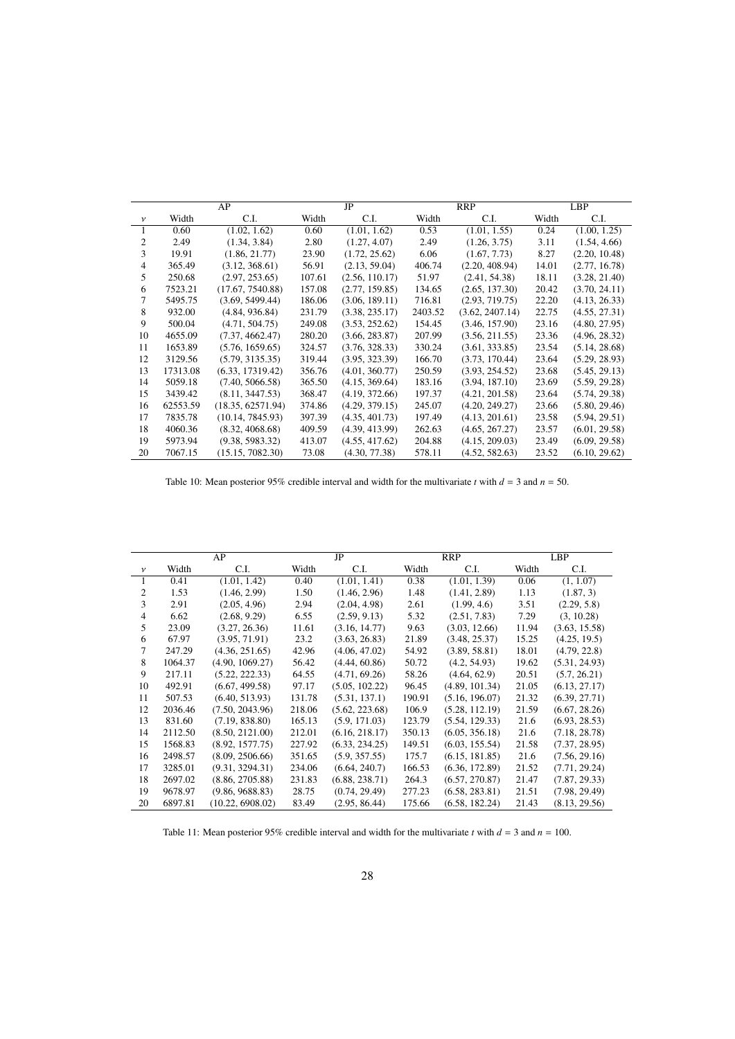|              |          | AP                |        | JP             |         | <b>RRP</b>      |       | <b>LBP</b>    |
|--------------|----------|-------------------|--------|----------------|---------|-----------------|-------|---------------|
| $\mathcal V$ | Width    | C.I.              | Width  | C.I.           | Width   | C.I.            | Width | C.I.          |
|              | 0.60     | (1.02, 1.62)      | 0.60   | (1.01, 1.62)   | 0.53    | (1.01, 1.55)    | 0.24  | (1.00, 1.25)  |
| 2            | 2.49     | (1.34, 3.84)      | 2.80   | (1.27, 4.07)   | 2.49    | (1.26, 3.75)    | 3.11  | (1.54, 4.66)  |
| 3            | 19.91    | (1.86, 21.77)     | 23.90  | (1.72, 25.62)  | 6.06    | (1.67, 7.73)    | 8.27  | (2.20, 10.48) |
| 4            | 365.49   | (3.12, 368.61)    | 56.91  | (2.13, 59.04)  | 406.74  | (2.20, 408.94)  | 14.01 | (2.77, 16.78) |
| 5            | 250.68   | (2.97, 253.65)    | 107.61 | (2.56, 110.17) | 51.97   | (2.41, 54.38)   | 18.11 | (3.28, 21.40) |
| 6            | 7523.21  | (17.67, 7540.88)  | 157.08 | (2.77, 159.85) | 134.65  | (2.65, 137.30)  | 20.42 | (3.70, 24.11) |
| 7            | 5495.75  | (3.69, 5499.44)   | 186.06 | (3.06, 189.11) | 716.81  | (2.93, 719.75)  | 22.20 | (4.13, 26.33) |
| 8            | 932.00   | (4.84, 936.84)    | 231.79 | (3.38, 235.17) | 2403.52 | (3.62, 2407.14) | 22.75 | (4.55, 27.31) |
| 9            | 500.04   | (4.71, 504.75)    | 249.08 | (3.53, 252.62) | 154.45  | (3.46, 157.90)  | 23.16 | (4.80, 27.95) |
| 10           | 4655.09  | (7.37, 4662.47)   | 280.20 | (3.66, 283.87) | 207.99  | (3.56, 211.55)  | 23.36 | (4.96, 28.32) |
| 11           | 1653.89  | (5.76, 1659.65)   | 324.57 | (3.76, 328.33) | 330.24  | (3.61, 333.85)  | 23.54 | (5.14, 28.68) |
| 12           | 3129.56  | (5.79, 3135.35)   | 319.44 | (3.95, 323.39) | 166.70  | (3.73, 170.44)  | 23.64 | (5.29, 28.93) |
| 13           | 17313.08 | (6.33, 17319.42)  | 356.76 | (4.01, 360.77) | 250.59  | (3.93, 254.52)  | 23.68 | (5.45, 29.13) |
| 14           | 5059.18  | (7.40, 5066.58)   | 365.50 | (4.15, 369.64) | 183.16  | (3.94, 187.10)  | 23.69 | (5.59, 29.28) |
| 15           | 3439.42  | (8.11, 3447.53)   | 368.47 | (4.19, 372.66) | 197.37  | (4.21, 201.58)  | 23.64 | (5.74, 29.38) |
| 16           | 62553.59 | (18.35, 62571.94) | 374.86 | (4.29, 379.15) | 245.07  | (4.20, 249.27)  | 23.66 | (5.80, 29.46) |
| 17           | 7835.78  | (10.14, 7845.93)  | 397.39 | (4.35, 401.73) | 197.49  | (4.13, 201.61)  | 23.58 | (5.94, 29.51) |
| 18           | 4060.36  | (8.32, 4068.68)   | 409.59 | (4.39, 413.99) | 262.63  | (4.65, 267.27)  | 23.57 | (6.01, 29.58) |
| 19           | 5973.94  | (9.38, 5983.32)   | 413.07 | (4.55, 417.62) | 204.88  | (4.15, 209.03)  | 23.49 | (6.09, 29.58) |
| 20           | 7067.15  | (15.15, 7082.30)  | 73.08  | (4.30, 77.38)  | 578.11  | (4.52, 582.63)  | 23.52 | (6.10, 29.62) |

<span id="page-27-0"></span>Table 10: Mean posterior 95% credible interval and width for the multivariate *t* with  $d = 3$  and  $n = 50$ .

|                |         | AP               |        | JP             |        | <b>RRP</b>     |       | <b>LBP</b>    |
|----------------|---------|------------------|--------|----------------|--------|----------------|-------|---------------|
| $\mathcal V$   | Width   | C.I.             | Width  | C.I.           | Width  | C.I.           | Width | C.I.          |
| 1              | 0.41    | (1.01, 1.42)     | 0.40   | (1.01, 1.41)   | 0.38   | (1.01, 1.39)   | 0.06  | (1, 1.07)     |
| 2              | 1.53    | (1.46, 2.99)     | 1.50   | (1.46, 2.96)   | 1.48   | (1.41, 2.89)   | 1.13  | (1.87, 3)     |
| 3              | 2.91    | (2.05, 4.96)     | 2.94   | (2.04, 4.98)   | 2.61   | (1.99, 4.6)    | 3.51  | (2.29, 5.8)   |
| $\overline{4}$ | 6.62    | (2.68, 9.29)     | 6.55   | (2.59, 9.13)   | 5.32   | (2.51, 7.83)   | 7.29  | (3, 10.28)    |
| 5              | 23.09   | (3.27, 26.36)    | 11.61  | (3.16, 14.77)  | 9.63   | (3.03, 12.66)  | 11.94 | (3.63, 15.58) |
| 6              | 67.97   | (3.95, 71.91)    | 23.2   | (3.63, 26.83)  | 21.89  | (3.48, 25.37)  | 15.25 | (4.25, 19.5)  |
| 7              | 247.29  | (4.36, 251.65)   | 42.96  | (4.06, 47.02)  | 54.92  | (3.89, 58.81)  | 18.01 | (4.79, 22.8)  |
| 8              | 1064.37 | (4.90, 1069.27)  | 56.42  | (4.44, 60.86)  | 50.72  | (4.2, 54.93)   | 19.62 | (5.31, 24.93) |
| 9              | 217.11  | (5.22, 222.33)   | 64.55  | (4.71, 69.26)  | 58.26  | (4.64, 62.9)   | 20.51 | (5.7, 26.21)  |
| 10             | 492.91  | (6.67, 499.58)   | 97.17  | (5.05, 102.22) | 96.45  | (4.89, 101.34) | 21.05 | (6.13, 27.17) |
| 11             | 507.53  | (6.40, 513.93)   | 131.78 | (5.31, 137.1)  | 190.91 | (5.16, 196.07) | 21.32 | (6.39, 27.71) |
| 12             | 2036.46 | (7.50, 2043.96)  | 218.06 | (5.62, 223.68) | 106.9  | (5.28, 112.19) | 21.59 | (6.67, 28.26) |
| 13             | 831.60  | (7.19, 838.80)   | 165.13 | (5.9, 171.03)  | 123.79 | (5.54, 129.33) | 21.6  | (6.93, 28.53) |
| 14             | 2112.50 | (8.50, 2121.00)  | 212.01 | (6.16, 218.17) | 350.13 | (6.05, 356.18) | 21.6  | (7.18, 28.78) |
| 15             | 1568.83 | (8.92, 1577.75)  | 227.92 | (6.33, 234.25) | 149.51 | (6.03, 155.54) | 21.58 | (7.37, 28.95) |
| 16             | 2498.57 | (8.09, 2506.66)  | 351.65 | (5.9, 357.55)  | 175.7  | (6.15, 181.85) | 21.6  | (7.56, 29.16) |
| 17             | 3285.01 | (9.31, 3294.31)  | 234.06 | (6.64, 240.7)  | 166.53 | (6.36, 172.89) | 21.52 | (7.71, 29.24) |
| 18             | 2697.02 | (8.86, 2705.88)  | 231.83 | (6.88, 238.71) | 264.3  | (6.57, 270.87) | 21.47 | (7.87, 29.33) |
| 19             | 9678.97 | (9.86, 9688.83)  | 28.75  | (0.74, 29.49)  | 277.23 | (6.58, 283.81) | 21.51 | (7.98, 29.49) |
| 20             | 6897.81 | (10.22, 6908.02) | 83.49  | (2.95, 86.44)  | 175.66 | (6.58, 182.24) | 21.43 | (8.13, 29.56) |

<span id="page-27-1"></span>Table 11: Mean posterior 95% credible interval and width for the multivariate *t* with  $d = 3$  and  $n = 100$ .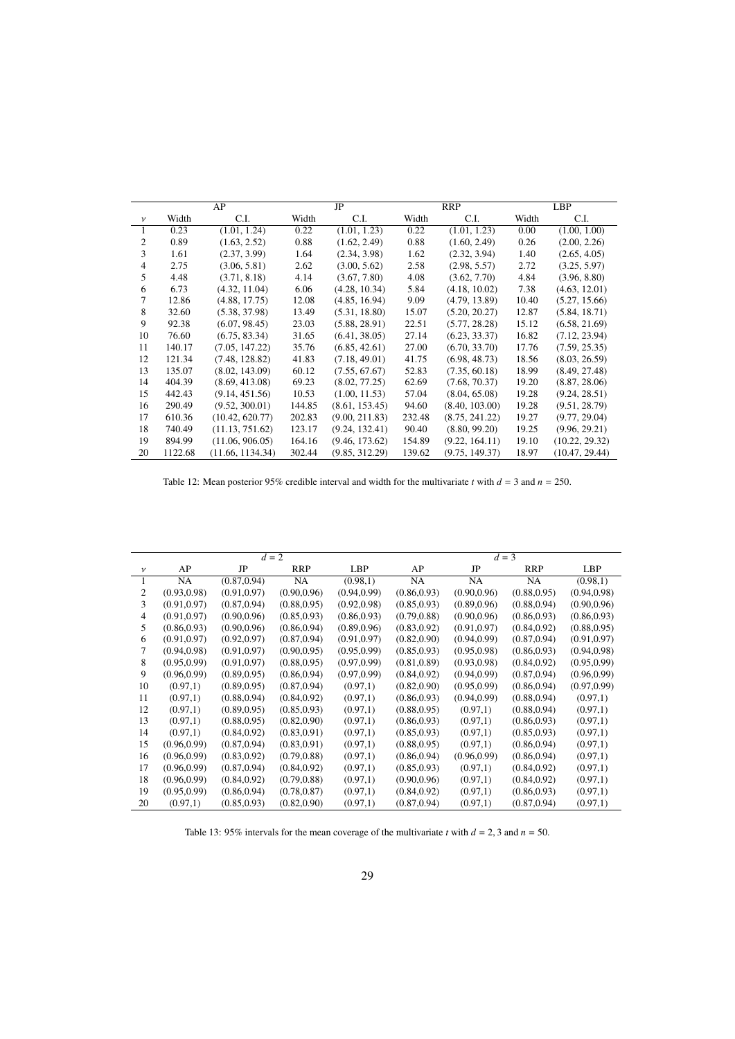|                |         | AP               |        | JP             | <b>RRP</b> |                | LBP   |                |
|----------------|---------|------------------|--------|----------------|------------|----------------|-------|----------------|
| $\mathcal{V}$  | Width   | C.I.             | Width  | C.I.           | Width      | C.I.           | Width | C.I.           |
| 1              | 0.23    | (1.01, 1.24)     | 0.22   | (1.01, 1.23)   | 0.22       | (1.01, 1.23)   | 0.00  | (1.00, 1.00)   |
| $\overline{2}$ | 0.89    | (1.63, 2.52)     | 0.88   | (1.62, 2.49)   | 0.88       | (1.60, 2.49)   | 0.26  | (2.00, 2.26)   |
| 3              | 1.61    | (2.37, 3.99)     | 1.64   | (2.34, 3.98)   | 1.62       | (2.32, 3.94)   | 1.40  | (2.65, 4.05)   |
| $\overline{4}$ | 2.75    | (3.06, 5.81)     | 2.62   | (3.00, 5.62)   | 2.58       | (2.98, 5.57)   | 2.72  | (3.25, 5.97)   |
| 5              | 4.48    | (3.71, 8.18)     | 4.14   | (3.67, 7.80)   | 4.08       | (3.62, 7.70)   | 4.84  | (3.96, 8.80)   |
| 6              | 6.73    | (4.32, 11.04)    | 6.06   | (4.28, 10.34)  | 5.84       | (4.18, 10.02)  | 7.38  | (4.63, 12.01)  |
| 7              | 12.86   | (4.88, 17.75)    | 12.08  | (4.85, 16.94)  | 9.09       | (4.79, 13.89)  | 10.40 | (5.27, 15.66)  |
| 8              | 32.60   | (5.38, 37.98)    | 13.49  | (5.31, 18.80)  | 15.07      | (5.20, 20.27)  | 12.87 | (5.84, 18.71)  |
| 9              | 92.38   | (6.07, 98.45)    | 23.03  | (5.88, 28.91)  | 22.51      | (5.77, 28.28)  | 15.12 | (6.58, 21.69)  |
| 10             | 76.60   | (6.75, 83.34)    | 31.65  | (6.41, 38.05)  | 27.14      | (6.23, 33.37)  | 16.82 | (7.12, 23.94)  |
| 11             | 140.17  | (7.05, 147.22)   | 35.76  | (6.85, 42.61)  | 27.00      | (6.70, 33.70)  | 17.76 | (7.59, 25.35)  |
| 12             | 121.34  | (7.48, 128.82)   | 41.83  | (7.18, 49.01)  | 41.75      | (6.98, 48.73)  | 18.56 | (8.03, 26.59)  |
| 13             | 135.07  | (8.02, 143.09)   | 60.12  | (7.55, 67.67)  | 52.83      | (7.35, 60.18)  | 18.99 | (8.49, 27.48)  |
| 14             | 404.39  | (8.69, 413.08)   | 69.23  | (8.02, 77.25)  | 62.69      | (7.68, 70.37)  | 19.20 | (8.87, 28.06)  |
| 15             | 442.43  | (9.14, 451.56)   | 10.53  | (1.00, 11.53)  | 57.04      | (8.04, 65.08)  | 19.28 | (9.24, 28.51)  |
| 16             | 290.49  | (9.52, 300.01)   | 144.85 | (8.61, 153.45) | 94.60      | (8.40, 103.00) | 19.28 | (9.51, 28.79)  |
| 17             | 610.36  | (10.42, 620.77)  | 202.83 | (9.00, 211.83) | 232.48     | (8.75, 241.22) | 19.27 | (9.77, 29.04)  |
| 18             | 740.49  | (11.13, 751.62)  | 123.17 | (9.24, 132.41) | 90.40      | (8.80, 99.20)  | 19.25 | (9.96, 29.21)  |
| 19             | 894.99  | (11.06, 906.05)  | 164.16 | (9.46, 173.62) | 154.89     | (9.22, 164.11) | 19.10 | (10.22, 29.32) |
| 20             | 1122.68 | (11.66, 1134.34) | 302.44 | (9.85, 312.29) | 139.62     | (9.75, 149.37) | 18.97 | (10.47, 29.44) |

<span id="page-28-0"></span>Table 12: Mean posterior 95% credible interval and width for the multivariate *t* with  $d = 3$  and  $n = 250$ .

|                |              |              | $d=2$        |              |              |              | $d=3$        |              |
|----------------|--------------|--------------|--------------|--------------|--------------|--------------|--------------|--------------|
| $\mathcal V$   | AP           | JP           | <b>RRP</b>   | LBP          | AP           | JP           | <b>RRP</b>   | <b>LBP</b>   |
| $\mathbf{1}$   | NA           | (0.87, 0.94) | <b>NA</b>    | (0.98,1)     | NA.          | NA.          | <b>NA</b>    | (0.98,1)     |
| 2              | (0.93, 0.98) | (0.91, 0.97) | (0.90, 0.96) | (0.94, 0.99) | (0.86, 0.93) | (0.90, 0.96) | (0.88, 0.95) | (0.94, 0.98) |
| 3              | (0.91, 0.97) | (0.87, 0.94) | (0.88, 0.95) | (0.92, 0.98) | (0.85, 0.93) | (0.89, 0.96) | (0.88, 0.94) | (0.90, 0.96) |
| $\overline{4}$ | (0.91, 0.97) | (0.90, 0.96) | (0.85, 0.93) | (0.86, 0.93) | (0.79, 0.88) | (0.90, 0.96) | (0.86, 0.93) | (0.86, 0.93) |
| 5              | (0.86, 0.93) | (0.90, 0.96) | (0.86, 0.94) | (0.89, 0.96) | (0.83, 0.92) | (0.91, 0.97) | (0.84, 0.92) | (0.88, 0.95) |
| 6              | (0.91, 0.97) | (0.92, 0.97) | (0.87, 0.94) | (0.91, 0.97) | (0.82, 0.90) | (0.94, 0.99) | (0.87, 0.94) | (0.91, 0.97) |
| 7              | (0.94, 0.98) | (0.91, 0.97) | (0.90, 0.95) | (0.95, 0.99) | (0.85, 0.93) | (0.95, 0.98) | (0.86, 0.93) | (0.94, 0.98) |
| 8              | (0.95, 0.99) | (0.91, 0.97) | (0.88, 0.95) | (0.97, 0.99) | (0.81, 0.89) | (0.93, 0.98) | (0.84, 0.92) | (0.95, 0.99) |
| 9              | (0.96, 0.99) | (0.89, 0.95) | (0.86, 0.94) | (0.97, 0.99) | (0.84, 0.92) | (0.94, 0.99) | (0.87, 0.94) | (0.96, 0.99) |
| 10             | (0.97,1)     | (0.89, 0.95) | (0.87, 0.94) | (0.97,1)     | (0.82, 0.90) | (0.95, 0.99) | (0.86, 0.94) | (0.97, 0.99) |
| 11             | (0.97,1)     | (0.88, 0.94) | (0.84, 0.92) | (0.97,1)     | (0.86, 0.93) | (0.94, 0.99) | (0.88, 0.94) | (0.97,1)     |
| 12             | (0.97,1)     | (0.89, 0.95) | (0.85, 0.93) | (0.97,1)     | (0.88, 0.95) | (0.97,1)     | (0.88, 0.94) | (0.97,1)     |
| 13             | (0.97,1)     | (0.88, 0.95) | (0.82, 0.90) | (0.97,1)     | (0.86, 0.93) | (0.97,1)     | (0.86, 0.93) | (0.97,1)     |
| 14             | (0.97,1)     | (0.84, 0.92) | (0.83, 0.91) | (0.97,1)     | (0.85, 0.93) | (0.97,1)     | (0.85, 0.93) | (0.97,1)     |
| 15             | (0.96, 0.99) | (0.87, 0.94) | (0.83, 0.91) | (0.97,1)     | (0.88, 0.95) | (0.97,1)     | (0.86, 0.94) | (0.97,1)     |
| 16             | (0.96, 0.99) | (0.83, 0.92) | (0.79, 0.88) | (0.97,1)     | (0.86, 0.94) | (0.96, 0.99) | (0.86, 0.94) | (0.97,1)     |
| 17             | (0.96, 0.99) | (0.87, 0.94) | (0.84, 0.92) | (0.97,1)     | (0.85, 0.93) | (0.97,1)     | (0.84, 0.92) | (0.97,1)     |
| 18             | (0.96, 0.99) | (0.84, 0.92) | (0.79, 0.88) | (0.97,1)     | (0.90, 0.96) | (0.97,1)     | (0.84, 0.92) | (0.97,1)     |
| 19             | (0.95, 0.99) | (0.86, 0.94) | (0.78, 0.87) | (0.97,1)     | (0.84, 0.92) | (0.97,1)     | (0.86, 0.93) | (0.97,1)     |
| 20             | (0.97,1)     | (0.85, 0.93) | (0.82, 0.90) | (0.97,1)     | (0.87, 0.94) | (0.97,1)     | (0.87, 0.94) | (0.97,1)     |

<span id="page-28-1"></span>Table 13: 95% intervals for the mean coverage of the multivariate *t* with  $d = 2$ , 3 and  $n = 50$ .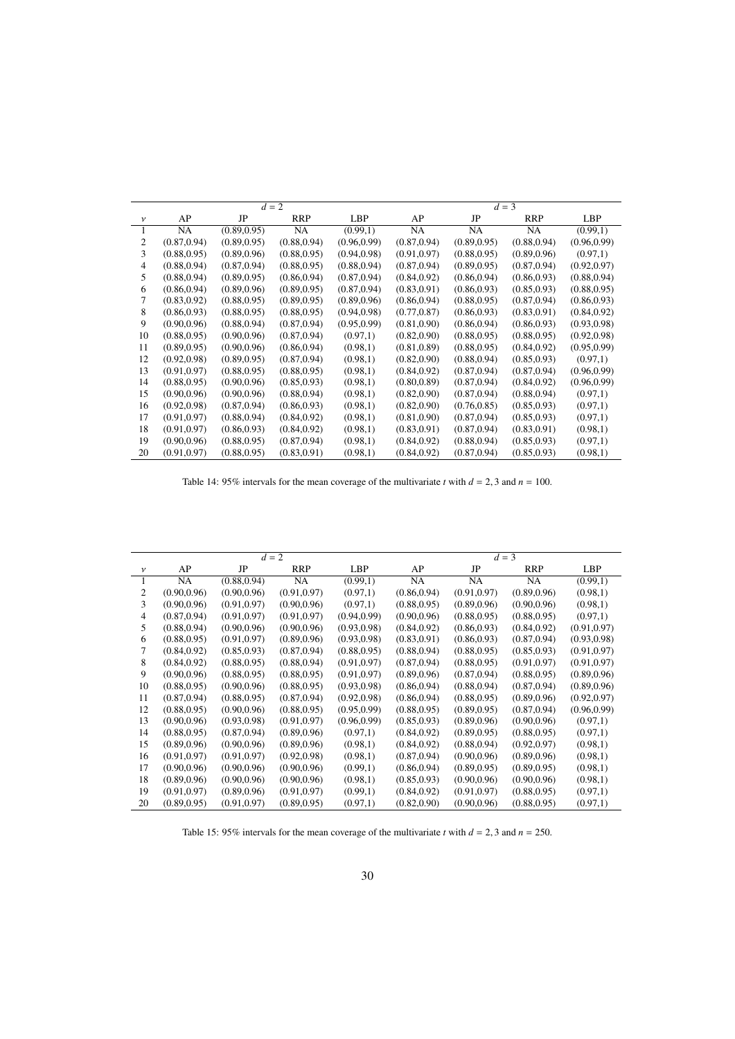|                |              |              | $d=2$        |              |              |              | $d=3$        |              |
|----------------|--------------|--------------|--------------|--------------|--------------|--------------|--------------|--------------|
| $\mathcal V$   | AP           | JP           | <b>RRP</b>   | <b>LBP</b>   | AP           | JP           | <b>RRP</b>   | <b>LBP</b>   |
| 1              | <b>NA</b>    | (0.89, 0.95) | <b>NA</b>    | (0.99,1)     | <b>NA</b>    | NA           | NA.          | (0.99,1)     |
| 2              | (0.87, 0.94) | (0.89, 0.95) | (0.88, 0.94) | (0.96, 0.99) | (0.87, 0.94) | (0.89, 0.95) | (0.88, 0.94) | (0.96, 0.99) |
| 3              | (0.88, 0.95) | (0.89, 0.96) | (0.88, 0.95) | (0.94, 0.98) | (0.91, 0.97) | (0.88, 0.95) | (0.89, 0.96) | (0.97,1)     |
| $\overline{4}$ | (0.88, 0.94) | (0.87, 0.94) | (0.88, 0.95) | (0.88, 0.94) | (0.87, 0.94) | (0.89, 0.95) | (0.87, 0.94) | (0.92, 0.97) |
| 5              | (0.88, 0.94) | (0.89, 0.95) | (0.86, 0.94) | (0.87, 0.94) | (0.84, 0.92) | (0.86, 0.94) | (0.86, 0.93) | (0.88, 0.94) |
| 6              | (0.86, 0.94) | (0.89, 0.96) | (0.89, 0.95) | (0.87, 0.94) | (0.83, 0.91) | (0.86, 0.93) | (0.85, 0.93) | (0.88, 0.95) |
| 7              | (0.83, 0.92) | (0.88, 0.95) | (0.89, 0.95) | (0.89, 0.96) | (0.86, 0.94) | (0.88, 0.95) | (0.87, 0.94) | (0.86, 0.93) |
| 8              | (0.86, 0.93) | (0.88, 0.95) | (0.88, 0.95) | (0.94, 0.98) | (0.77, 0.87) | (0.86, 0.93) | (0.83, 0.91) | (0.84, 0.92) |
| 9              | (0.90, 0.96) | (0.88, 0.94) | (0.87, 0.94) | (0.95, 0.99) | (0.81, 0.90) | (0.86, 0.94) | (0.86, 0.93) | (0.93, 0.98) |
| 10             | (0.88, 0.95) | (0.90, 0.96) | (0.87, 0.94) | (0.97,1)     | (0.82, 0.90) | (0.88, 0.95) | (0.88, 0.95) | (0.92, 0.98) |
| 11             | (0.89, 0.95) | (0.90, 0.96) | (0.86, 0.94) | (0.98,1)     | (0.81, 0.89) | (0.88, 0.95) | (0.84, 0.92) | (0.95, 0.99) |
| 12             | (0.92, 0.98) | (0.89, 0.95) | (0.87, 0.94) | (0.98,1)     | (0.82, 0.90) | (0.88, 0.94) | (0.85, 0.93) | (0.97,1)     |
| 13             | (0.91, 0.97) | (0.88, 0.95) | (0.88, 0.95) | (0.98,1)     | (0.84, 0.92) | (0.87, 0.94) | (0.87, 0.94) | (0.96, 0.99) |
| 14             | (0.88, 0.95) | (0.90, 0.96) | (0.85, 0.93) | (0.98,1)     | (0.80, 0.89) | (0.87, 0.94) | (0.84, 0.92) | (0.96, 0.99) |
| 15             | (0.90, 0.96) | (0.90, 0.96) | (0.88, 0.94) | (0.98,1)     | (0.82, 0.90) | (0.87, 0.94) | (0.88, 0.94) | (0.97,1)     |
| 16             | (0.92, 0.98) | (0.87, 0.94) | (0.86, 0.93) | (0.98,1)     | (0.82, 0.90) | (0.76, 0.85) | (0.85, 0.93) | (0.97,1)     |
| 17             | (0.91, 0.97) | (0.88, 0.94) | (0.84, 0.92) | (0.98,1)     | (0.81, 0.90) | (0.87, 0.94) | (0.85, 0.93) | (0.97,1)     |
| 18             | (0.91, 0.97) | (0.86, 0.93) | (0.84, 0.92) | (0.98,1)     | (0.83, 0.91) | (0.87, 0.94) | (0.83, 0.91) | (0.98,1)     |
| 19             | (0.90, 0.96) | (0.88, 0.95) | (0.87, 0.94) | (0.98,1)     | (0.84, 0.92) | (0.88, 0.94) | (0.85, 0.93) | (0.97,1)     |
| 20             | (0.91, 0.97) | (0.88, 0.95) | (0.83, 0.91) | (0.98,1)     | (0.84, 0.92) | (0.87, 0.94) | (0.85, 0.93) | (0.98,1)     |

<span id="page-29-0"></span>Table 14: 95% intervals for the mean coverage of the multivariate *t* with  $d = 2, 3$  and  $n = 100$ .

|              | $d=2$        |              |              |              |              |              | $d=3$        |              |
|--------------|--------------|--------------|--------------|--------------|--------------|--------------|--------------|--------------|
| $\mathcal V$ | AP           | JP           | <b>RRP</b>   | <b>LBP</b>   | AP           | JP           | <b>RRP</b>   | LBP          |
| $\mathbf{1}$ | NA           | (0.88, 0.94) | <b>NA</b>    | (0.99,1)     | NA           | NA           | NA           | (0.99,1)     |
| 2            | (0.90, 0.96) | (0.90, 0.96) | (0.91, 0.97) | (0.97,1)     | (0.86, 0.94) | (0.91, 0.97) | (0.89, 0.96) | (0.98,1)     |
| 3            | (0.90, 0.96) | (0.91, 0.97) | (0.90, 0.96) | (0.97,1)     | (0.88, 0.95) | (0.89, 0.96) | (0.90, 0.96) | (0.98,1)     |
| 4            | (0.87, 0.94) | (0.91, 0.97) | (0.91, 0.97) | (0.94, 0.99) | (0.90, 0.96) | (0.88, 0.95) | (0.88, 0.95) | (0.97,1)     |
| 5            | (0.88, 0.94) | (0.90, 0.96) | (0.90, 0.96) | (0.93, 0.98) | (0.84, 0.92) | (0.86, 0.93) | (0.84, 0.92) | (0.91, 0.97) |
| 6            | (0.88, 0.95) | (0.91, 0.97) | (0.89, 0.96) | (0.93, 0.98) | (0.83, 0.91) | (0.86, 0.93) | (0.87, 0.94) | (0.93, 0.98) |
| 7            | (0.84, 0.92) | (0.85, 0.93) | (0.87, 0.94) | (0.88, 0.95) | (0.88, 0.94) | (0.88, 0.95) | (0.85, 0.93) | (0.91, 0.97) |
| 8            | (0.84, 0.92) | (0.88, 0.95) | (0.88, 0.94) | (0.91, 0.97) | (0.87, 0.94) | (0.88, 0.95) | (0.91, 0.97) | (0.91, 0.97) |
| 9            | (0.90, 0.96) | (0.88, 0.95) | (0.88, 0.95) | (0.91, 0.97) | (0.89, 0.96) | (0.87, 0.94) | (0.88, 0.95) | (0.89, 0.96) |
| 10           | (0.88, 0.95) | (0.90, 0.96) | (0.88, 0.95) | (0.93, 0.98) | (0.86, 0.94) | (0.88, 0.94) | (0.87, 0.94) | (0.89, 0.96) |
| 11           | (0.87, 0.94) | (0.88, 0.95) | (0.87, 0.94) | (0.92, 0.98) | (0.86, 0.94) | (0.88, 0.95) | (0.89, 0.96) | (0.92, 0.97) |
| 12           | (0.88, 0.95) | (0.90, 0.96) | (0.88, 0.95) | (0.95, 0.99) | (0.88, 0.95) | (0.89, 0.95) | (0.87, 0.94) | (0.96, 0.99) |
| 13           | (0.90, 0.96) | (0.93, 0.98) | (0.91, 0.97) | (0.96, 0.99) | (0.85, 0.93) | (0.89, 0.96) | (0.90, 0.96) | (0.97,1)     |
| 14           | (0.88, 0.95) | (0.87, 0.94) | (0.89, 0.96) | (0.97,1)     | (0.84, 0.92) | (0.89, 0.95) | (0.88, 0.95) | (0.97,1)     |
| 15           | (0.89, 0.96) | (0.90, 0.96) | (0.89, 0.96) | (0.98,1)     | (0.84, 0.92) | (0.88, 0.94) | (0.92, 0.97) | (0.98,1)     |
| 16           | (0.91, 0.97) | (0.91, 0.97) | (0.92, 0.98) | (0.98,1)     | (0.87, 0.94) | (0.90, 0.96) | (0.89, 0.96) | (0.98,1)     |
| 17           | (0.90, 0.96) | (0.90, 0.96) | (0.90, 0.96) | (0.99,1)     | (0.86, 0.94) | (0.89, 0.95) | (0.89, 0.95) | (0.98,1)     |
| 18           | (0.89, 0.96) | (0.90, 0.96) | (0.90, 0.96) | (0.98,1)     | (0.85, 0.93) | (0.90, 0.96) | (0.90, 0.96) | (0.98,1)     |
| 19           | (0.91, 0.97) | (0.89, 0.96) | (0.91, 0.97) | (0.99,1)     | (0.84, 0.92) | (0.91, 0.97) | (0.88, 0.95) | (0.97,1)     |
| 20           | (0.89, 0.95) | (0.91, 0.97) | (0.89, 0.95) | (0.97,1)     | (0.82, 0.90) | (0.90, 0.96) | (0.88, 0.95) | (0.97,1)     |

<span id="page-29-1"></span>Table 15: 95% intervals for the mean coverage of the multivariate *t* with  $d = 2, 3$  and  $n = 250$ .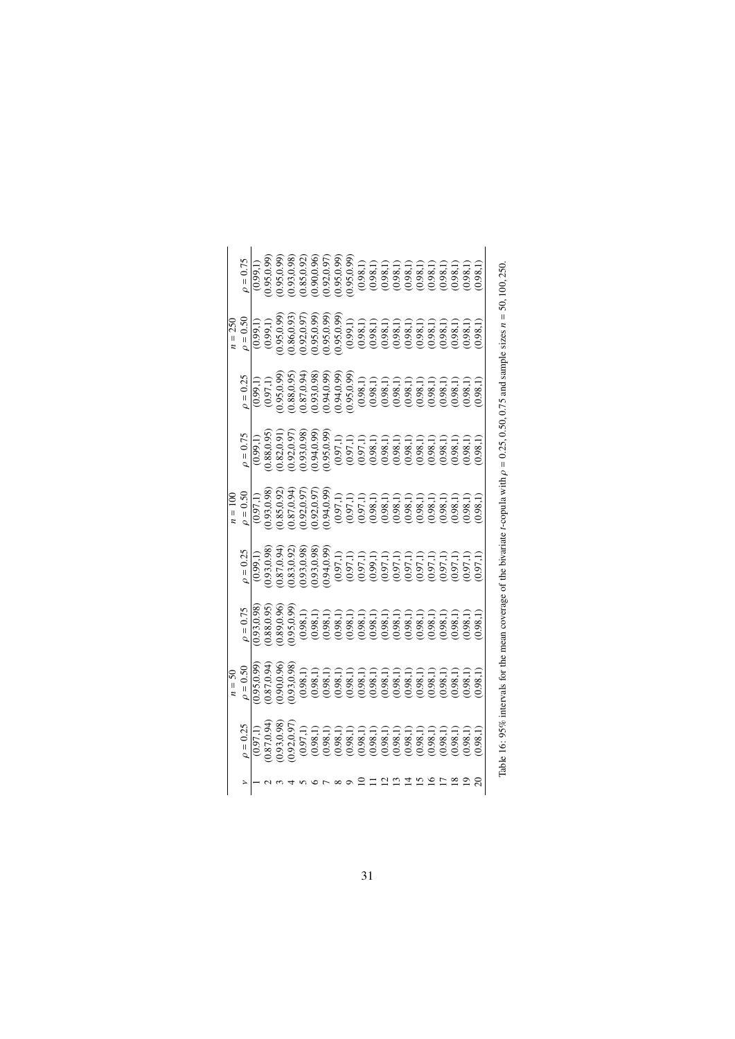|               | $n=50$        |                                                                             |                                                                                                                                                                                                                                                                                         | $n = 100$                                                                                                                                                                                                                                                                          |                                                                                                                                                                                                                                                                            |                                                                                                                                                                                                                                                                                  | $n = 250$                                                                                                                                                                                                                                                                    |                                                                                                                                                                                                                                                                                  |
|---------------|---------------|-----------------------------------------------------------------------------|-----------------------------------------------------------------------------------------------------------------------------------------------------------------------------------------------------------------------------------------------------------------------------------------|------------------------------------------------------------------------------------------------------------------------------------------------------------------------------------------------------------------------------------------------------------------------------------|----------------------------------------------------------------------------------------------------------------------------------------------------------------------------------------------------------------------------------------------------------------------------|----------------------------------------------------------------------------------------------------------------------------------------------------------------------------------------------------------------------------------------------------------------------------------|------------------------------------------------------------------------------------------------------------------------------------------------------------------------------------------------------------------------------------------------------------------------------|----------------------------------------------------------------------------------------------------------------------------------------------------------------------------------------------------------------------------------------------------------------------------------|
| $\rho = 0.25$ | $\rho = 0.50$ | $\rho = 0.75$                                                               | $\rho = 0.25$                                                                                                                                                                                                                                                                           | $\rho = 0.50$                                                                                                                                                                                                                                                                      | $\rho = 0.75$                                                                                                                                                                                                                                                              | $\rho = 0.25$                                                                                                                                                                                                                                                                    | $\rho = 0.50$                                                                                                                                                                                                                                                                | $\rho = 0.75$                                                                                                                                                                                                                                                                    |
|               |               |                                                                             |                                                                                                                                                                                                                                                                                         |                                                                                                                                                                                                                                                                                    | (0.99, 1)                                                                                                                                                                                                                                                                  | (0.99,1)                                                                                                                                                                                                                                                                         |                                                                                                                                                                                                                                                                              | (0.99,1)                                                                                                                                                                                                                                                                         |
|               |               |                                                                             |                                                                                                                                                                                                                                                                                         |                                                                                                                                                                                                                                                                                    |                                                                                                                                                                                                                                                                            |                                                                                                                                                                                                                                                                                  |                                                                                                                                                                                                                                                                              |                                                                                                                                                                                                                                                                                  |
|               |               |                                                                             |                                                                                                                                                                                                                                                                                         |                                                                                                                                                                                                                                                                                    |                                                                                                                                                                                                                                                                            |                                                                                                                                                                                                                                                                                  |                                                                                                                                                                                                                                                                              |                                                                                                                                                                                                                                                                                  |
|               |               | $\overline{(0.93,0.98)}$<br>$(0.88,0.95)$<br>$(0.89,0.96)$<br>$(0.95,0.99)$ |                                                                                                                                                                                                                                                                                         |                                                                                                                                                                                                                                                                                    |                                                                                                                                                                                                                                                                            |                                                                                                                                                                                                                                                                                  |                                                                                                                                                                                                                                                                              |                                                                                                                                                                                                                                                                                  |
|               |               |                                                                             | $\begin{smallmatrix} (0.99,1)\\ (0.99,0.8)\\ (0.91,0.8)\\ (0.87,0.94)\\ (0.87,0.99)\\ (0.93,0.98)\\ (0.95,0.99)\\ (0.97,1)\\ (0.97,1)\\ (0.97,1)\\ (0.97,1)\\ (0.97,1)\\ (0.97,1)\\ (0.97,1)\\ (0.97,1)\\ (0.97,1)\\ (0.97,1)\\ (0.97,1)\\ (0.97,1)\\ (0.97,1)\\ (0.97,1)\\ (0.97,1)\\$ | $\begin{smallmatrix} (0.97,1)\\ (0.97,1)\\ (0.93,0.98)\\ (0.85,0.97)\\ (0.87,0.97)\\ (0.97,0.99)\\ (0.99,0.99)\\ (0.99,0.99)\\ (0.99,0.99)\\ (0.99,1,1)\\ (0.99,1,1)\\ (0.99,1,1)\\ (0.99,1,1)\\ (0.99,1,1)\\ (0.99,1,1)\\ (0.99,1,1)\\ (0.99,1,1)\\ (0.99,1,1)\\ (0.99,1,1)\\ (0$ | $\begin{smallmatrix} (0.88,0.95)\\ (0.82,0.97)\\ (0.82,0.97)\\ (0.91,0.97)\\ (0.93,0.99)\\ (0.94,0.99)\\ (0.95,0.99)\\ (0.97,1)&(0.97,1)&(0.97,1)&(0.97,1)&(0.97,1)&(0.97,1)&(0.97,1)&(0.97,1)&(0.97,1)&(0.97,1)&(0.97,1)&(0.97,1)&(0.97,1)&(0.97,1)&(0.97,1)&(0.97,1)&(0$ | $\begin{smallmatrix} (0.97,1)\\ (0.97,0.9)\\ (0.86,0.95)\\ (0.88,0.95)\\ (0.87,0.94)\\ (0.97,0.99)\\ (0.99,0.99)\\ (0.99,0.99)\\ (0.99,0.99)\\ (0.99,0.99)\\ (0.99,0.99)\\ (0.99,0.99)\\ (0.90,0.99)\\ (0.90,0.99)\\ (0.90,0.99)\\ (0.90,0.99)\\ (0.90,0.99)\\ (0.90,0.99)\\ (0$ | $\begin{array}{l} (0.99,1)\\ (0.99,1)\\ (0.99,0.9)\\ (0.95,0.99)\\ (0.96,0.97)\\ (0.97,0.99)\\ (0.98,0.99)\\ (0.99,0.99)\\ (0.95,0.99)\\ (0.99,0.99)\\ (0.99,0.99)\\ (0.99,0.99)\\ (0.99,0.99)\\ (0.99,0.99)\\ (0.99,0.99)\\ (0.99,0.99)\\ (0.99,0.99)\\ (0.99,0.99)\\ (0.9$ | $\begin{smallmatrix} (0.95,0.99)\\ (0.95,0.99)\\ (0.95,0.99)\\ (0.93,0.98)\\ (0.95,0.97)\\ (0.96,0.99)\\ (0.97,0.99)\\ (0.97,0.99)\\ (0.98,1,1)\\ (0.99,0.99)\\ (0.98,1,1)\\ (0.98,1,1)\\ (0.98,1,1)\\ (0.98,1,1)\\ (0.98,1,1)\\ (0.98,1,1)\\ (0.98,1,1)\\ (0.98,1,1)\\ (0.98,1$ |
|               |               |                                                                             |                                                                                                                                                                                                                                                                                         |                                                                                                                                                                                                                                                                                    |                                                                                                                                                                                                                                                                            |                                                                                                                                                                                                                                                                                  |                                                                                                                                                                                                                                                                              |                                                                                                                                                                                                                                                                                  |
|               |               |                                                                             |                                                                                                                                                                                                                                                                                         |                                                                                                                                                                                                                                                                                    |                                                                                                                                                                                                                                                                            |                                                                                                                                                                                                                                                                                  |                                                                                                                                                                                                                                                                              |                                                                                                                                                                                                                                                                                  |
|               |               |                                                                             |                                                                                                                                                                                                                                                                                         |                                                                                                                                                                                                                                                                                    |                                                                                                                                                                                                                                                                            |                                                                                                                                                                                                                                                                                  |                                                                                                                                                                                                                                                                              |                                                                                                                                                                                                                                                                                  |
|               |               |                                                                             |                                                                                                                                                                                                                                                                                         |                                                                                                                                                                                                                                                                                    |                                                                                                                                                                                                                                                                            |                                                                                                                                                                                                                                                                                  |                                                                                                                                                                                                                                                                              |                                                                                                                                                                                                                                                                                  |
|               |               |                                                                             |                                                                                                                                                                                                                                                                                         |                                                                                                                                                                                                                                                                                    |                                                                                                                                                                                                                                                                            |                                                                                                                                                                                                                                                                                  |                                                                                                                                                                                                                                                                              |                                                                                                                                                                                                                                                                                  |
|               |               |                                                                             |                                                                                                                                                                                                                                                                                         |                                                                                                                                                                                                                                                                                    |                                                                                                                                                                                                                                                                            |                                                                                                                                                                                                                                                                                  |                                                                                                                                                                                                                                                                              |                                                                                                                                                                                                                                                                                  |
|               |               |                                                                             |                                                                                                                                                                                                                                                                                         |                                                                                                                                                                                                                                                                                    |                                                                                                                                                                                                                                                                            |                                                                                                                                                                                                                                                                                  |                                                                                                                                                                                                                                                                              |                                                                                                                                                                                                                                                                                  |
|               |               |                                                                             |                                                                                                                                                                                                                                                                                         |                                                                                                                                                                                                                                                                                    |                                                                                                                                                                                                                                                                            |                                                                                                                                                                                                                                                                                  |                                                                                                                                                                                                                                                                              |                                                                                                                                                                                                                                                                                  |
|               |               |                                                                             |                                                                                                                                                                                                                                                                                         |                                                                                                                                                                                                                                                                                    |                                                                                                                                                                                                                                                                            |                                                                                                                                                                                                                                                                                  |                                                                                                                                                                                                                                                                              |                                                                                                                                                                                                                                                                                  |
|               |               |                                                                             |                                                                                                                                                                                                                                                                                         |                                                                                                                                                                                                                                                                                    |                                                                                                                                                                                                                                                                            |                                                                                                                                                                                                                                                                                  |                                                                                                                                                                                                                                                                              |                                                                                                                                                                                                                                                                                  |
|               |               |                                                                             |                                                                                                                                                                                                                                                                                         |                                                                                                                                                                                                                                                                                    |                                                                                                                                                                                                                                                                            |                                                                                                                                                                                                                                                                                  |                                                                                                                                                                                                                                                                              |                                                                                                                                                                                                                                                                                  |
|               |               |                                                                             |                                                                                                                                                                                                                                                                                         |                                                                                                                                                                                                                                                                                    |                                                                                                                                                                                                                                                                            |                                                                                                                                                                                                                                                                                  |                                                                                                                                                                                                                                                                              |                                                                                                                                                                                                                                                                                  |
|               |               |                                                                             |                                                                                                                                                                                                                                                                                         |                                                                                                                                                                                                                                                                                    |                                                                                                                                                                                                                                                                            |                                                                                                                                                                                                                                                                                  |                                                                                                                                                                                                                                                                              |                                                                                                                                                                                                                                                                                  |
|               |               |                                                                             |                                                                                                                                                                                                                                                                                         |                                                                                                                                                                                                                                                                                    |                                                                                                                                                                                                                                                                            |                                                                                                                                                                                                                                                                                  |                                                                                                                                                                                                                                                                              |                                                                                                                                                                                                                                                                                  |
| (0.98, 1)     | (0.98,1)      | (1, 98, 1)                                                                  | (1, 0.97, 1)                                                                                                                                                                                                                                                                            | (0.98,1)                                                                                                                                                                                                                                                                           | (0.98, 1)                                                                                                                                                                                                                                                                  | (0.98, 1)                                                                                                                                                                                                                                                                        | 0.98,1)                                                                                                                                                                                                                                                                      | (0.98,1)                                                                                                                                                                                                                                                                         |

| í |    |
|---|----|
|   | м  |
| í | J, |
|   |    |
|   |    |
|   |    |
|   |    |
|   |    |
|   |    |
|   |    |
|   |    |
|   |    |
|   |    |
|   |    |
|   |    |
|   |    |
|   |    |
|   |    |
|   |    |
|   |    |
|   |    |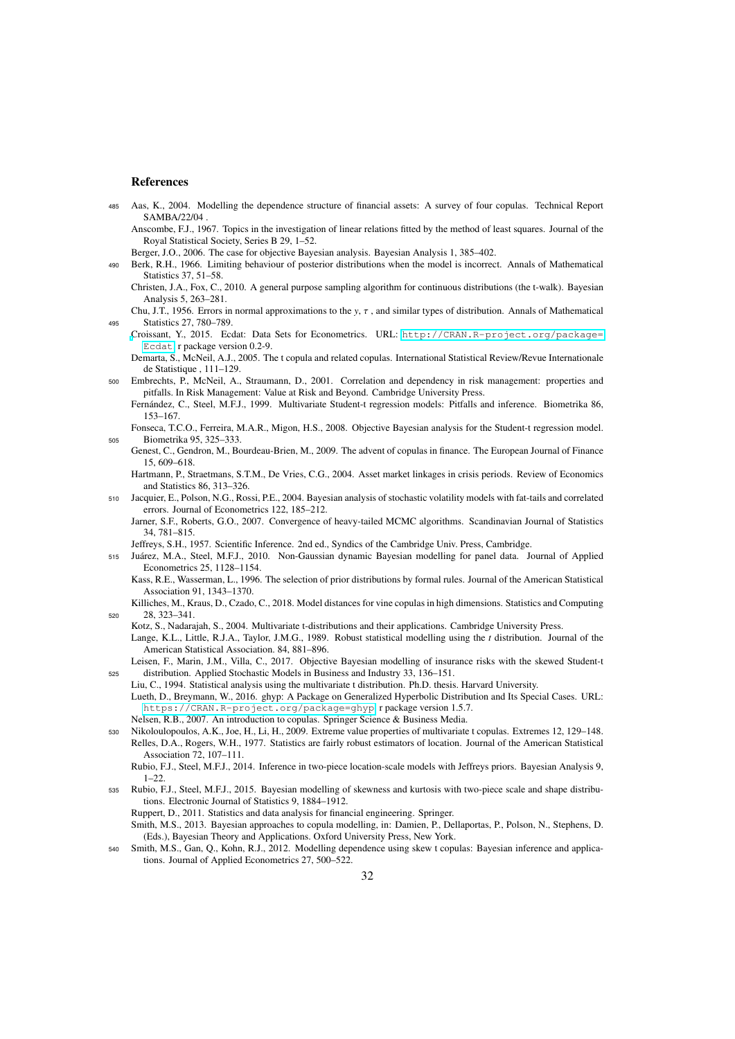#### References

- <span id="page-31-29"></span><span id="page-31-16"></span><sup>485</sup> Aas, K., 2004. Modelling the dependence structure of financial assets: A survey of four copulas. Technical Report SAMBA/22/04 .
	- Anscombe, F.J., 1967. Topics in the investigation of linear relations fitted by the method of least squares. Journal of the Royal Statistical Society, Series B 29, 1–52.

Berger, J.O., 2006. The case for objective Bayesian analysis. Bayesian Analysis 1, 385–402.

- <span id="page-31-25"></span><span id="page-31-22"></span><span id="page-31-11"></span><sup>490</sup> Berk, R.H., 1966. Limiting behaviour of posterior distributions when the model is incorrect. Annals of Mathematical Statistics 37, 51–58.
	- Christen, J.A., Fox, C., 2010. A general purpose sampling algorithm for continuous distributions (the t-walk). Bayesian Analysis 5, 263–281.
- <span id="page-31-27"></span><span id="page-31-20"></span>Chu, J.T., 1956. Errors in normal approximations to the *<sup>y</sup>*, τ , and similar types of distribution. Annals of Mathematical <sup>495</sup> Statistics 27, 780–789.
	- [C](http://CRAN.R-project.org/package=Ecdat)roissant, Y., 2015. Ecdat: Data Sets for Econometrics. URL: [http://CRAN.R-project.org/package=](http://CRAN.R-project.org/package=Ecdat) [Ecdat](http://CRAN.R-project.org/package=Ecdat). r package version 0.2-9.
	- Demarta, S., McNeil, A.J., 2005. The t copula and related copulas. International Statistical Review/Revue Internationale de Statistique , 111–129.
- <span id="page-31-21"></span><span id="page-31-6"></span><sup>500</sup> Embrechts, P., McNeil, A., Straumann, D., 2001. Correlation and dependency in risk management: properties and pitfalls. In Risk Management: Value at Risk and Beyond. Cambridge University Press. Fernández, C., Steel, M.F.J., 1999. Multivariate Student-t regression models: Pitfalls and inference. Biometrika 86,
- <span id="page-31-12"></span><span id="page-31-8"></span><span id="page-31-2"></span>153–167. Fonseca, T.C.O., Ferreira, M.A.R., Migon, H.S., 2008. Objective Bayesian analysis for the Student-t regression model. <sup>505</sup> Biometrika 95, 325–333.
	- Genest, C., Gendron, M., Bourdeau-Brien, M., 2009. The advent of copulas in finance. The European Journal of Finance 15, 609–618.
	- Hartmann, P., Straetmans, S.T.M., De Vries, C.G., 2004. Asset market linkages in crisis periods. Review of Economics and Statistics 86, 313–326.
- <span id="page-31-26"></span><span id="page-31-19"></span><span id="page-31-9"></span><sup>510</sup> Jacquier, E., Polson, N.G., Rossi, P.E., 2004. Bayesian analysis of stochastic volatility models with fat-tails and correlated errors. Journal of Econometrics 122, 185–212.
	- Jarner, S.F., Roberts, G.O., 2007. Convergence of heavy-tailed MCMC algorithms. Scandinavian Journal of Statistics 34, 781–815.
	- Jeffreys, S.H., 1957. Scientific Inference. 2nd ed., Syndics of the Cambridge Univ. Press, Cambridge.
- <span id="page-31-17"></span><span id="page-31-13"></span><span id="page-31-10"></span><sup>515</sup> Juarez, M.A., Steel, M.F.J., 2010. Non-Gaussian dynamic Bayesian modelling for panel data. Journal of Applied ´ Econometrics 25, 1128–1154. Kass, R.E., Wasserman, L., 1996. The selection of prior distributions by formal rules. Journal of the American Statistical
	- Association 91, 1343–1370. Killiches, M., Kraus, D., Czado, C., 2018. Model distances for vine copulas in high dimensions. Statistics and Computing
- <span id="page-31-24"></span><span id="page-31-3"></span><sup>520</sup> 28, 323–341. Kotz, S., Nadarajah, S., 2004. Multivariate t-distributions and their applications. Cambridge University Press.
- <span id="page-31-0"></span>Lange, K.L., Little, R.J.A., Taylor, J.M.G., 1989. Robust statistical modelling using the *t* distribution. Journal of the American Statistical Association. 84, 881–896.
- <span id="page-31-30"></span><span id="page-31-28"></span><span id="page-31-1"></span>Leisen, F., Marin, J.M., Villa, C., 2017. Objective Bayesian modelling of insurance risks with the skewed Student-t <sup>525</sup> distribution. Applied Stochastic Models in Business and Industry 33, 136–151.
	- Liu, C., 1994. Statistical analysis using the multivariate t distribution. Ph.D. thesis. Harvard University.
	- Lueth, D., Breymann, W., 2016. ghyp: A Package on Generalized Hyperbolic Distribution and Its Special Cases. URL: <https://CRAN.R-project.org/package=ghyp>. r package version 1.5.7.
	- Nelsen, R.B., 2007. An introduction to copulas. Springer Science & Business Media.
- <span id="page-31-18"></span><span id="page-31-7"></span><span id="page-31-5"></span><sup>530</sup> Nikoloulopoulos, A.K., Joe, H., Li, H., 2009. Extreme value properties of multivariate t copulas. Extremes 12, 129–148. Relles, D.A., Rogers, W.H., 1977. Statistics are fairly robust estimators of location. Journal of the American Statistical Association 72, 107–111.

Rubio, F.J., Steel, M.F.J., 2014. Inference in two-piece location-scale models with Jeffreys priors. Bayesian Analysis 9, 1–22.

<span id="page-31-31"></span><span id="page-31-14"></span><span id="page-31-4"></span><sup>535</sup> Rubio, F.J., Steel, M.F.J., 2015. Bayesian modelling of skewness and kurtosis with two-piece scale and shape distributions. Electronic Journal of Statistics 9, 1884–1912.

Ruppert, D., 2011. Statistics and data analysis for financial engineering. Springer.

- <span id="page-31-23"></span>Smith, M.S., 2013. Bayesian approaches to copula modelling, in: Damien, P., Dellaportas, P., Polson, N., Stephens, D. (Eds.), Bayesian Theory and Applications. Oxford University Press, New York.
- <span id="page-31-15"></span>Smith, M.S., Gan, Q., Kohn, R.J., 2012. Modelling dependence using skew t copulas: Bayesian inference and applications. Journal of Applied Econometrics 27, 500–522.